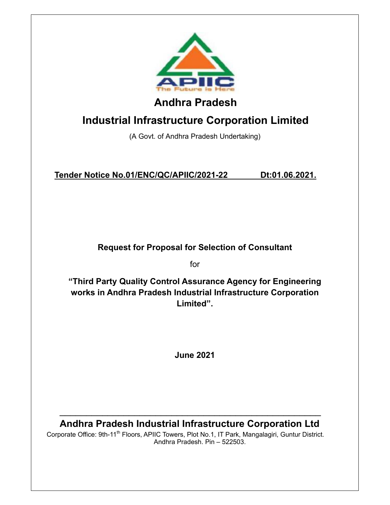

## **Industrial Infrastructure Corporation Limited**

(A Govt. of Andhra Pradesh Undertaking)

**Tender Notice No.01/ENC/QC/APIIC/2021-22 Dt:01.06.2021.**

**Request for Proposal for Selection of Consultant** 

for

**"Third Party Quality Control Assurance Agency for Engineering works in Andhra Pradesh Industrial Infrastructure Corporation Limited".** 

**June 2021** 

**Andhra Pradesh Industrial Infrastructure Corporation Ltd** 

\_\_\_\_\_\_\_\_\_\_\_\_\_\_\_\_\_\_\_\_\_\_\_\_\_\_\_\_\_\_\_\_\_\_\_\_\_\_\_\_\_\_\_\_\_\_\_\_\_

Corporate Office: 9th-11<sup>th</sup> Floors, APIIC Towers, Plot No.1, IT Park, Mangalagiri, Guntur District. Andhra Pradesh. Pin – 522503.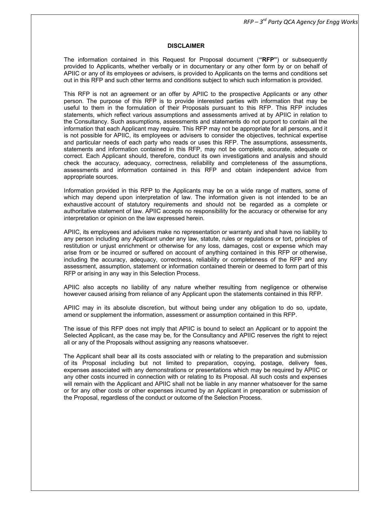*RFP – 3rd Party QCA Agency for Engg Works* 

#### **DISCLAIMER**

The information contained in this Request for Proposal document (**"RFP"**) or subsequently provided to Applicants, whether verbally or in documentary or any other form by or on behalf of APIIC or any of its employees or advisers, is provided to Applicants on the terms and conditions set out in this RFP and such other terms and conditions subject to which such information is provided.

This RFP is not an agreement or an offer by APIIC to the prospective Applicants or any other person. The purpose of this RFP is to provide interested parties with information that may be useful to them in the formulation of their Proposals pursuant to this RFP. This RFP includes statements, which reflect various assumptions and assessments arrived at by APIIC in relation to the Consultancy. Such assumptions, assessments and statements do not purport to contain all the information that each Applicant may require. This RFP may not be appropriate for all persons, and it is not possible for APIIC, its employees or advisers to consider the objectives, technical expertise and particular needs of each party who reads or uses this RFP. The assumptions, assessments, statements and information contained in this RFP, may not be complete, accurate, adequate or correct. Each Applicant should, therefore, conduct its own investigations and analysis and should check the accuracy, adequacy, correctness, reliability and completeness of the assumptions, assessments and information contained in this RFP and obtain independent advice from appropriate sources.

Information provided in this RFP to the Applicants may be on a wide range of matters, some of which may depend upon interpretation of law. The information given is not intended to be an exhaustive account of statutory requirements and should not be regarded as a complete or authoritative statement of law. APIIC accepts no responsibility for the accuracy or otherwise for any interpretation or opinion on the law expressed herein.

APIIC, its employees and advisers make no representation or warranty and shall have no liability to any person including any Applicant under any law, statute, rules or regulations or tort, principles of restitution or unjust enrichment or otherwise for any loss, damages, cost or expense which may arise from or be incurred or suffered on account of anything contained in this RFP or otherwise, including the accuracy, adequacy, correctness, reliability or completeness of the RFP and any assessment, assumption, statement or information contained therein or deemed to form part of this RFP or arising in any way in this Selection Process.

APIIC also accepts no liability of any nature whether resulting from negligence or otherwise however caused arising from reliance of any Applicant upon the statements contained in this RFP.

APIIC may in its absolute discretion, but without being under any obligation to do so, update, amend or supplement the information, assessment or assumption contained in this RFP.

The issue of this RFP does not imply that APIIC is bound to select an Applicant or to appoint the Selected Applicant, as the case may be, for the Consultancy and APIIC reserves the right to reject all or any of the Proposals without assigning any reasons whatsoever.

The Applicant shall bear all its costs associated with or relating to the preparation and submission of its Proposal including but not limited to preparation, copying, postage, delivery fees, expenses associated with any demonstrations or presentations which may be required by APIIC or any other costs incurred in connection with or relating to its Proposal. All such costs and expenses will remain with the Applicant and APIIC shall not be liable in any manner whatsoever for the same or for any other costs or other expenses incurred by an Applicant in preparation or submission of the Proposal, regardless of the conduct or outcome of the Selection Process.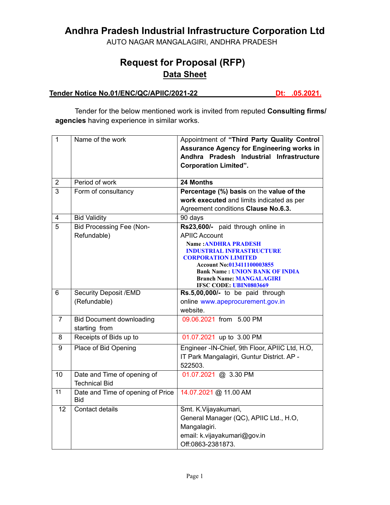## **Andhra Pradesh Industrial Infrastructure Corporation Ltd**

AUTO NAGAR MANGALAGIRI, ANDHRA PRADESH

## **Request for Proposal (RFP) Data Sheet**

#### **Tender Notice No.01/ENC/QC/APIIC/2021-22 Dt: .05.2021.**

Tender for the below mentioned work is invited from reputed **Consulting firms/ agencies** having experience in similar works.

| $\mathbf{1}$    | Name of the work                         | Appointment of "Third Party Quality Control                    |
|-----------------|------------------------------------------|----------------------------------------------------------------|
|                 |                                          | <b>Assurance Agency for Engineering works in</b>               |
|                 |                                          | Andhra Pradesh Industrial Infrastructure                       |
|                 |                                          | <b>Corporation Limited".</b>                                   |
|                 |                                          |                                                                |
| $\overline{2}$  | Period of work                           | 24 Months                                                      |
| 3               | Form of consultancy                      | Percentage (%) basis on the value of the                       |
|                 |                                          | work executed and limits indicated as per                      |
|                 |                                          | Agreement conditions Clause No.6.3.                            |
| $\overline{4}$  | <b>Bid Validity</b>                      | 90 days                                                        |
| $\overline{5}$  | <b>Bid Processing Fee (Non-</b>          | Rs23,600/- paid through online in                              |
|                 | Refundable)                              | <b>APIIC Account</b>                                           |
|                 |                                          | <b>Name: ANDHRA PRADESH</b>                                    |
|                 |                                          | <b>INDUSTRIAL INFRASTRUCTURE</b><br><b>CORPORATION LIMITED</b> |
|                 |                                          | Account No:013411100003855                                     |
|                 |                                          | <b>Bank Name: UNION BANK OF INDIA</b>                          |
|                 |                                          | <b>Branch Name: MANGALAGIRI</b>                                |
| 6               | <b>Security Deposit /EMD</b>             | IFSC CODE: UBIN0803669<br>Rs.5,00,000/- to be paid through     |
|                 | (Refundable)                             | online www.apeprocurement.gov.in                               |
|                 |                                          | website.                                                       |
| $\overline{7}$  | <b>Bid Document downloading</b>          | 09.06.2021 from 5.00 PM                                        |
|                 | starting from                            |                                                                |
| 8               | Receipts of Bids up to                   | 01.07.2021 up to 3.00 PM                                       |
|                 |                                          |                                                                |
| 9               | Place of Bid Opening                     | Engineer - IN-Chief, 9th Floor, APIIC Ltd, H.O.                |
|                 |                                          | IT Park Mangalagiri, Guntur District. AP -                     |
|                 |                                          | 522503.                                                        |
| 10              | Date and Time of opening of              | 01.07.2021 @ 3.30 PM                                           |
|                 | <b>Technical Bid</b>                     |                                                                |
| $\overline{11}$ | Date and Time of opening of Price<br>Bid | 14.07.2021 @ 11.00 AM                                          |
| 12              | <b>Contact details</b>                   | Smt. K.Vijayakumari,                                           |
|                 |                                          | General Manager (QC), APIIC Ltd., H.O,                         |
|                 |                                          | Mangalagiri.                                                   |
|                 |                                          | email: k.vijayakumari@gov.in                                   |
|                 |                                          | Off:0863-2381873.                                              |
|                 |                                          |                                                                |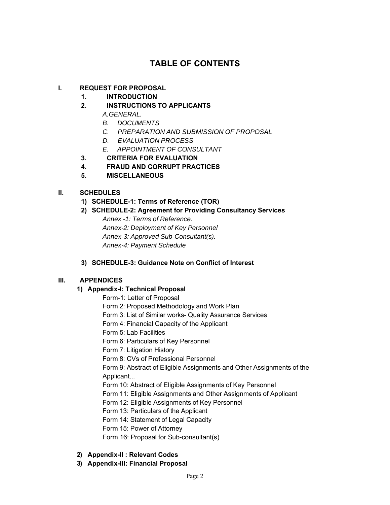### **TABLE OF CONTENTS**

#### **I. REQUEST FOR PROPOSAL**

#### **1. INTRODUCTION**

- **2. INSTRUCTIONS TO APPLICANTS** 
	- *A.GENERAL.*
		- *B. DOCUMENTS*
		- *C. PREPARATION AND SUBMISSION OF PROPOSAL*
	- *D. EVALUATION PROCESS*
	- *E. APPOINTMENT OF CONSULTANT*
- **3. CRITERIA FOR EVALUATION**
- **4. FRAUD AND CORRUPT PRACTICES**
- **5. MISCELLANEOUS**

#### **II. SCHEDULES**

- **1) SCHEDULE-1: Terms of Reference (TOR)**
- **2) SCHEDULE-2: Agreement for Providing Consultancy Services**

*Annex -1: Terms of Reference. Annex-2: Deployment of Key Personnel Annex-3: Approved Sub-Consultant(s). Annex-4: Payment Schedule*

**3) SCHEDULE-3: Guidance Note on Conflict of Interest** 

#### **III. APPENDICES**

#### **1) Appendix-I: Technical Proposal**

- Form-1: Letter of Proposal
- Form 2: Proposed Methodology and Work Plan
- Form 3: List of Similar works- Quality Assurance Services
- Form 4: Financial Capacity of the Applicant
- Form 5: Lab Facilities
- Form 6: Particulars of Key Personnel
- Form 7: Litigation History
- Form 8: CVs of Professional Personnel

Form 9: Abstract of Eligible Assignments and Other Assignments of the Applicant...

- Form 10: Abstract of Eligible Assignments of Key Personnel
- Form 11: Eligible Assignments and Other Assignments of Applicant
- Form 12: Eligible Assignments of Key Personnel
- Form 13: Particulars of the Applicant
- Form 14: Statement of Legal Capacity
- Form 15: Power of Attorney
- Form 16: Proposal for Sub-consultant(s)
- **2) Appendix-II : Relevant Codes**
- **3) Appendix-III: Financial Proposal**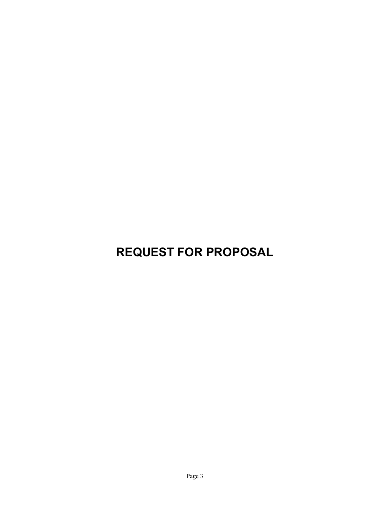## **REQUEST FOR PROPOSAL**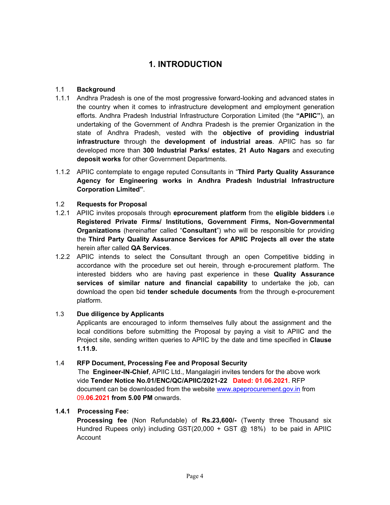## **1. INTRODUCTION**

#### 1.1 **Background**

- 1.1.1 Andhra Pradesh is one of the most progressive forward-looking and advanced states in the country when it comes to infrastructure development and employment generation efforts. Andhra Pradesh Industrial Infrastructure Corporation Limited (the **"APIIC"**), an undertaking of the Government of Andhra Pradesh is the premier Organization in the state of Andhra Pradesh, vested with the **objective of providing industrial infrastructure** through the **development of industrial areas**. APIIC has so far developed more than **300 Industrial Parks/ estates**, **21 Auto Nagars** and executing **deposit works** for other Government Departments.
- 1.1.2 APIIC contemplate to engage reputed Consultants in "**Third Party Quality Assurance Agency for Engineering works in Andhra Pradesh Industrial Infrastructure Corporation Limited"**.

#### 1.2 **Requests for Proposal**

- 1.2.1 APIIC invites proposals through **eprocurement platform** from the **eligible bidders** i.e **Registered Private Firms/ Institutions, Government Firms, Non-Governmental Organizations** (hereinafter called "**Consultant**") who will be responsible for providing the **Third Party Quality Assurance Services for APIIC Projects all over the state**  herein after called **QA Services**.
- 1.2.2 APIIC intends to select the Consultant through an open Competitive bidding in accordance with the procedure set out herein, through e-procurement platform. The interested bidders who are having past experience in these **Quality Assurance services of similar nature and financial capability** to undertake the job, can download the open bid **tender schedule documents** from the through e-procurement platform.

#### 1.3 **Due diligence by Applicants**

Applicants are encouraged to inform themselves fully about the assignment and the local conditions before submitting the Proposal by paying a visit to APIIC and the Project site, sending written queries to APIIC by the date and time specified in **Clause 1.11.9.** 

#### 1.4 **RFP Document, Processing Fee and Proposal Security**

The **Engineer-IN-Chief**, APIIC Ltd., Mangalagiri invites tenders for the above work vide **Tender Notice No.01/ENC/QC/APIIC/2021-22 Dated: 01.06.2021**. RFP document can be downloaded from the website www.apeprocurement.gov.in from 09**.06.2021 from 5.00 PM** onwards.

#### **1.4.1 Processing Fee:**

**Processing fee** (Non Refundable) of **Rs.23,600/-** (Twenty three Thousand six Hundred Rupees only) including GST(20,000 + GST @ 18%) to be paid in APIIC **Account**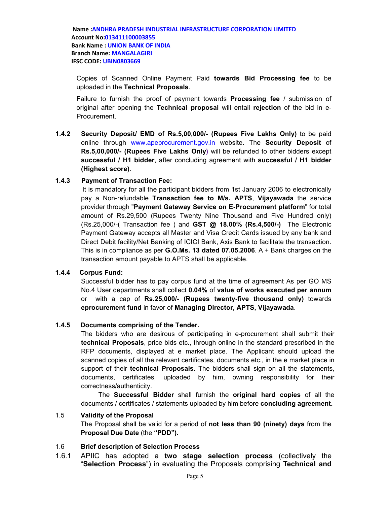Copies of Scanned Online Payment Paid **towards Bid Processing fee** to be uploaded in the **Technical Proposals**.

Failure to furnish the proof of payment towards **Processing fee** / submission of original after opening the **Technical proposal** will entail **rejection** of the bid in e-Procurement.

**1.4.2 Security Deposit/ EMD of Rs.5,00,000/- (Rupees Five Lakhs Only)** to be paid online through www.apeprocurement.gov.in website. The **Security Deposit** of **Rs.5,00,000/- (Rupees Five Lakhs Only)** will be refunded to other bidders except **successful / H1 bidder**, after concluding agreement with **successful / H1 bidder (Highest score)**.

#### **1.4.3 Payment of Transaction Fee:**

It is mandatory for all the participant bidders from 1st January 2006 to electronically pay a Non-refundable **Transaction fee to M/s. APTS**, **Vijayawada** the service provider through "**Payment Gateway Service on E-Procurement platform**" for total amount of Rs.29,500 (Rupees Twenty Nine Thousand and Five Hundred only) (Rs.25,000/-( Transaction fee ) and **GST @ 18.00% (Rs.4,500/-)** The Electronic Payment Gateway accepts all Master and Visa Credit Cards issued by any bank and Direct Debit facility/Net Banking of ICICI Bank, Axis Bank to facilitate the transaction. This is in compliance as per **G.O.Ms. 13 dated 07.05.2006**. A + Bank charges on the transaction amount payable to APTS shall be applicable.

#### **1.4.4 Corpus Fund:**

Successful bidder has to pay corpus fund at the time of agreement As per GO MS No.4 User departments shall collect **0.04%** of **value of works executed per annum** or with a cap of **Rs.25,000/- (Rupees twenty-five thousand only)** towards **eprocurement fund** in favor of **Managing Director, APTS, Vijayawada**.

#### **1.4.5 Documents comprising of the Tender.**

The bidders who are desirous of participating in e-procurement shall submit their **technical Proposals**, price bids etc., through online in the standard prescribed in the RFP documents, displayed at e market place. The Applicant should upload the scanned copies of all the relevant certificates, documents etc., in the e market place in support of their **technical Proposals**. The bidders shall sign on all the statements, documents, certificates, uploaded by him, owning responsibility for their correctness/authenticity.

The **Successful Bidder** shall furnish the **original hard copies** of all the documents / certificates / statements uploaded by him before **concluding agreement.**

#### 1.5 **Validity of the Proposal**

The Proposal shall be valid for a period of **not less than 90 (ninety) days** from the **Proposal Due Date** (the **"PDD").** 

#### 1.6 **Brief description of Selection Process**

1.6.1 APIIC has adopted a **two stage selection process** (collectively the "**Selection Process**") in evaluating the Proposals comprising **Technical and**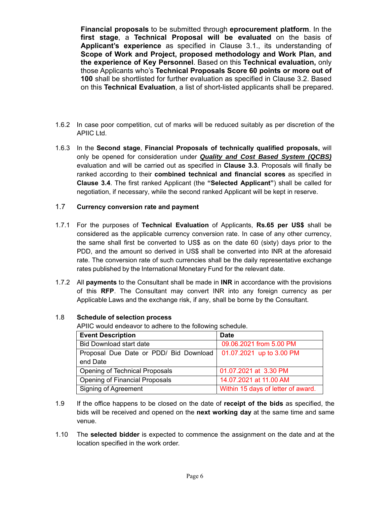**Financial proposals** to be submitted through **eprocurement platform**. In the **first stage**, a **Technical Proposal will be evaluated** on the basis of **Applicant's experience** as specified in Clause 3.1., its understanding of **Scope of Work and Project, proposed methodology and Work Plan, and the experience of Key Personnel**. Based on this **Technical evaluation,** only those Applicants who's **Technical Proposals Score 60 points or more out of 100** shall be shortlisted for further evaluation as specified in Clause 3.2. Based on this **Technical Evaluation**, a list of short-listed applicants shall be prepared.

- 1.6.2 In case poor competition, cut of marks will be reduced suitably as per discretion of the APIIC Ltd.
- 1.6.3 In the **Second stage**, **Financial Proposals of technically qualified proposals,** will only be opened for consideration under *Quality and Cost Based System (QCBS)* evaluation and will be carried out as specified in **Clause 3.3**. Proposals will finally be ranked according to their **combined technical and financial scores** as specified in **Clause 3.4**. The first ranked Applicant (the **"Selected Applicant"**) shall be called for negotiation, if necessary, while the second ranked Applicant will be kept in reserve.

#### 1.7 **Currency conversion rate and payment**

- 1.7.1 For the purposes of **Technical Evaluation** of Applicants, **Rs.65 per US\$** shall be considered as the applicable currency conversion rate. In case of any other currency, the same shall first be converted to US\$ as on the date 60 (sixty) days prior to the PDD, and the amount so derived in US\$ shall be converted into INR at the aforesaid rate. The conversion rate of such currencies shall be the daily representative exchange rates published by the International Monetary Fund for the relevant date.
- 1.7.2 All **payments** to the Consultant shall be made in **INR** in accordance with the provisions of this **RFP**. The Consultant may convert INR into any foreign currency as per Applicable Laws and the exchange risk, if any, shall be borne by the Consultant.

#### 1.8 **Schedule of selection process**

APIIC would endeavor to adhere to the following schedule.

| <b>Event Description</b>               | <b>Date</b>                        |
|----------------------------------------|------------------------------------|
| <b>Bid Download start date</b>         | 09.06.2021 from 5.00 PM            |
| Proposal Due Date or PDD/ Bid Download | 01.07.2021 up to 3.00 PM           |
| end Date                               |                                    |
| Opening of Technical Proposals         | 01.07.2021 at 3.30 PM              |
| Opening of Financial Proposals         | 14.07.2021 at 11.00 AM             |
| <b>Signing of Agreement</b>            | Within 15 days of letter of award. |

- 1.9 If the office happens to be closed on the date of **receipt of the bids** as specified, the bids will be received and opened on the **next working day** at the same time and same venue.
- 1.10 The **selected bidder** is expected to commence the assignment on the date and at the location specified in the work order.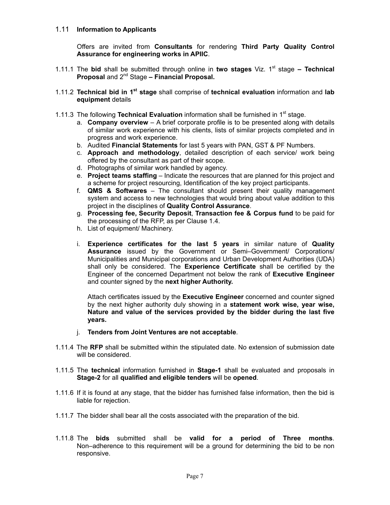#### 1.11 **Information to Applicants**

Offers are invited from **Consultants** for rendering **Third Party Quality Control Assurance for engineering works in APIIC**.

- 1.11.1 The bid shall be submitted through online in two stages Viz. 1<sup>st</sup> stage Technical **Proposal** and 2nd Stage **– Financial Proposal.**
- 1.11.2 **Technical bid in 1st stage** shall comprise of **technical evaluation** information and **lab equipment** details
- 1.11.3 The following **Technical Evaluation** information shall be furnished in 1st stage.
	- a. **Company overview** A brief corporate profile is to be presented along with details of similar work experience with his clients, lists of similar projects completed and in progress and work experience.
	- b. Audited **Financial Statements** for last 5 years with PAN, GST & PF Numbers.
	- c. **Approach and methodology**, detailed description of each service/ work being offered by the consultant as part of their scope.
	- d. Photographs of similar work handled by agency.
	- e. **Project teams staffing** Indicate the resources that are planned for this project and a scheme for project resourcing, Identification of the key project participants.
	- f. **QMS & Softwares** The consultant should present their quality management system and access to new technologies that would bring about value addition to this project in the disciplines of **Quality Control Assurance**.
	- g. **Processing fee, Security Deposit**, **Transaction fee & Corpus fund** to be paid for the processing of the RFP, as per Clause 1.4.
	- h. List of equipment/ Machinery.
	- i. **Experience certificates for the last 5 years** in similar nature of **Quality Assurance** issued by the Government or Semi–Government/ Corporations/ Municipalities and Municipal corporations and Urban Development Authorities (UDA) shall only be considered. The **Experience Certificate** shall be certified by the Engineer of the concerned Department not below the rank of **Executive Engineer** and counter signed by the **next higher Authority.**

Attach certificates issued by the **Executive Engineer** concerned and counter signed by the next higher authority duly showing in a **statement work wise, year wise, Nature and value of the services provided by the bidder during the last five years.** 

- j. **Tenders from Joint Ventures are not acceptable**.
- 1.11.4 The **RFP** shall be submitted within the stipulated date. No extension of submission date will be considered.
- 1.11.5 The **technical** information furnished in **Stage-1** shall be evaluated and proposals in **Stage-2** for all **qualified and eligible tenders** will be **opened**.
- 1.11.6 If it is found at any stage, that the bidder has furnished false information, then the bid is liable for rejection.
- 1.11.7 The bidder shall bear all the costs associated with the preparation of the bid.
- 1.11.8 The **bids** submitted shall be **valid for a period of Three months**. Non–adherence to this requirement will be a ground for determining the bid to be non responsive.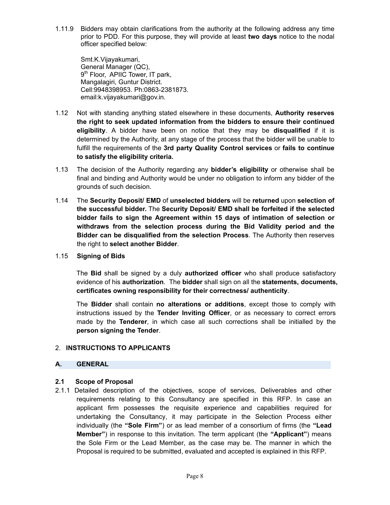1.11.9 Bidders may obtain clarifications from the authority at the following address any time prior to PDD. For this purpose, they will provide at least **two days** notice to the nodal officer specified below:

Smt.K.Vijayakumari, General Manager (QC), 9<sup>th</sup> Floor, APIIC Tower, IT park, Mangalagiri, Guntur District. Cell:9948398953. Ph:0863-2381873. email:k.vijayakumari@gov.in.

- 1.12 Not with standing anything stated elsewhere in these documents, **Authority reserves the right to seek updated information from the bidders to ensure their continued eligibility**. A bidder have been on notice that they may be **disqualified** if it is determined by the Authority, at any stage of the process that the bidder will be unable to fulfill the requirements of the **3rd party Quality Control services** or **fails to continue to satisfy the eligibility criteria.**
- 1.13 The decision of the Authority regarding any **bidder's eligibility** or otherwise shall be final and binding and Authority would be under no obligation to inform any bidder of the grounds of such decision.
- 1.14 The **Security Deposit/ EMD** of **unselected bidders** will be **returned** upon **selection of the successful bidder.** The **Security Deposit/ EMD shall be forfeited if the selected bidder fails to sign the Agreement within 15 days of intimation of selection or withdraws from the selection process during the Bid Validity period and the Bidder can be disqualified from the selection Process**. The Authority then reserves the right to **select another Bidder**.
- 1.15 **Signing of Bids**

The **Bid** shall be signed by a duly **authorized officer** who shall produce satisfactory evidence of his **authorization**. The **bidder** shall sign on all the **statements, documents, certificates owning responsibility for their correctness/ authenticity**.

The **Bidder** shall contain **no alterations or additions**, except those to comply with instructions issued by the **Tender Inviting Officer**, or as necessary to correct errors made by the **Tenderer**, in which case all such corrections shall be initialled by the **person signing the Tender**.

#### 2. **INSTRUCTIONS TO APPLICANTS**

#### **A. GENERAL**

#### **2.1 Scope of Proposal**

2.1.1 Detailed description of the objectives, scope of services, Deliverables and other requirements relating to this Consultancy are specified in this RFP. In case an applicant firm possesses the requisite experience and capabilities required for undertaking the Consultancy, it may participate in the Selection Process either individually (the **"Sole Firm"**) or as lead member of a consortium of firms (the **"Lead Member"**) in response to this invitation. The term applicant (the **"Applicant"**) means the Sole Firm or the Lead Member, as the case may be. The manner in which the Proposal is required to be submitted, evaluated and accepted is explained in this RFP.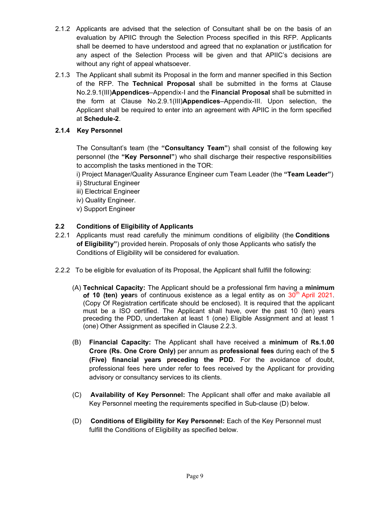- 2.1.2 Applicants are advised that the selection of Consultant shall be on the basis of an evaluation by APIIC through the Selection Process specified in this RFP. Applicants shall be deemed to have understood and agreed that no explanation or justification for any aspect of the Selection Process will be given and that APIIC's decisions are without any right of appeal whatsoever.
- 2.1.3 The Applicant shall submit its Proposal in the form and manner specified in this Section of the RFP. The **Technical Proposal** shall be submitted in the forms at Clause No.2.9.1(III)**Appendices**–Appendix-I and the **Financial Proposal** shall be submitted in the form at Clause No.2.9.1(III)**Appendices**–Appendix-III. Upon selection, the Applicant shall be required to enter into an agreement with APIIC in the form specified at **Schedule-2**.

#### **2.1.4 Key Personnel**

The Consultant's team (the **"Consultancy Team"**) shall consist of the following key personnel (the **"Key Personnel"**) who shall discharge their respective responsibilities to accomplish the tasks mentioned in the TOR:

i) Project Manager/Quality Assurance Engineer cum Team Leader (the **"Team Leader"**) ii) Structural Engineer

- iii) Electrical Engineer
- iv) Quality Engineer.
- v) Support Engineer

#### **2.2 Conditions of Eligibility of Applicants**

- 2.2.1 Applicants must read carefully the minimum conditions of eligibility (the **Conditions of Eligibility"**) provided herein. Proposals of only those Applicants who satisfy the Conditions of Eligibility will be considered for evaluation.
- 2.2.2 To be eligible for evaluation of its Proposal, the Applicant shall fulfill the following:
	- (A) **Technical Capacity:** The Applicant should be a professional firm having a **minimum of 10 (ten) year**s of continuous existence as a legal entity as on 30<sup>th</sup> April 2021. (Copy Of Registration certificate should be enclosed). It is required that the applicant must be a ISO certified. The Applicant shall have, over the past 10 (ten) years preceding the PDD, undertaken at least 1 (one) Eligible Assignment and at least 1 (one) Other Assignment as specified in Clause 2.2.3.
	- (B) **Financial Capacity:** The Applicant shall have received a **minimum** of **Rs.1.00 Crore (Rs. One Crore Only)** per annum as **professional fees** during each of the **5 (Five) financial years preceding the PDD**. For the avoidance of doubt, professional fees here under refer to fees received by the Applicant for providing advisory or consultancy services to its clients.
	- (C) **Availability of Key Personnel:** The Applicant shall offer and make available all Key Personnel meeting the requirements specified in Sub-clause (D) below.
	- (D) **Conditions of Eligibility for Key Personnel:** Each of the Key Personnel must fulfill the Conditions of Eligibility as specified below.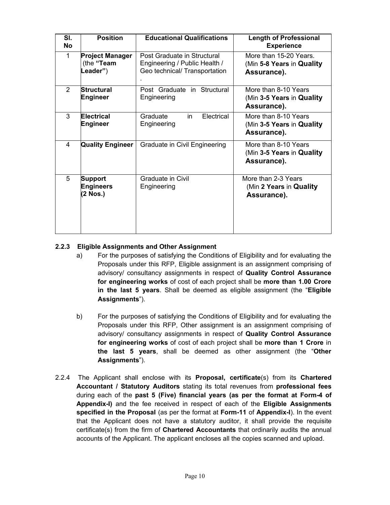| SI.<br>No | <b>Position</b>                                  | <b>Educational Qualifications</b>                                                             | <b>Length of Professional</b><br><b>Experience</b>                  |
|-----------|--------------------------------------------------|-----------------------------------------------------------------------------------------------|---------------------------------------------------------------------|
| 1         | <b>Project Manager</b><br>(the "Team<br>Leader") | Post Graduate in Structural<br>Engineering / Public Health /<br>Geo technical/ Transportation | More than 15-20 Years.<br>(Min 5-8 Years in Quality)<br>Assurance). |
| 2         | <b>Structural</b><br><b>Engineer</b>             | Post Graduate in Structural<br>Engineering                                                    | More than 8-10 Years<br>(Min 3-5 Years in Quality)<br>Assurance).   |
| 3         | <b>Electrical</b><br><b>Engineer</b>             | Electrical<br>Graduate<br>in<br>Engineering                                                   | More than 8-10 Years<br>(Min 3-5 Years in Quality)<br>Assurance).   |
| 4         | <b>Quality Engineer</b>                          | Graduate in Civil Engineering                                                                 | More than 8-10 Years<br>(Min 3-5 Years in Quality)<br>Assurance).   |
| 5         | <b>Support</b><br><b>Engineers</b><br>(2 Nos.)   | Graduate in Civil<br>Engineering                                                              | More than 2-3 Years<br>(Min 2 Years in Quality<br>Assurance).       |

#### **2.2.3 Eligible Assignments and Other Assignment**

- a) For the purposes of satisfying the Conditions of Eligibility and for evaluating the Proposals under this RFP, Eligible assignment is an assignment comprising of advisory/ consultancy assignments in respect of **Quality Control Assurance for engineering works** of cost of each project shall be **more than 1.00 Crore in the last 5 years**. Shall be deemed as eligible assignment (the "**Eligible Assignments**").
- b) For the purposes of satisfying the Conditions of Eligibility and for evaluating the Proposals under this RFP, Other assignment is an assignment comprising of advisory/ consultancy assignments in respect of **Quality Control Assurance for engineering works** of cost of each project shall be **more than 1 Crore** in **the last 5 years**, shall be deemed as other assignment (the "**Other Assignments**").
- 2.2.4 The Applicant shall enclose with its **Proposal, certificate**(s) from its **Chartered Accountant / Statutory Auditors** stating its total revenues from **professional fees** during each of the **past 5 (Five) financial years (as per the format at Form-4 of Appendix-I)** and the fee received in respect of each of the **Eligible Assignments specified in the Proposal** (as per the format at **Form-11** of **Appendix-I**). In the event that the Applicant does not have a statutory auditor, it shall provide the requisite certificate(s) from the firm of **Chartered Accountants** that ordinarily audits the annual accounts of the Applicant. The applicant encloses all the copies scanned and upload.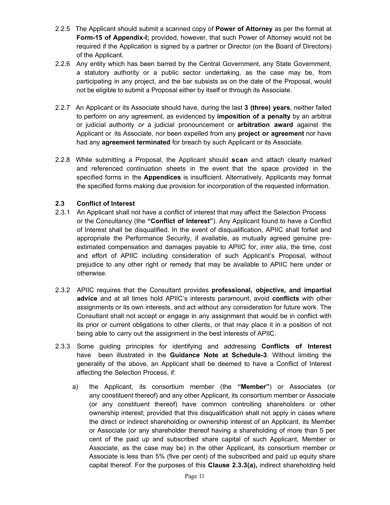- 2.2.5 The Applicant should submit a scanned copy of **Power of Attorney** as per the format at **Form-15 of Appendix-I;** provided, however, that such Power of Attorney would not be required if the Application is signed by a partner or Director (on the Board of Directors) of the Applicant.
- 2.2.6 Any entity which has been barred by the Central Government, any State Government, a statutory authority or a public sector undertaking, as the case may be, from participating in any project, and the bar subsists as on the date of the Proposal, would not be eligible to submit a Proposal either by itself or through its Associate.
- 2.2.7 An Applicant or its Associate should have, during the last **3 (three) years**, neither failed to perform on any agreement, as evidenced by **imposition of a penalty** by an arbitral or judicial authority or a judicial pronouncement or **arbitration award** against the Applicant or its Associate, nor been expelled from any **project or agreement** nor have had any **agreement terminated** for breach by such Applicant or its Associate.
- 2.2.8 While submitting a Proposal, the Applicant should **scan** and attach clearly marked and referenced continuation sheets in the event that the space provided in the specified forms in the **Appendices** is insufficient. Alternatively, Applicants may format the specified forms making due provision for incorporation of the requested information.

#### **2.3 Conflict of Interest**

- 2.3.1 An Applicant shall not have a conflict of interest that may affect the Selection Process or the Consultancy (the **"Conflict of Interest"**). Any Applicant found to have a Conflict of Interest shall be disqualified. In the event of disqualification, APIIC shall forfeit and appropriate the Performance Security, if available, as mutually agreed genuine preestimated compensation and damages payable to APIIC for, *inter alia*, the time, cost and effort of APIIC including consideration of such Applicant's Proposal, without prejudice to any other right or remedy that may be available to APIIC here under or otherwise.
- 2.3.2 APIIC requires that the Consultant provides **professional, objective, and impartial advice** and at all times hold APIIC's interests paramount, avoid **conflicts** with other assignments or its own interests, and act without any consideration for future work. The Consultant shall not accept or engage in any assignment that would be in conflict with its prior or current obligations to other clients, or that may place it in a position of not being able to carry out the assignment in the best interests of APIIC.
- 2.3.3 Some guiding principles for identifying and addressing **Conflicts of Interest** have been illustrated in the **Guidance Note at Schedule-3**. Without limiting the generality of the above, an Applicant shall be deemed to have a Conflict of Interest affecting the Selection Process, if:
	- a) the Applicant, its consortium member (the **"Member"**) or Associates (or any constituent thereof) and any other Applicant, its consortium member or Associate (or any constituent thereof) have common controlling shareholders or other ownership interest; provided that this disqualification shall not apply in cases where the direct or indirect shareholding or ownership interest of an Applicant, its Member or Associate (or any shareholder thereof having a shareholding of more than 5 per cent of the paid up and subscribed share capital of such Applicant, Member or Associate, as the case may be) in the other Applicant, its consortium member or Associate is less than 5% (five per cent) of the subscribed and paid up equity share capital thereof. For the purposes of this **Clause 2.3.3(a),** indirect shareholding held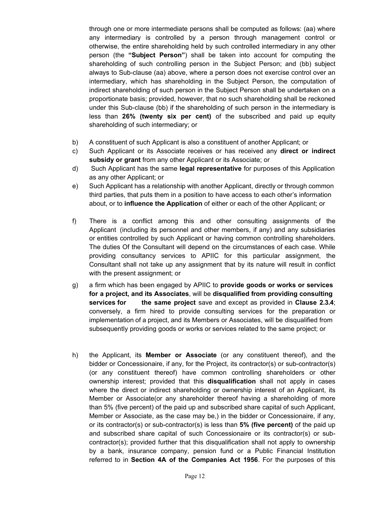through one or more intermediate persons shall be computed as follows: (aa) where any intermediary is controlled by a person through management control or otherwise, the entire shareholding held by such controlled intermediary in any other person (the **"Subject Person"**) shall be taken into account for computing the shareholding of such controlling person in the Subject Person; and (bb) subject always to Sub-clause (aa) above, where a person does not exercise control over an intermediary, which has shareholding in the Subject Person, the computation of indirect shareholding of such person in the Subject Person shall be undertaken on a proportionate basis; provided, however, that no such shareholding shall be reckoned under this Sub-clause (bb) if the shareholding of such person in the intermediary is less than **26% (twenty six per cent)** of the subscribed and paid up equity shareholding of such intermediary; or

- b) A constituent of such Applicant is also a constituent of another Applicant; or
- c) Such Applicant or its Associate receives or has received any **direct or indirect subsidy or grant** from any other Applicant or its Associate; or
- d) Such Applicant has the same **legal representative** for purposes of this Application as any other Applicant; or
- e) Such Applicant has a relationship with another Applicant, directly or through common third parties, that puts them in a position to have access to each other's information about, or to **influence the Application** of either or each of the other Applicant; or
- f) There is a conflict among this and other consulting assignments of the Applicant (including its personnel and other members, if any) and any subsidiaries or entities controlled by such Applicant or having common controlling shareholders. The duties Of the Consultant will depend on the circumstances of each case. While providing consultancy services to APIIC for this particular assignment, the Consultant shall not take up any assignment that by its nature will result in conflict with the present assignment; or
- g) a firm which has been engaged by APIIC to **provide goods or works or services for a project, and its Associates**, will be **disqualified from providing consulting services for the same project** save and except as provided in **Clause 2.3.4**; conversely, a firm hired to provide consulting services for the preparation or implementation of a project, and its Members or Associates, will be disqualified from subsequently providing goods or works or services related to the same project; or
- h) the Applicant, its **Member or Associate** (or any constituent thereof), and the bidder or Concessionaire, if any, for the Project, its contractor(s) or sub-contractor(s) (or any constituent thereof) have common controlling shareholders or other ownership interest; provided that this **disqualification** shall not apply in cases where the direct or indirect shareholding or ownership interest of an Applicant, its Member or Associate(or any shareholder thereof having a shareholding of more than 5% (five percent) of the paid up and subscribed share capital of such Applicant, Member or Associate, as the case may be,) in the bidder or Concessionaire, if any, or its contractor(s) or sub-contractor(s) is less than **5% (five percent)** of the paid up and subscribed share capital of such Concessionaire or its contractor(s) or subcontractor(s); provided further that this disqualification shall not apply to ownership by a bank, insurance company, pension fund or a Public Financial Institution referred to in **Section 4A of the Companies Act 1956**. For the purposes of this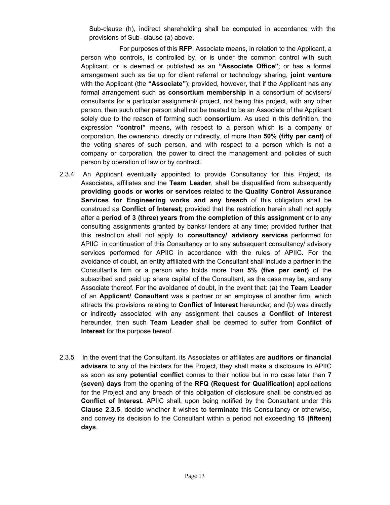Sub-clause (h), indirect shareholding shall be computed in accordance with the provisions of Sub- clause (a) above.

 For purposes of this **RFP**, Associate means, in relation to the Applicant, a person who controls, is controlled by, or is under the common control with such Applicant, or is deemed or published as an **"Associate Office"**; or has a formal arrangement such as tie up for client referral or technology sharing, **joint venture** with the Applicant (the **"Associate"**); provided, however, that if the Applicant has any formal arrangement such as **consortium membership** in a consortium of advisers/ consultants for a particular assignment/ project, not being this project, with any other person, then such other person shall not be treated to be an Associate of the Applicant solely due to the reason of forming such **consortium**. As used in this definition, the expression **"control"** means, with respect to a person which is a company or corporation, the ownership, directly or indirectly, of more than **50% (fifty per cent)** of the voting shares of such person, and with respect to a person which is not a company or corporation, the power to direct the management and policies of such person by operation of law or by contract.

- 2.3.4 An Applicant eventually appointed to provide Consultancy for this Project, its Associates, affiliates and the **Team Leader**, shall be disqualified from subsequently **providing goods or works or services** related to the **Quality Control Assurance Services for Engineering works and any breach** of this obligation shall be construed as **Conflict of Interest**; provided that the restriction herein shall not apply after a **period of 3 (three) years from the completion of this assignment** or to any consulting assignments granted by banks/ lenders at any time; provided further that this restriction shall not apply to **consultancy/ advisory services** performed for APIIC in continuation of this Consultancy or to any subsequent consultancy/ advisory services performed for APIIC in accordance with the rules of APIIC. For the avoidance of doubt, an entity affiliated with the Consultant shall include a partner in the Consultant's firm or a person who holds more than **5% (five per cent)** of the subscribed and paid up share capital of the Consultant, as the case may be, and any Associate thereof. For the avoidance of doubt, in the event that: (a) the **Team Leader** of an **Applicant/ Consultant** was a partner or an employee of another firm, which attracts the provisions relating to **Conflict of Interest** hereunder; and (b) was directly or indirectly associated with any assignment that causes a **Conflict of Interest** hereunder, then such **Team Leader** shall be deemed to suffer from **Conflict of Interest** for the purpose hereof.
- 2.3.5 In the event that the Consultant, its Associates or affiliates are **auditors or financial advisers** to any of the bidders for the Project, they shall make a disclosure to APIIC as soon as any **potential conflict** comes to their notice but in no case later than **7 (seven) days** from the opening of the **RFQ (Request for Qualification)** applications for the Project and any breach of this obligation of disclosure shall be construed as **Conflict of Interest**. APIIC shall, upon being notified by the Consultant under this **Clause 2.3.5**, decide whether it wishes to **terminate** this Consultancy or otherwise, and convey its decision to the Consultant within a period not exceeding **15 (fifteen) days**.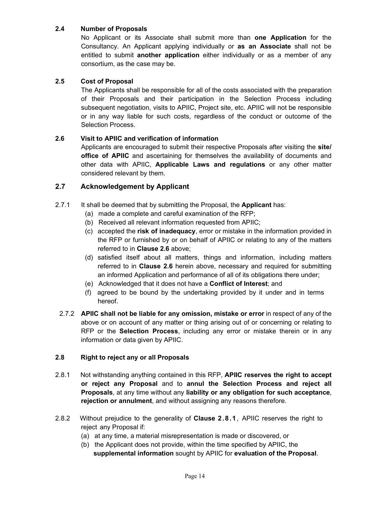#### **2.4 Number of Proposals**

No Applicant or its Associate shall submit more than **one Application** for the Consultancy. An Applicant applying individually or **as an Associate** shall not be entitled to submit **another application** either individually or as a member of any consortium, as the case may be.

#### **2.5 Cost of Proposal**

The Applicants shall be responsible for all of the costs associated with the preparation of their Proposals and their participation in the Selection Process including subsequent negotiation, visits to APIIC, Project site, etc. APIIC will not be responsible or in any way liable for such costs, regardless of the conduct or outcome of the Selection Process.

#### **2.6 Visit to APIIC and verification of information**

Applicants are encouraged to submit their respective Proposals after visiting the **site/ office of APIIC** and ascertaining for themselves the availability of documents and other data with APIIC, **Applicable Laws and regulations** or any other matter considered relevant by them.

#### **2.7 Acknowledgement by Applicant**

- 2.7.1 It shall be deemed that by submitting the Proposal, the **Applicant** has:
	- (a) made a complete and careful examination of the RFP;
	- (b) Received all relevant information requested from APIIC;
	- (c) accepted the **risk of inadequacy**, error or mistake in the information provided in the RFP or furnished by or on behalf of APIIC or relating to any of the matters referred to in **Clause 2.6** above;
	- (d) satisfied itself about all matters, things and information, including matters referred to in **Clause 2.6** herein above, necessary and required for submitting an informed Application and performance of all of its obligations there under;
	- (e) Acknowledged that it does not have a **Conflict of Interest**; and
	- (f) agreed to be bound by the undertaking provided by it under and in terms hereof.
- 2.7.2 **APIIC shall not be liable for any omission, mistake or error** in respect of any of the above or on account of any matter or thing arising out of or concerning or relating to RFP or the **Selection Process**, including any error or mistake therein or in any information or data given by APIIC.

#### **2.8 Right to reject any or all Proposals**

- 2.8.1 Not withstanding anything contained in this RFP, **APIIC reserves the right to accept or reject any Proposal** and to **annul the Selection Process and reject all Proposals**, at any time without any **liability or any obligation for such acceptance**, **rejection or annulment**, and without assigning any reasons therefore.
- 2.8.2 Without prejudice to the generality of **Clause 2.8.1**, APIIC reserves the right to reject any Proposal if:
	- (a) at any time, a material misrepresentation is made or discovered, or
	- (b) the Applicant does not provide, within the time specified by APIIC, the **supplemental information** sought by APIIC for **evaluation of the Proposal**.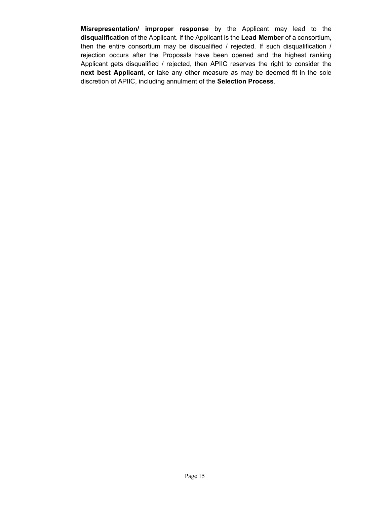**Misrepresentation/ improper response** by the Applicant may lead to the **disqualification** of the Applicant. If the Applicant is the **Lead Member** of a consortium, then the entire consortium may be disqualified / rejected. If such disqualification / rejection occurs after the Proposals have been opened and the highest ranking Applicant gets disqualified / rejected, then APIIC reserves the right to consider the **next best Applicant**, or take any other measure as may be deemed fit in the sole discretion of APIIC, including annulment of the **Selection Process**.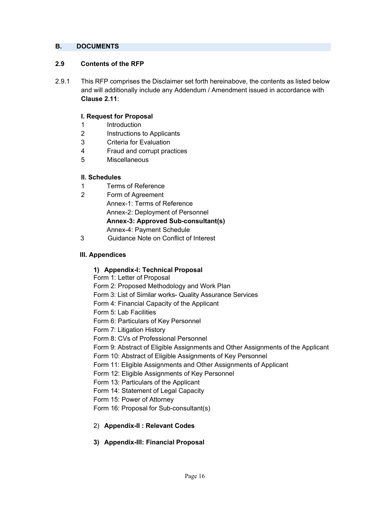#### **B. DOCUMENTS**

#### **2.9 Contents of the RFP**

2.9.1 This RFP comprises the Disclaimer set forth hereinabove, the contents as listed below and will additionally include any Addendum / Amendment issued in accordance with **Clause 2.11**:

#### **I. Request for Proposal**

- 1 Introduction
- 2 Instructions to Applicants
- 3 Criteria for Evaluation
- 4 Fraud and corrupt practices
- 5 Miscellaneous

#### **II. Schedules**

- 1 Terms of Reference
- 2 Form of Agreement Annex-1: Terms of Reference Annex-2: Deployment of Personnel **Annex-3: Approved Sub-consultant(s)**  Annex-4: Payment Schedule
- 3 Guidance Note on Conflict of Interest

#### **III. Appendices**

#### **1) Appendix-I: Technical Proposal**

- Form 1: Letter of Proposal
- Form 2: Proposed Methodology and Work Plan
- Form 3: List of Similar works- Quality Assurance Services
- Form 4: Financial Capacity of the Applicant
- Form 5: Lab Facilities
- Form 6: Particulars of Key Personnel
- Form 7: Litigation History
- Form 8: CVs of Professional Personnel
- Form 9: Abstract of Eligible Assignments and Other Assignments of the Applicant
- Form 10: Abstract of Eligible Assignments of Key Personnel
- Form 11: Eligible Assignments and Other Assignments of Applicant
- Form 12: Eligible Assignments of Key Personnel
- Form 13: Particulars of the Applicant
- Form 14: Statement of Legal Capacity
- Form 15: Power of Attorney
- Form 16: Proposal for Sub-consultant(s)
- 2) **Appendix-II : Relevant Codes**
- **3) Appendix-III: Financial Proposal**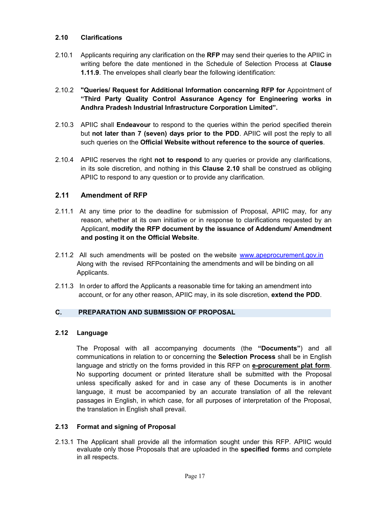#### **2.10 Clarifications**

- 2.10.1 Applicants requiring any clarification on the **RFP** may send their queries to the APIIC in writing before the date mentioned in the Schedule of Selection Process at **Clause 1.11.9**. The envelopes shall clearly bear the following identification:
- 2.10.2 **"Queries/ Request for Additional Information concerning RFP for** Appointment of **"Third Party Quality Control Assurance Agency for Engineering works in Andhra Pradesh Industrial Infrastructure Corporation Limited".**
- 2.10.3 APIIC shall **Endeavour** to respond to the queries within the period specified therein but **not later than 7 (seven) days prior to the PDD**. APIIC will post the reply to all such queries on the **Official Website without reference to the source of queries**.
- 2.10.4 APIIC reserves the right **not to respond** to any queries or provide any clarifications, in its sole discretion, and nothing in this **Clause 2.10** shall be construed as obliging APIIC to respond to any question or to provide any clarification.

#### **2.11 Amendment of RFP**

- 2.11.1 At any time prior to the deadline for submission of Proposal, APIIC may, for any reason, whether at its own initiative or in response to clarifications requested by an Applicant, **modify the RFP document by the issuance of Addendum/ Amendment and posting it on the Official Website**.
- 2.11.2 All such amendments will be posted on the website www.apeprocurement.gov.in Along with the revised RFPcontaining the amendments and will be binding on all Applicants.
- 2.11.3 In order to afford the Applicants a reasonable time for taking an amendment into account, or for any other reason, APIIC may, in its sole discretion, **extend the PDD**.

#### **C. PREPARATION AND SUBMISSION OF PROPOSAL**

#### **2.12 Language**

The Proposal with all accompanying documents (the **"Documents"**) and all communications in relation to or concerning the **Selection Process** shall be in English language and strictly on the forms provided in this RFP on **e-procurement plat form**. No supporting document or printed literature shall be submitted with the Proposal unless specifically asked for and in case any of these Documents is in another language, it must be accompanied by an accurate translation of all the relevant passages in English, in which case, for all purposes of interpretation of the Proposal, the translation in English shall prevail.

#### **2.13 Format and signing of Proposal**

2.13.1 The Applicant shall provide all the information sought under this RFP. APIIC would evaluate only those Proposals that are uploaded in the **specified form**s and complete in all respects.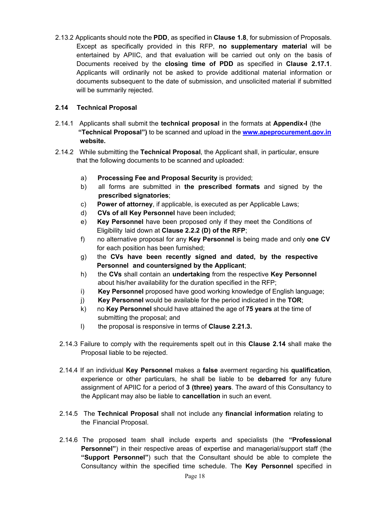2.13.2 Applicants should note the **PDD**, as specified in **Clause 1.8**, for submission of Proposals. Except as specifically provided in this RFP, **no supplementary material** will be entertained by APIIC, and that evaluation will be carried out only on the basis of Documents received by the **closing time of PDD** as specified in **Clause 2.17.1**. Applicants will ordinarily not be asked to provide additional material information or documents subsequent to the date of submission, and unsolicited material if submitted will be summarily rejected.

#### **2.14 Technical Proposal**

- 2.14.1 Applicants shall submit the **technical proposal** in the formats at **Appendix-I** (the  **"Technical Proposal")** to be scanned and upload in the **www.apeprocurement.gov.in website.**
- 2.14.2 While submitting the **Technical Proposal**, the Applicant shall, in particular, ensure that the following documents to be scanned and uploaded:
	- a) **Processing Fee and Proposal Security** is provided;
	- b) all forms are submitted in **the prescribed formats** and signed by the **prescribed signatories**;
	- c) **Power of attorney**, if applicable, is executed as per Applicable Laws;
	- d) **CVs of all Key Personnel** have been included;
	- e) **Key Personnel** have been proposed only if they meet the Conditions of Eligibility laid down at **Clause 2.2.2 (D) of the RFP**;
	- f) no alternative proposal for any **Key Personnel** is being made and only **one CV** for each position has been furnished;
	- g) the **CVs have been recently signed and dated, by the respective Personnel and countersigned by the Applicant**;
	- h) the **CVs** shall contain an **undertaking** from the respective **Key Personnel** about his/her availability for the duration specified in the RFP;
	- i) **Key Personnel** proposed have good working knowledge of English language;
	- j) **Key Personnel** would be available for the period indicated in the **TOR**;
	- k) no **Key Personnel** should have attained the age of **75 years** at the time of submitting the proposal; and
	- l) the proposal is responsive in terms of **Clause 2.21.3.**
	- 2.14.3 Failure to comply with the requirements spelt out in this **Clause 2.14** shall make the Proposal liable to be rejected.
	- 2.14.4 If an individual **Key Personnel** makes a **false** averment regarding his **qualification**, experience or other particulars, he shall be liable to be **debarred** for any future assignment of APIIC for a period of **3 (three) years**. The award of this Consultancy to the Applicant may also be liable to **cancellation** in such an event.
	- 2.14.5 The **Technical Proposal** shall not include any **financial information** relating to the Financial Proposal.
	- 2.14.6 The proposed team shall include experts and specialists (the **"Professional Personnel"**) in their respective areas of expertise and managerial/support staff (the **"Support Personnel"**) such that the Consultant should be able to complete the Consultancy within the specified time schedule. The **Key Personnel** specified in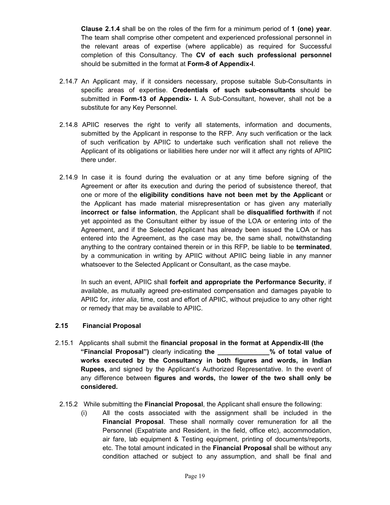**Clause 2.1.4** shall be on the roles of the firm for a minimum period of **1 (one) year**. The team shall comprise other competent and experienced professional personnel in the relevant areas of expertise (where applicable) as required for Successful completion of this Consultancy. The **CV of each such professional personnel** should be submitted in the format at **Form-8 of Appendix-I**.

- 2.14.7 An Applicant may, if it considers necessary, propose suitable Sub-Consultants in specific areas of expertise. **Credentials of such sub-consultants** should be submitted in **Form-13 of Appendix- I.** A Sub-Consultant, however, shall not be a substitute for any Key Personnel.
- 2.14.8 APIIC reserves the right to verify all statements, information and documents, submitted by the Applicant in response to the RFP. Any such verification or the lack of such verification by APIIC to undertake such verification shall not relieve the Applicant of its obligations or liabilities here under nor will it affect any rights of APIIC there under.
- 2.14.9 In case it is found during the evaluation or at any time before signing of the Agreement or after its execution and during the period of subsistence thereof, that one or more of the **eligibility conditions have not been met by the Applicant** or the Applicant has made material misrepresentation or has given any materially **incorrect or false information**, the Applicant shall be **disqualified forthwith** if not yet appointed as the Consultant either by issue of the LOA or entering into of the Agreement, and if the Selected Applicant has already been issued the LOA or has entered into the Agreement, as the case may be, the same shall, notwithstanding anything to the contrary contained therein or in this RFP, be liable to be **terminated**, by a communication in writing by APIIC without APIIC being liable in any manner whatsoever to the Selected Applicant or Consultant, as the case maybe.

In such an event, APIIC shall **forfeit and appropriate the Performance Security**, if available, as mutually agreed pre-estimated compensation and damages payable to APIIC for, *inter alia*, time, cost and effort of APIIC, without prejudice to any other right or remedy that may be available to APIIC.

#### **2.15 Financial Proposal**

- 2.15.1 Applicants shall submit the **financial proposal in the format at Appendix-III (the "Financial Proposal")** clearly indicating **the \_\_\_\_\_\_\_\_\_\_\_\_\_\_% of total value of works executed by the Consultancy in both figures and words, in Indian Rupees,** and signed by the Applicant's Authorized Representative. In the event of any difference between **figures and words,** the **lower of the two shall only be considered.** 
	- 2.15.2 While submitting the **Financial Proposal**, the Applicant shall ensure the following:
		- (i) All the costs associated with the assignment shall be included in the **Financial Proposal**. These shall normally cover remuneration for all the Personnel (Expatriate and Resident, in the field, office etc), accommodation, air fare, lab equipment & Testing equipment, printing of documents/reports, etc. The total amount indicated in the **Financial Proposal** shall be without any condition attached or subject to any assumption, and shall be final and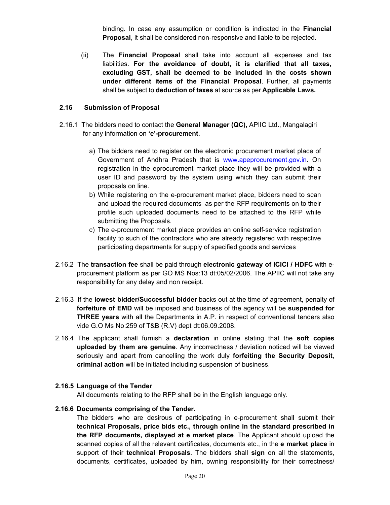binding. In case any assumption or condition is indicated in the **Financial Proposal**, it shall be considered non-responsive and liable to be rejected.

(ii) The **Financial Proposal** shall take into account all expenses and tax liabilities. **For the avoidance of doubt, it is clarified that all taxes, excluding GST, shall be deemed to be included in the costs shown under different items of the Financial Proposal**. Further, all payments shall be subject to **deduction of taxes** at source as per **Applicable Laws.** 

#### **2.16 Submission of Proposal**

- 2.16.1 The bidders need to contact the **General Manager (QC),** APIIC Ltd., Mangalagiri for any information on **'e'-procurement**.
	- a) The bidders need to register on the electronic procurement market place of Government of Andhra Pradesh that is www.apeprocurement.gov.in. On registration in the eprocurement market place they will be provided with a user ID and password by the system using which they can submit their proposals on line.
	- b) While registering on the e-procurement market place, bidders need to scan and upload the required documents as per the RFP requirements on to their profile such uploaded documents need to be attached to the RFP while submitting the Proposals.
	- c) The e-procurement market place provides an online self-service registration facility to such of the contractors who are already registered with respective participating departments for supply of specified goods and services
- 2.16.2 The **transaction fee** shall be paid through **electronic gateway of ICICI / HDFC** with eprocurement platform as per GO MS Nos:13 dt:05/02/2006. The APIIC will not take any responsibility for any delay and non receipt.
- 2.16.3 If the **lowest bidder/Successful bidder** backs out at the time of agreement, penalty of **forfeiture of EMD** will be imposed and business of the agency will be **suspended for THREE years** with all the Departments in A.P. in respect of conventional tenders also vide G.O Ms No:259 of T&B (R.V) dept dt:06.09.2008.
- 2.16.4 The applicant shall furnish a **declaration** in online stating that the **soft copies uploaded by them are genuine**. Any incorrectness / deviation noticed will be viewed seriously and apart from cancelling the work duly **forfeiting the Security Deposit**, **criminal action** will be initiated including suspension of business.

#### **2.16.5 Language of the Tender**

All documents relating to the RFP shall be in the English language only.

#### **2.16.6 Documents comprising of the Tender.**

The bidders who are desirous of participating in e-procurement shall submit their **technical Proposals, price bids etc., through online in the standard prescribed in the RFP documents, displayed at e market place**. The Applicant should upload the scanned copies of all the relevant certificates, documents etc., in the **e market place** in support of their **technical Proposals**. The bidders shall **sign** on all the statements, documents, certificates, uploaded by him, owning responsibility for their correctness/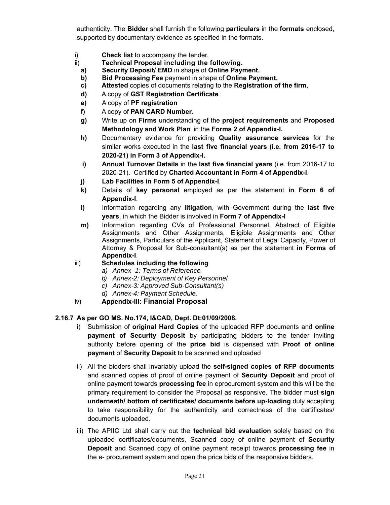authenticity. The **Bidder** shall furnish the following **particulars** in the **formats** enclosed, supported by documentary evidence as specified in the formats.

- i) **Check list** to accompany the tender.
- ii) **Technical Proposal including the following.**
	- **a) Security Deposit/ EMD** in shape of **Online Payment.**
	- **b) Bid Processing Fee** payment in shape of **Online Payment.**
	- **c) Attested** copies of documents relating to the **Registration of the firm**,
	- **d)** A copy of **GST Registration Certificate**
	- **e)** A copy of **PF registration**
	- **f)** A copy of **PAN CARD Number.**
	- **g)** Write up on **Firms** understanding of the **project requirements** and **Proposed Methodology and Work Plan** in the **Forms 2 of Appendix-I.**
	- **h)** Documentary evidence for providing **Quality assurance services** for the similar works executed in the **last five financial years (i.e. from 2016-17 to 2020-21) in Form 3 of Appendix-I.**
	- **i) Annual Turnover Details** in the **last five financial years** (i.e. from 2016-17 to 2020-21). Certified by **Charted Accountant in Form 4 of Appendix-I**.
	- **j) Lab Facilities in Form 5 of Appendix-I**.
	- **k)** Details of **key personal** employed as per the statement **in Form 6 of Appendix-I**.
	- **l)** Information regarding any **litigation**, with Government during the **last five years**, in which the Bidder is involved in **Form 7 of Appendix-I**
	- **m)** Information regarding CVs of Professional Personnel, Abstract of Eligible Assignments and Other Assignments, Eligible Assignments and Other Assignments, Particulars of the Applicant, Statement of Legal Capacity, Power of Attorney & Proposal for Sub-consultant(s) as per the statement **in Forms of Appendix-I**.
- iii) **Schedules including the following**
	- *a) Annex -1: Terms of Reference*
	- *b) Annex-2: Deployment of Key Personnel*
	- *c) Annex-3: Approved Sub-Consultant(s)*
	- *d) Annex-4: Payment Schedule.*
- iv) **Appendix-III: Financial Proposal**

#### **2.16.7 As per GO MS. No.174, I&CAD, Dept. Dt:01/09/2008.**

- i) Submission of **original Hard Copies** of the uploaded RFP documents and **online payment of Security Deposit** by participating bidders to the tender inviting authority before opening of the **price bid** is dispensed with **Proof of online payment** of **Security Deposit** to be scanned and uploaded
- ii) All the bidders shall invariably upload the **self-signed copies of RFP documents** and scanned copies of proof of online payment of **Security Deposit** and proof of online payment towards **processing fee** in eprocurement system and this will be the primary requirement to consider the Proposal as responsive. The bidder must **sign underneath/ bottom of certificates/ documents before up-loading** duly accepting to take responsibility for the authenticity and correctness of the certificates/ documents uploaded.
- iii) The APIIC Ltd shall carry out the **technical bid evaluation** solely based on the uploaded certificates/documents, Scanned copy of online payment of **Security Deposit** and Scanned copy of online payment receipt towards **processing fee** in the e- procurement system and open the price bids of the responsive bidders.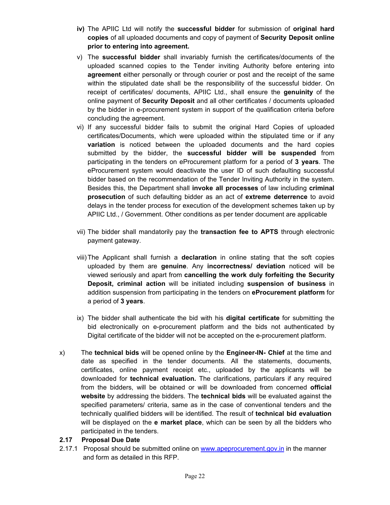- **iv)** The APIIC Ltd will notify the **successful bidder** for submission of **original hard copies** of all uploaded documents and copy of payment of **Security Deposit online prior to entering into agreement.**
- v) The **successful bidder** shall invariably furnish the certificates/documents of the uploaded scanned copies to the Tender inviting Authority before entering into **agreement** either personally or through courier or post and the receipt of the same within the stipulated date shall be the responsibility of the successful bidder. On receipt of certificates/ documents, APIIC Ltd., shall ensure the **genuinity** of the online payment of **Security Deposit** and all other certificates / documents uploaded by the bidder in e-procurement system in support of the qualification criteria before concluding the agreement.
- vi) If any successful bidder fails to submit the original Hard Copies of uploaded certificates/Documents, which were uploaded within the stipulated time or if any **variation** is noticed between the uploaded documents and the hard copies submitted by the bidder, the **successful bidder will be suspended** from participating in the tenders on eProcurement platform for a period of **3 years**. The eProcurement system would deactivate the user ID of such defaulting successful bidder based on the recommendation of the Tender Inviting Authority in the system. Besides this, the Department shall **invoke all processes** of law including **criminal prosecution** of such defaulting bidder as an act of **extreme deterrence** to avoid delays in the tender process for execution of the development schemes taken up by APIIC Ltd., / Government. Other conditions as per tender document are applicable
- vii) The bidder shall mandatorily pay the **transaction fee to APTS** through electronic payment gateway.
- viii) The Applicant shall furnish a **declaration** in online stating that the soft copies uploaded by them are **genuine**. Any **incorrectness/ deviation** noticed will be viewed seriously and apart from **cancelling the work duly forfeiting the Security Deposit, criminal action** will be initiated including **suspension of business** in addition suspension from participating in the tenders on **eProcurement platform** for a period of **3 years**.
- ix) The bidder shall authenticate the bid with his **digital certificate** for submitting the bid electronically on e-procurement platform and the bids not authenticated by Digital certificate of the bidder will not be accepted on the e-procurement platform.
- x) The **technical bids** will be opened online by the **Engineer-IN- Chief** at the time and date as specified in the tender documents. All the statements, documents, certificates, online payment receipt etc., uploaded by the applicants will be downloaded for **technical evaluation.** The clarifications, particulars if any required from the bidders, will be obtained or will be downloaded from concerned **official website** by addressing the bidders. The **technical bids** will be evaluated against the specified parameters/ criteria, same as in the case of conventional tenders and the technically qualified bidders will be identified. The result of **technical bid evaluation** will be displayed on the **e market place**, which can be seen by all the bidders who participated in the tenders.

#### **2.17 Proposal Due Date**

2.17.1 Proposal should be submitted online on www.apeprocurement.gov.in in the manner and form as detailed in this RFP.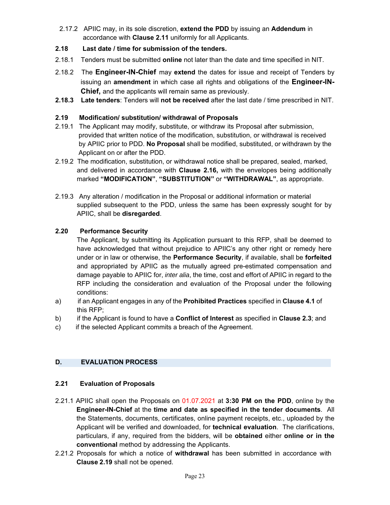2.17.2 APIIC may, in its sole discretion, **extend the PDD** by issuing an **Addendum** in accordance with **Clause 2.11** uniformly for all Applicants.

#### **2.18 Last date / time for submission of the tenders.**

- 2.18.1 Tenders must be submitted **online** not later than the date and time specified in NIT.
- 2.18.2 The **Engineer-IN-Chief** may **extend** the dates for issue and receipt of Tenders by issuing an **amendment** in which case all rights and obligations of the **Engineer-IN-Chief,** and the applicants will remain same as previously.
- **2.18.3 Late tenders**: Tenders will **not be received** after the last date / time prescribed in NIT.

#### **2.19 Modification/ substitution/ withdrawal of Proposals**

- 2.19.1 The Applicant may modify, substitute, or withdraw its Proposal after submission, provided that written notice of the modification, substitution, or withdrawal is received by APIIC prior to PDD. **No Proposal** shall be modified, substituted, or withdrawn by the Applicant on or after the PDD.
- 2.19.2 The modification, substitution, or withdrawal notice shall be prepared, sealed, marked, and delivered in accordance with **Clause 2.16,** with the envelopes being additionally marked **"MODIFICATION"**, **"SUBSTITUTION"** or **"WITHDRAWAL"**, as appropriate.
- 2.19.3 Any alteration / modification in the Proposal or additional information or material supplied subsequent to the PDD, unless the same has been expressly sought for by APIIC, shall be **disregarded**.

#### **2.20 Performance Security**

The Applicant, by submitting its Application pursuant to this RFP, shall be deemed to have acknowledged that without prejudice to APIIC's any other right or remedy here under or in law or otherwise, the **Performance Security**, if available, shall be **forfeited** and appropriated by APIIC as the mutually agreed pre-estimated compensation and damage payable to APIIC for, *inter alia*, the time, cost and effort of APIIC in regard to the RFP including the consideration and evaluation of the Proposal under the following conditions:

- a) if an Applicant engages in any of the **Prohibited Practices** specified in **Clause 4.1** of this RFP;
- b) if the Applicant is found to have a **Conflict of Interest** as specified in **Clause 2.3**; and
- c) if the selected Applicant commits a breach of the Agreement.

#### **D. EVALUATION PROCESS**

#### **2.21 Evaluation of Proposals**

- 2.21.1 APIIC shall open the Proposals on 01.07.2021 at **3:30 PM on the PDD**, online by the **Engineer-IN-Chief** at the **time and date as specified in the tender documents**. All the Statements, documents, certificates, online payment receipts, etc., uploaded by the Applicant will be verified and downloaded, for **technical evaluation**. The clarifications, particulars, if any, required from the bidders, will be **obtained** either **online or in the conventional** method by addressing the Applicants.
- 2.21.2 Proposals for which a notice of **withdrawal** has been submitted in accordance with **Clause 2.19** shall not be opened.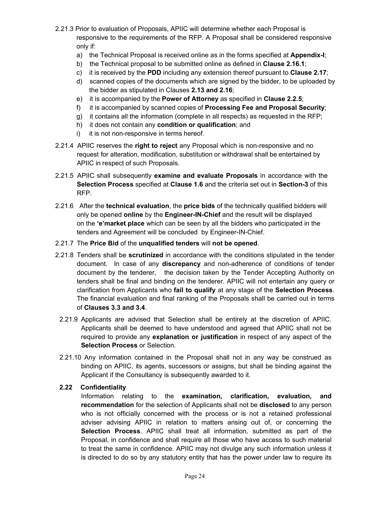- 2.21.3 Prior to evaluation of Proposals, APIIC will determine whether each Proposal is responsive to the requirements of the RFP. A Proposal shall be considered responsive only if:
	- a) the Technical Proposal is received online as in the forms specified at **Appendix-I**;
	- b) the Technical proposal to be submitted online as defined in **Clause 2.16.1**;
	- c) it is received by the **PDD** including any extension thereof pursuant to **Clause 2.17**;
	- d) scanned copies of the documents which are signed by the bidder, to be uploaded by the bidder as stipulated in Clauses **2.13 and 2.16**;
	- e) it is accompanied by the **Power of Attorney** as specified in **Clause 2.2.5**;
	- f) it is accompanied by scanned copies of **Processing Fee and Proposal Security**;
	- g) it contains all the information (complete in all respects) as requested in the RFP;
	- h) it does not contain any **condition or qualification**; and
	- i) it is not non-responsive in terms hereof.
- 2.21.4 APIIC reserves the **right to reject** any Proposal which is non-responsive and no request for alteration, modification, substitution or withdrawal shall be entertained by APIIC in respect of such Proposals.
- 2.21.5 APIIC shall subsequently **examine and evaluate Proposals** in accordance with the **Selection Process** specified at **Clause 1.6** and the criteria set out in **Section-3** of this RFP.
- 2.21.6 After the **technical evaluation**, the **price bids** of the technically qualified bidders will only be opened **online** by the **Engineer-IN-Chief** and the result will be displayed on the **'e'market place** which can be seen by all the bidders who participated in the tenders and Agreement will be concluded by Engineer-IN-Chief.
- 2.21.7 The **Price Bid** of the **unqualified tenders** will **not be opened**.
- 2.21.8 Tenders shall be **scrutinized** in accordance with the conditions stipulated in the tender document. In case of any **discrepancy** and non-adherence of conditions of tender document by the tenderer, the decision taken by the Tender Accepting Authority on tenders shall be final and binding on the tenderer. APIIC will not entertain any query or clarification from Applicants who **fail to qualify** at any stage of the **Selection Process**. The financial evaluation and final ranking of the Proposals shall be carried out in terms of **Clauses 3.3 and 3.4**.
- 2.21.9 Applicants are advised that Selection shall be entirely at the discretion of APIIC. Applicants shall be deemed to have understood and agreed that APIIC shall not be required to provide any **explanation or justification** in respect of any aspect of the **Selection Process** or Selection.
- 2.21.10 Any information contained in the Proposal shall not in any way be construed as binding on APIIC, its agents, successors or assigns, but shall be binding against the Applicant if the Consultancy is subsequently awarded to it.

#### **2.22 Confidentiality**

Information relating to the **examination, clarification, evaluation, and recommendation** for the selection of Applicants shall not be **disclosed** to any person who is not officially concerned with the process or is not a retained professional adviser advising APIIC in relation to matters arising out of, or concerning the **Selection Process**. APIIC shall treat all information, submitted as part of the Proposal, in confidence and shall require all those who have access to such material to treat the same in confidence. APIIC may not divulge any such information unless it is directed to do so by any statutory entity that has the power under law to require its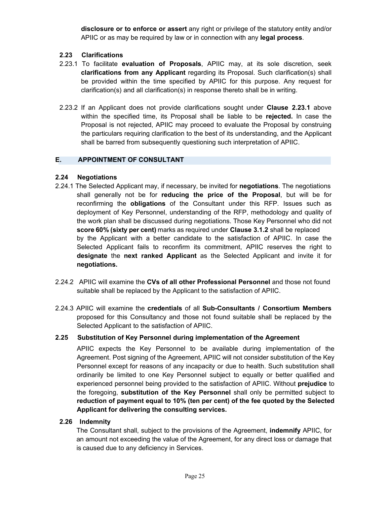**disclosure or to enforce or assert** any right or privilege of the statutory entity and/or APIIC or as may be required by law or in connection with any **legal process**.

#### **2.23 Clarifications**

- 2.23.1 To facilitate **evaluation of Proposals**, APIIC may, at its sole discretion, seek **clarifications from any Applicant** regarding its Proposal. Such clarification(s) shall be provided within the time specified by APIIC for this purpose. Any request for clarification(s) and all clarification(s) in response thereto shall be in writing.
- 2.23.2 If an Applicant does not provide clarifications sought under **Clause 2.23.1** above within the specified time, its Proposal shall be liable to be **rejected.** In case the Proposal is not rejected, APIIC may proceed to evaluate the Proposal by construing the particulars requiring clarification to the best of its understanding, and the Applicant shall be barred from subsequently questioning such interpretation of APIIC.

#### **E. APPOINTMENT OF CONSULTANT**

#### **2.24 Negotiations**

- 2.24.1 The Selected Applicant may, if necessary, be invited for **negotiations**. The negotiations shall generally not be for **reducing the price of the Proposal**, but will be for reconfirming the **obligations** of the Consultant under this RFP. Issues such as deployment of Key Personnel, understanding of the RFP, methodology and quality of the work plan shall be discussed during negotiations. Those Key Personnel who did not **score 60% (sixty per cent)** marks as required under **Clause 3.1.2** shall be replaced by the Applicant with a better candidate to the satisfaction of APIIC. In case the Selected Applicant fails to reconfirm its commitment, APIIC reserves the right to **designate** the **next ranked Applicant** as the Selected Applicant and invite it for **negotiations.**
- 2.24.2 APIIC will examine the **CVs of all other Professional Personnel** and those not found suitable shall be replaced by the Applicant to the satisfaction of APIIC.
- 2.24.3 APIIC will examine the **credentials** of all **Sub-Consultants / Consortium Members** proposed for this Consultancy and those not found suitable shall be replaced by the Selected Applicant to the satisfaction of APIIC.

#### **2.25 Substitution of Key Personnel during implementation of the Agreement**

APIIC expects the Key Personnel to be available during implementation of the Agreement. Post signing of the Agreement, APIIC will not consider substitution of the Key Personnel except for reasons of any incapacity or due to health. Such substitution shall ordinarily be limited to one Key Personnel subject to equally or better qualified and experienced personnel being provided to the satisfaction of APIIC. Without **prejudice** to the foregoing, **substitution of the Key Personnel** shall only be permitted subject to **reduction of payment equal to 10% (ten per cent) of the fee quoted by the Selected Applicant for delivering the consulting services.**

#### **2.26 Indemnity**

The Consultant shall, subject to the provisions of the Agreement, **indemnify** APIIC, for an amount not exceeding the value of the Agreement, for any direct loss or damage that is caused due to any deficiency in Services.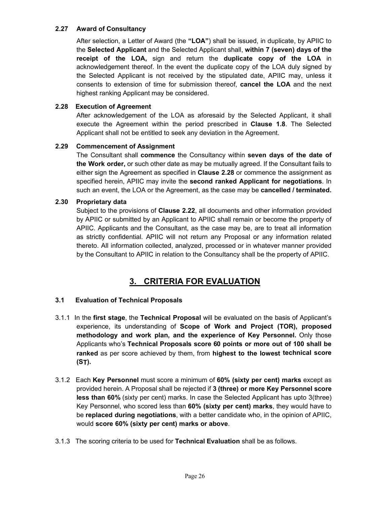#### **2.27 Award of Consultancy**

After selection, a Letter of Award (the **"LOA"**) shall be issued, in duplicate, by APIIC to the **Selected Applicant** and the Selected Applicant shall, **within 7 (seven) days of the receipt of the LOA,** sign and return the **duplicate copy of the LOA** in acknowledgement thereof. In the event the duplicate copy of the LOA duly signed by the Selected Applicant is not received by the stipulated date, APIIC may, unless it consents to extension of time for submission thereof, **cancel the LOA** and the next highest ranking Applicant may be considered.

#### **2.28 Execution of Agreement**

After acknowledgement of the LOA as aforesaid by the Selected Applicant, it shall execute the Agreement within the period prescribed in **Clause 1.8**. The Selected Applicant shall not be entitled to seek any deviation in the Agreement.

#### **2.29 Commencement of Assignment**

The Consultant shall **commence** the Consultancy within **seven days of the date of the Work order,** or such other date as may be mutually agreed. If the Consultant fails to either sign the Agreement as specified in **Clause 2.28** or commence the assignment as specified herein, APIIC may invite the **second ranked Applicant for negotiations**. In such an event, the LOA or the Agreement, as the case may be **cancelled / terminated.** 

#### **2.30 Proprietary data**

Subject to the provisions of **Clause 2.22**, all documents and other information provided by APIIC or submitted by an Applicant to APIIC shall remain or become the property of APIIC. Applicants and the Consultant, as the case may be, are to treat all information as strictly confidential. APIIC will not return any Proposal or any information related thereto. All information collected, analyzed, processed or in whatever manner provided by the Consultant to APIIC in relation to the Consultancy shall be the property of APIIC.

### **3. CRITERIA FOR EVALUATION**

#### **3.1 Evaluation of Technical Proposals**

- 3.1.1 In the **first stage**, the **Technical Proposal** will be evaluated on the basis of Applicant's experience, its understanding of **Scope of Work and Project (TOR), proposed methodology and work plan, and the experience of Key Personnel.** Only those Applicants who's **Technical Proposals score 60 points or more out of 100 shall be ranked** as per score achieved by them, from **highest to the lowest technical score (ST).**
- 3.1.2 Each **Key Personnel** must score a minimum of **60% (sixty per cent) marks** except as provided herein. A Proposal shall be rejected if **3 (three) or more Key Personnel score less than 60%** (sixty per cent) marks. In case the Selected Applicant has upto 3(three) Key Personnel, who scored less than **60% (sixty per cent) marks**, they would have to be **replaced during negotiations**, with a better candidate who, in the opinion of APIIC, would **score 60% (sixty per cent) marks or above**.
- 3.1.3 The scoring criteria to be used for **Technical Evaluation** shall be as follows.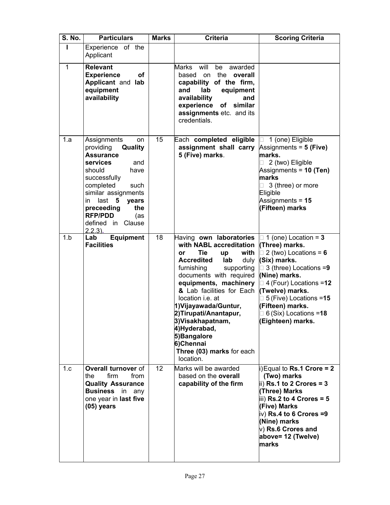| <b>S. No.</b> | <b>Particulars</b>                                                                                                                                                                                                                                                            | <b>Marks</b> | <b>Criteria</b>                                                                                                                                                                                                                                                                                                                                                                                                 | <b>Scoring Criteria</b>                                                                                                                                                                                                                                                                                       |
|---------------|-------------------------------------------------------------------------------------------------------------------------------------------------------------------------------------------------------------------------------------------------------------------------------|--------------|-----------------------------------------------------------------------------------------------------------------------------------------------------------------------------------------------------------------------------------------------------------------------------------------------------------------------------------------------------------------------------------------------------------------|---------------------------------------------------------------------------------------------------------------------------------------------------------------------------------------------------------------------------------------------------------------------------------------------------------------|
| L             | Experience of the<br>Applicant                                                                                                                                                                                                                                                |              |                                                                                                                                                                                                                                                                                                                                                                                                                 |                                                                                                                                                                                                                                                                                                               |
| $\mathbf{1}$  | <b>Relevant</b><br><b>Experience</b><br><b>of</b><br>Applicant and lab<br>equipment<br>availability                                                                                                                                                                           |              | will<br>Marks<br>be<br>awarded<br>on the overall<br>based<br>capability of the firm,<br>lab<br>and<br>equipment<br>availability<br>and<br>experience<br>similar<br>of<br>assignments etc. and its<br>credentials.                                                                                                                                                                                               |                                                                                                                                                                                                                                                                                                               |
| 1.a           | Assignments<br>on<br>Quality<br>providing<br><b>Assurance</b><br>services<br>and<br>should<br>have<br>successfully<br>completed<br>such<br>similar assignments<br>$last$ 5<br>in<br>years<br>the<br>preceeding<br><b>RFP/PDD</b><br>(as<br>Clause<br>defined in<br>$2.2.3$ ). | 15           | Each completed eligible<br>assignment shall carry<br>5 (Five) marks.                                                                                                                                                                                                                                                                                                                                            | 1 (one) Eligible<br>Assignments = $5$ (Five)<br>marks.<br>2 (two) Eligible<br>Assignments = $10$ (Ten)<br>marks<br>3 (three) or more<br>Eligible<br>Assignments = $15$<br>(Fifteen) marks                                                                                                                     |
| 1.b           | <b>Equipment</b><br>Lab<br><b>Facilities</b>                                                                                                                                                                                                                                  | 18           | Having own laboratories<br>with NABL accreditation<br>with<br>Tie<br>or<br>up<br><b>Accredited</b><br>lab<br>duly<br>furnishing<br>supporting<br>documents with required<br>equipments, machinery<br>& Lab facilities for Each<br>location i.e. at<br>1) Vijayawada/Guntur,<br>2)Tirupati/Anantapur,<br>3)Visakhapatnam,<br>4)Hyderabad,<br>5) Bangalore<br>6)Chennai<br>Three (03) marks for each<br>location. | $\Box$ 1 (one) Location = 3<br>(Three) marks.<br>$\Box$ 2 (two) Locations = 6<br>(Six) marks.<br>$\Box$ 3 (three) Locations =9<br>(Nine) marks.<br>$\Box$ 4 (Four) Locations =12<br>(Twelve) marks.<br>$\Box$ 5 (Five) Locations =15<br>(Fifteen) marks.<br>$\Box$ 6 (Six) Locations =18<br>∥Eighteen) marks. |
| 1.c           | Overall turnover of<br>firm<br>the<br>from<br><b>Quality Assurance</b><br><b>Business</b><br>in any<br>one year in last five<br>$(05)$ years                                                                                                                                  | 12           | Marks will be awarded<br>based on the overall<br>capability of the firm                                                                                                                                                                                                                                                                                                                                         | i) Equal to Rs.1 Crore = 2<br>(Two) marks<br>$\overline{\phantom{a}}$ ii) Rs.1 to 2 Crores = 3<br>(Three) Marks<br>$\overline{\text{liil}}$ Rs.2 to 4 Crores = 5<br>(Five) Marks<br>$ v\rangle$ Rs.4 to 6 Crores =9<br>(Nine) marks<br>$ v\rangle$ Rs.6 Crores and<br>above= 12 (Twelve)<br>marks             |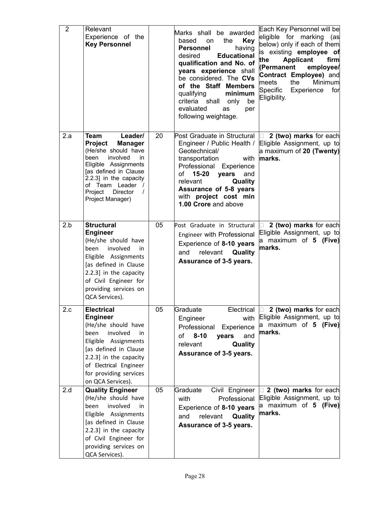| $\overline{2}$ | Relevant<br>Experience of the<br><b>Key Personnel</b>                                                                                                                                                                                                    |    | Marks shall be awarded<br><b>Key</b><br>based<br>the<br>on<br>having<br>Personnel<br><b>Educational</b><br>desired<br>qualification and No. of<br>years experience shall<br>be considered. The CVs<br>of the Staff Members<br>qualifying<br>minimum<br>criteria shall<br>only<br>be<br>evaluated<br>as<br>per<br>following weightage. | Each Key Personnel will be<br>eligible for marking (as<br>below) only if each of them<br>is existing employee of<br>the<br><b>Applicant</b><br>firm<br>(Permanent<br>employee/<br>Contract Employee) and<br>the<br>Minimum<br>meets<br>Specific<br>Experience<br>for<br>Eligibility. |
|----------------|----------------------------------------------------------------------------------------------------------------------------------------------------------------------------------------------------------------------------------------------------------|----|---------------------------------------------------------------------------------------------------------------------------------------------------------------------------------------------------------------------------------------------------------------------------------------------------------------------------------------|--------------------------------------------------------------------------------------------------------------------------------------------------------------------------------------------------------------------------------------------------------------------------------------|
| 2.a            | <b>Team</b><br>Leader/<br>Project<br><b>Manager</b><br>(He/she should have<br>been<br>involved<br>in.<br>Eligible Assignments<br>[as defined in Clause<br>2.2.3] in the capacity<br>of Team Leader /<br>Project Director<br>$\prime$<br>Project Manager) | 20 | Post Graduate in Structural $\Box$ 2 (two) marks for each<br>Engineer / Public Health /<br>Geotechnical/<br>transportation<br>with<br>Professional Experience<br>15-20<br>and<br>of<br>years<br>relevant<br>Quality<br>Assurance of 5-8 years<br>with project cost min<br>1.00 Crore and above                                        | Eligible Assignment, up to<br>a maximum of 20 (Twenty)<br>marks.                                                                                                                                                                                                                     |
| 2.b            | <b>Structural</b><br><b>Engineer</b><br>(He/she should have<br>involved<br>been<br>in<br>Eligible Assignments<br>[as defined in Clause<br>2.2.3] in the capacity<br>of Civil Engineer for<br>providing services on<br>QCA Services).                     | 05 | Post Graduate in Structural<br>Engineer with Professional<br>Experience of 8-10 years<br>relevant <b>Quality</b><br>and<br>Assurance of 3-5 years.                                                                                                                                                                                    | 2 (two) marks for each<br>Eligible Assignment, up to<br>a maximum of 5 (Five)<br>lmarks.                                                                                                                                                                                             |
| 2.c            | <b>Electrical</b><br><b>Engineer</b><br>(He/she should have<br>involved<br>been<br>in<br>Eligible Assignments<br>[as defined in Clause<br>2.2.3] in the capacity<br>of Electrical Engineer<br>for providing services<br>on QCA Services).                | 05 | Graduate<br>with<br>Engineer<br>Professional<br>Experience<br>$8 - 10$<br>and<br>of<br>years<br>relevant<br>Quality<br>Assurance of 3-5 years.                                                                                                                                                                                        | Electrical $\Box$ 2 (two) marks for each<br>Eligible Assignment, up to<br>a maximum of 5 (Five)<br>marks.                                                                                                                                                                            |
| 2.d            | <b>Quality Engineer</b><br>(He/she should have<br>involved<br>been<br>in<br>Eligible Assignments<br>[as defined in Clause<br>2.2.3] in the capacity<br>of Civil Engineer for<br>providing services on<br>QCA Services).                                  | 05 | Graduate<br>Civil Engineer<br>Professional<br>with<br>Experience of 8-10 years<br>relevant <b>Quality</b><br>and<br>Assurance of 3-5 years.                                                                                                                                                                                           | $\Box$ 2 (two) marks for each<br>Eligible Assignment, up to<br>a maximum of 5 (Five)<br>marks.                                                                                                                                                                                       |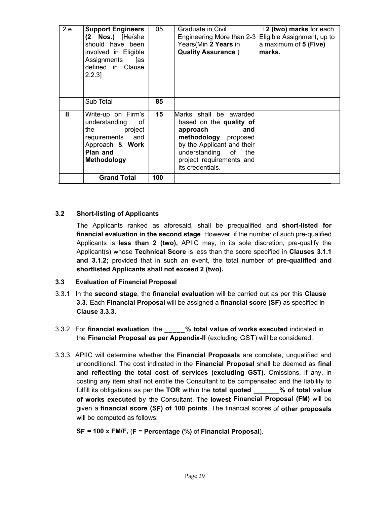| 2.e | <b>Support Engineers</b><br>(2 Nos.) [He/she<br>should have been<br>involved in Eligible<br>Assignments<br>[as<br>defined in Clause<br>$2.2.3$ ] | 05  | Graduate in Civil<br>Engineering More than 2-3 Eligible Assignment, up to<br>Years(Min 2 Years in<br><b>Quality Assurance</b> )                                                                       | $\Box$ 2 (two) marks for each<br>a maximum of 5 (Five)<br>marks. |
|-----|--------------------------------------------------------------------------------------------------------------------------------------------------|-----|-------------------------------------------------------------------------------------------------------------------------------------------------------------------------------------------------------|------------------------------------------------------------------|
|     | Sub Total                                                                                                                                        | 85  |                                                                                                                                                                                                       |                                                                  |
| Ш   | Write-up on Firm's<br>understanding<br>οf<br>the project<br>requirements and<br>Approach & Work<br>Plan and<br><b>Methodology</b>                | 15  | Marks shall be awarded<br>based on the quality of<br>and<br>approach<br>methodology proposed<br>by the Applicant and their<br>understanding of<br>the<br>project requirements and<br>its credentials. |                                                                  |
|     | <b>Grand Total</b>                                                                                                                               | 100 |                                                                                                                                                                                                       |                                                                  |

#### **3.2 Short-listing of Applicants**

The Applicants ranked as aforesaid, shall be prequalified and **short-listed for financial evaluation in the second stage**. However, if the number of such pre-qualified Applicants is **less than 2 (two),** APIIC may, in its sole discretion, pre-qualify the Applicant(s) whose **Technical Score** is less than the score specified in **Clauses 3.1.1 and 3.1.2;** provided that in such an event, the total number of **pre-qualified and shortlisted Applicants shall not exceed 2 (two).**

#### **3.3 Evaluation of Financial Proposal**

- 3.3.1 In the **second stage**, the **financial evaluation** will be carried out as per this **Clause 3.3.** Each **Financial Proposal** will be assigned a **financial score (SF)** as specified in **Clause 3.3.3.**
- 3.3.2 For **financial evaluation**, the \_\_\_\_\_**% total value of works executed** indicated in the **Financial Proposal as per Appendix-II** (excluding GST) will be considered.
- 3.3.3 APIIC will determine whether the **Financial Proposals** are complete, unqualified and unconditional. The cost indicated in the **Financial Proposal** shall be deemed as **final and reflecting the total cost of services (excluding GST).** Omissions, if any, in costing any item shall not entitle the Consultant to be compensated and the liability to fulfill its obligations as per the **TOR** within the **total quoted \_\_\_\_\_\_\_% of total value of works executed** by the Consultant. The **lowest Financial Proposal (FM)** will be given a **financial score (SF) of 100 points**. The financial scores of **other proposals** will be computed as follows:

**SF = 100 x FM/F,** (**F** = **Percentage (%)** of **Financial Proposal**).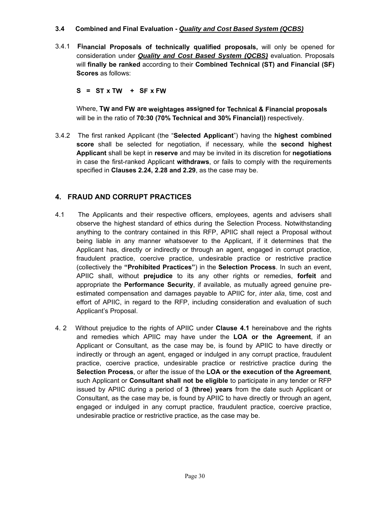#### **3.4 Combined and Final Evaluation -** *Quality and Cost Based System (QCBS)*

3.4.1 **Financial Proposals of technically qualified proposals,** will only be opened for consideration under *Quality and Cost Based System (QCBS)* evaluation. Proposals will **finally be ranked** according to their **Combined Technical (ST) and Financial (SF) Scores** as follows:

 $S = ST \times TW + SF \times FW$ 

Where, **TW and FW are weightages assigned for Technical & Financial proposals** will be in the ratio of **70:30 (70% Technical and 30% Financial))** respectively.

3.4.2 The first ranked Applicant (the "**Selected Applicant**") having the **highest combined score** shall be selected for negotiation, if necessary, while the **second highest Applicant** shall be kept in **reserve** and may be invited in its discretion for **negotiations** in case the first-ranked Applicant **withdraws**, or fails to comply with the requirements specified in **Clauses 2.24, 2.28 and 2.29**, as the case may be.

### **4. FRAUD AND CORRUPT PRACTICES**

- 4.1 The Applicants and their respective officers, employees, agents and advisers shall observe the highest standard of ethics during the Selection Process. Notwithstanding anything to the contrary contained in this RFP, APIIC shall reject a Proposal without being liable in any manner whatsoever to the Applicant, if it determines that the Applicant has, directly or indirectly or through an agent, engaged in corrupt practice, fraudulent practice, coercive practice, undesirable practice or restrictive practice (collectively the **"Prohibited Practices"**) in the **Selection Process**. In such an event, APIIC shall, without **prejudice** to its any other rights or remedies, **forfeit** and appropriate the **Performance Security**, if available, as mutually agreed genuine preestimated compensation and damages payable to APIIC for, *inter alia*, time, cost and effort of APIIC, in regard to the RFP, including consideration and evaluation of such Applicant's Proposal.
- 4. 2 Without prejudice to the rights of APIIC under **Clause 4.1** hereinabove and the rights and remedies which APIIC may have under the **LOA or the Agreement**, if an Applicant or Consultant, as the case may be, is found by APIIC to have directly or indirectly or through an agent, engaged or indulged in any corrupt practice, fraudulent practice, coercive practice, undesirable practice or restrictive practice during the **Selection Process**, or after the issue of the **LOA or the execution of the Agreement**, such Applicant or **Consultant shall not be eligible** to participate in any tender or RFP issued by APIIC during a period of **3 (three) years** from the date such Applicant or Consultant, as the case may be, is found by APIIC to have directly or through an agent, engaged or indulged in any corrupt practice, fraudulent practice, coercive practice, undesirable practice or restrictive practice, as the case may be.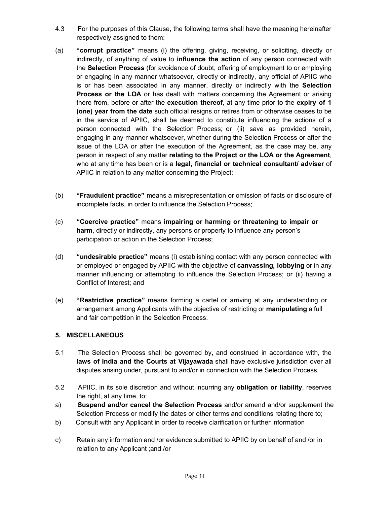- 4.3 For the purposes of this Clause, the following terms shall have the meaning hereinafter respectively assigned to them:
- (a) **"corrupt practice"** means (i) the offering, giving, receiving, or soliciting, directly or indirectly, of anything of value to **influence the action** of any person connected with the **Selection Process** (for avoidance of doubt, offering of employment to or employing or engaging in any manner whatsoever, directly or indirectly, any official of APIIC who is or has been associated in any manner, directly or indirectly with the **Selection Process or the LOA** or has dealt with matters concerning the Agreement or arising there from, before or after the **execution thereof**, at any time prior to the **expiry of 1 (one) year from the date** such official resigns or retires from or otherwise ceases to be in the service of APIIC, shall be deemed to constitute influencing the actions of a person connected with the Selection Process; or (ii) save as provided herein, engaging in any manner whatsoever, whether during the Selection Process or after the issue of the LOA or after the execution of the Agreement, as the case may be, any person in respect of any matter **relating to the Project or the LOA or the Agreement**, who at any time has been or is a **legal, financial or technical consultant/ adviser** of APIIC in relation to any matter concerning the Project;
- (b) **"Fraudulent practice"** means a misrepresentation or omission of facts or disclosure of incomplete facts, in order to influence the Selection Process;
- (c) **"Coercive practice"** means **impairing or harming or threatening to impair or harm**, directly or indirectly, any persons or property to influence any person's participation or action in the Selection Process;
- (d) **"undesirable practice"** means (i) establishing contact with any person connected with or employed or engaged by APIIC with the objective of **canvassing, lobbying** or in any manner influencing or attempting to influence the Selection Process; or (ii) having a Conflict of Interest; and
- (e) **"Restrictive practice"** means forming a cartel or arriving at any understanding or arrangement among Applicants with the objective of restricting or **manipulating** a full and fair competition in the Selection Process.

#### **5. MISCELLANEOUS**

- 5.1 The Selection Process shall be governed by, and construed in accordance with, the **laws of India and the Courts at Vijayawada** shall have exclusive jurisdiction over all disputes arising under, pursuant to and/or in connection with the Selection Process.
- 5.2 APIIC, in its sole discretion and without incurring any **obligation or liability**, reserves the right, at any time, to:
- a) **Suspend and/or cancel the Selection Process** and/or amend and/or supplement the Selection Process or modify the dates or other terms and conditions relating there to;
- b) Consult with any Applicant in order to receive clarification or further information
- c) Retain any information and /or evidence submitted to APIIC by on behalf of and /or in relation to any Applicant ;and /or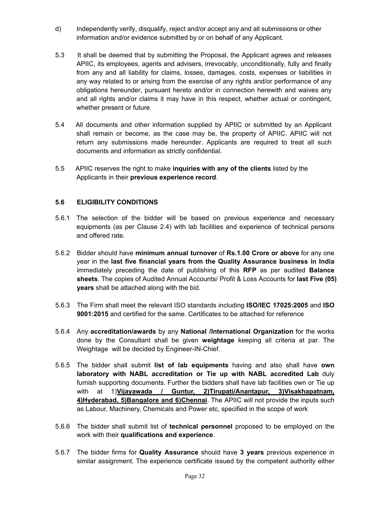- d) Independently verify, disqualify, reject and/or accept any and all submissions or other information and/or evidence submitted by or on behalf of any Applicant.
- 5.3 It shall be deemed that by submitting the Proposal, the Applicant agrees and releases APIIC, its employees, agents and advisers, irrevocably, unconditionally, fully and finally from any and all liability for claims, losses, damages, costs, expenses or liabilities in any way related to or arising from the exercise of any rights and/or performance of any obligations hereunder, pursuant hereto and/or in connection herewith and waives any and all rights and/or claims it may have in this respect, whether actual or contingent, whether present or future.
- 5.4 All documents and other information supplied by APIIC or submitted by an Applicant shall remain or become, as the case may be, the property of APIIC. APIIC will not return any submissions made hereunder. Applicants are required to treat all such documents and information as strictly confidential.
- 5.5 APIIC reserves the right to make **inquiries with any of the clients** listed by the Applicants in their **previous experience record**.

#### **5.6 ELIGIBILITY CONDITIONS**

- 5.6.1 The selection of the bidder will be based on previous experience and necessary equipments (as per Clause 2.4) with lab facilities and experience of technical persons and offered rate.
- 5.6.2 Bidder should have **minimum annual turnover** of **Rs.1.00 Crore or above** for any one year in the **last five financial years from the Quality Assurance business in India** immediately preceding the date of publishing of this **RFP** as per audited **Balance sheets**. The copies of Audited Annual Accounts/ Profit & Loss Accounts for **last Five (05) years** shall be attached along with the bid.
- 5.6.3 The Firm shall meet the relevant ISO standards including **ISO/IEC 17025:2005** and **ISO 9001:2015** and certified for the same. Certificates to be attached for reference
- 5.6.4 Any **accreditation/awards** by any **National /International Organization** for the works done by the Consultant shall be given **weightage** keeping all criteria at par. The Weightage will be decided by Engineer-IN-Chief.
- 5.6.5 The bidder shall submit **list of lab equipments** having and also shall have **own laboratory with NABL accreditation or Tie up with NABL accredited Lab** duly furnish supporting documents. Further the bidders shall have lab facilities own or Tie up with at 1)**Vijayawada / Guntur, 2)Tirupati/Anantapur, 3)Visakhapatnam, 4)Hyderabad, 5)Bangalore and 6)Chennai**. The APIIC will not provide the inputs such as Labour, Machinery, Chemicals and Power etc, specified in the scope of work
- 5.6.6 The bidder shall submit list of **technical personnel** proposed to be employed on the work with their **qualifications and experience**.
- 5.6.7 The bidder firms for **Quality Assurance** should have **3 years** previous experience in similar assignment. The experience certificate issued by the competent authority either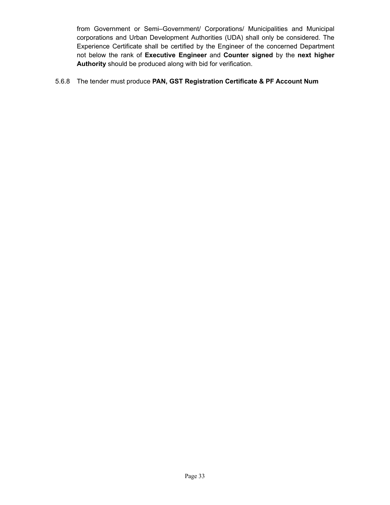from Government or Semi–Government/ Corporations/ Municipalities and Municipal corporations and Urban Development Authorities (UDA) shall only be considered. The Experience Certificate shall be certified by the Engineer of the concerned Department not below the rank of **Executive Engineer** and **Counter signed** by the **next higher Authority** should be produced along with bid for verification.

#### 5.6.8 The tender must produce **PAN, GST Registration Certificate & PF Account Num**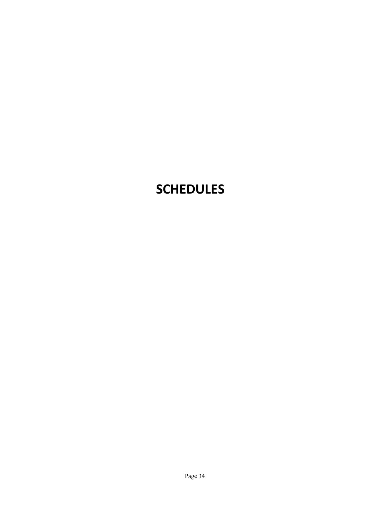# **SCHEDULES**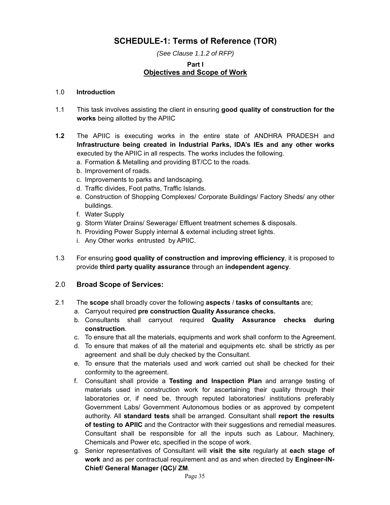## **SCHEDULE-1: Terms of Reference (TOR)**

*(See Clause 1.1.2 of RFP)*

## **Part I Objectives and Scope of Work**

#### 1.0 **Introduction**

- 1.1 This task involves assisting the client in ensuring **good quality of construction for the works** being allotted by the APIIC
- **1.2** The APIIC is executing works in the entire state of ANDHRA PRADESH and **Infrastructure being created in Industrial Parks, IDA's IEs and any other works** executed by the APIIC in all respects. The works includes the following.
	- a. Formation & Metalling and providing BT/CC to the roads.
	- b. Improvement of roads.
	- c. Improvements to parks and landscaping.
	- d. Traffic divides, Foot paths, Traffic Islands.
	- e. Construction of Shopping Complexes/ Corporate Buildings/ Factory Sheds/ any other buildings.
	- f. Water Supply
	- g. Storm Water Drains/ Sewerage/ Effluent treatment schemes & disposals.
	- h. Providing Power Supply internal & external including street lights.
	- i. Any Other works entrusted by APIIC.
- 1.3 For ensuring **good quality of construction and improving efficiency**, it is proposed to provide **third party quality assurance** through an **independent agency**.

## 2.0 **Broad Scope of Services:**

- 2.1 The **scope** shall broadly cover the following **aspects** / **tasks of consultants** are;
	- a. Carryout required **pre construction Quality Assurance checks.**
	- b. Consultants shall carryout required **Quality Assurance checks during construction**.
	- c. To ensure that all the materials, equipments and work shall conform to the Agreement.
	- d. To ensure that makes of all the material and equipments etc. shall be strictly as per agreement and shall be duly checked by the Consultant.
	- e. To ensure that the materials used and work carried out shall be checked for their conformity to the agreement.
	- f. Consultant shall provide a **Testing and Inspection Plan** and arrange testing of materials used in construction work for ascertaining their quality through their laboratories or, if need be, through reputed laboratories/ institutions preferably Government Labs/ Government Autonomous bodies or as approved by competent authority. All **standard tests** shall be arranged. Consultant shall **report the results of testing to APIIC** and the Contractor with their suggestions and remedial measures. Consultant shall be responsible for all the inputs such as Labour, Machinery, Chemicals and Power etc, specified in the scope of work.
	- g. Senior representatives of Consultant will **visit the site** regularly at **each stage of work** and as per contractual requirement and as and when directed by **Engineer-IN-Chief/ General Manager (QC)/ ZM**.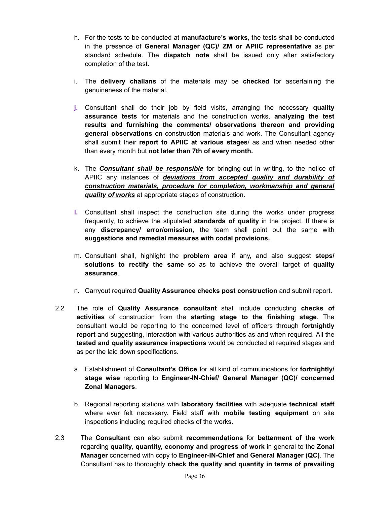- h. For the tests to be conducted at **manufacture's works**, the tests shall be conducted in the presence of **General Manager (QC)/ ZM or APIIC representative** as per standard schedule. The **dispatch note** shall be issued only after satisfactory completion of the test.
- i. The **delivery challans** of the materials may be **checked** for ascertaining the genuineness of the material.
- **j.** Consultant shall do their job by field visits, arranging the necessary **quality assurance tests** for materials and the construction works, **analyzing the test results and furnishing the comments/ observations thereon and providing general observations** on construction materials and work. The Consultant agency shall submit their **report to APIIC at various stages**/ as and when needed other than every month but **not later than 7th of every month.**
- k. The *Consultant shall be responsible* for bringing-out in writing, to the notice of APIIC any instances of *deviations from accepted quality and durability of construction materials, procedure for completion, workmanship and general quality of works* at appropriate stages of construction.
- **l.** Consultant shall inspect the construction site during the works under progress frequently, to achieve the stipulated **standards of quality** in the project. If there is any **discrepancy/ error/omission**, the team shall point out the same with **suggestions and remedial measures with codal provisions.**
- m. Consultant shall, highlight the **problem area** if any, and also suggest **steps/ solutions to rectify the same** so as to achieve the overall target of **quality assurance**.
- n. Carryout required **Quality Assurance checks post construction** and submit report.
- 2.2 The role of **Quality Assurance consultant** shall include conducting **checks of activities** of construction from the **starting stage to the finishing stage**. The consultant would be reporting to the concerned level of officers through **fortnightly report** and suggesting, interaction with various authorities as and when required. All the **tested and quality assurance inspections** would be conducted at required stages and as per the laid down specifications.
	- a. Establishment of **Consultant's Office** for all kind of communications for **fortnightly/ stage wise** reporting to **Engineer-IN-Chief/ General Manager (QC)/ concerned Zonal Managers**.
	- b. Regional reporting stations with **laboratory facilities** with adequate **technical staff** where ever felt necessary. Field staff with **mobile testing equipment** on site inspections including required checks of the works.
- 2.3 The **Consultant** can also submit **recommendations** for **betterment of the work** regarding **quality, quantity, economy and progress of work** in general to the **Zonal Manager** concerned with copy to **Engineer-IN-Chief and General Manager (QC)**. The Consultant has to thoroughly **check the quality and quantity in terms of prevailing**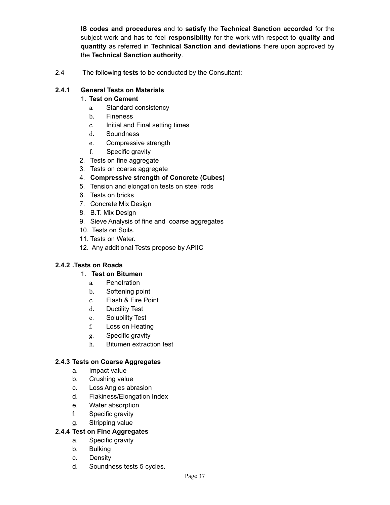**IS codes and procedures** and to **satisfy** the **Technical Sanction accorded** for the subject work and has to feel **responsibility** for the work with respect to **quality and quantity** as referred in **Technical Sanction and deviations** there upon approved by the **Technical Sanction authority**.

2.4 The following **tests** to be conducted by the Consultant:

## **2.4.1 General Tests on Materials**

#### 1. **Test on Cement**

- a. Standard consistency
- b. Fineness
- c. Initial and Final setting times
- d. Soundness
- e. Compressive strength
- f. Specific gravity
- 2. Tests on fine aggregate
- 3. Tests on coarse aggregate
- 4. **Compressive strength of Concrete (Cubes)**
- 5. Tension and elongation tests on steel rods
- 6. Tests on bricks
- 7. Concrete Mix Design
- 8. B.T. Mix Design
- 9. Sieve Analysis of fine and coarse aggregates
- 10. Tests on Soils.
- 11. Tests on Water.
- 12. Any additional Tests propose by APIIC

## **2.4.2 .Tests on Roads**

#### 1. **Test on Bitumen**

- a. Penetration
- b. Softening point
- c. Flash & Fire Point
- d. Ductility Test
- e. Solubility Test
- f. Loss on Heating
- g. Specific gravity
- h. Bitumen extraction test

## **2.4.3 Tests on Coarse Aggregates**

- a. Impact value
- b. Crushing value
- c. Loss Angles abrasion
- d. Flakiness/Elongation Index
- e. Water absorption
- f. Specific gravity
- g. Stripping value

#### **2.4.4 Test on Fine Aggregates**

- a. Specific gravity
- b. Bulking
- c. Density
- d. Soundness tests 5 cycles.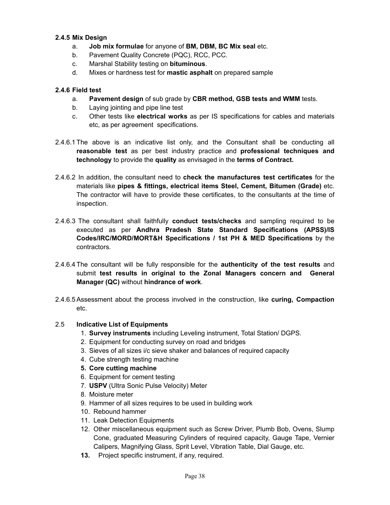#### **2.4.5 Mix Design**

- a. **Job mix formulae** for anyone of **BM, DBM, BC Mix seal** etc.
- b. Pavement Quality Concrete (PQC), RCC, PCC.
- c. Marshal Stability testing on **bituminous**.
- d. Mixes or hardness test for **mastic asphalt** on prepared sample

### **2.4.6 Field test**

- a. **Pavement design** of sub grade by **CBR method, GSB tests and WMM** tests.
- b. Laying jointing and pipe line test
- c. Other tests like **electrical works** as per IS specifications for cables and materials etc, as per agreement specifications.
- 2.4.6.1 The above is an indicative list only, and the Consultant shall be conducting all **reasonable test** as per best industry practice and **professional techniques and technology** to provide the **quality** as envisaged in the **terms of Contract.**
- 2.4.6.2 In addition, the consultant need to **check the manufactures test certificates** for the materials like **pipes & fittings, electrical items Steel, Cement, Bitumen (Grade)** etc. The contractor will have to provide these certificates, to the consultants at the time of inspection.
- 2.4.6.3 The consultant shall faithfully **conduct tests/checks** and sampling required to be executed as per **Andhra Pradesh State Standard Specifications (APSS)/IS Codes/IRC/MORD/MORT&H Specifications / 1st PH & MED Specifications** by the contractors.
- 2.4.6.4 The consultant will be fully responsible for the **authenticity of the test results** and submit **test results in original to the Zonal Managers concern and General Manager (QC)** without **hindrance of work**.
- 2.4.6.5 Assessment about the process involved in the construction, like **curing, Compaction** etc.

## 2.5 **Indicative List of Equipments**

- 1. **Survey instruments** including Leveling instrument, Total Station/ DGPS.
- 2. Equipment for conducting survey on road and bridges
- 3. Sieves of all sizes i/c sieve shaker and balances of required capacity
- 4. Cube strength testing machine
- **5. Core cutting machine**
- 6. Equipment for cement testing
- 7. **USPV** (Ultra Sonic Pulse Velocity) Meter
- 8. Moisture meter
- 9. Hammer of all sizes requires to be used in building work
- 10. Rebound hammer
- 11. Leak Detection Equipments
- 12. Other miscellaneous equipment such as Screw Driver, Plumb Bob, Ovens, Slump Cone, graduated Measuring Cylinders of required capacity, Gauge Tape, Vernier Calipers, Magnifying Glass, Sprit Level, Vibration Table, Dial Gauge, etc.
- **13.** Project specific instrument, if any, required.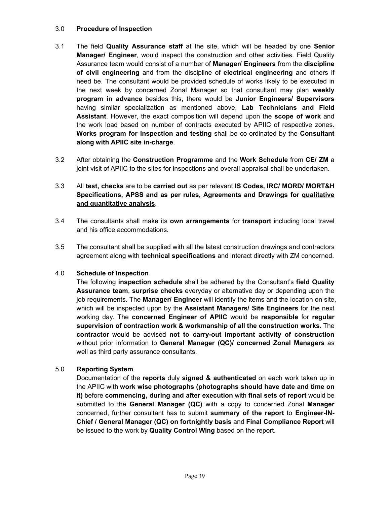#### 3.0 **Procedure of Inspection**

- 3.1 The field **Quality Assurance staff** at the site, which will be headed by one **Senior Manager/ Engineer**, would inspect the construction and other activities. Field Quality Assurance team would consist of a number of **Manager/ Engineers** from the **discipline of civil engineering** and from the discipline of **electrical engineering** and others if need be. The consultant would be provided schedule of works likely to be executed in the next week by concerned Zonal Manager so that consultant may plan **weekly program in advance** besides this, there would be **Junior Engineers/ Supervisors** having similar specialization as mentioned above, **Lab Technicians and Field Assistant**. However, the exact composition will depend upon the **scope of work** and the work load based on number of contracts executed by APIIC of respective zones. **Works program for inspection and testing** shall be co-ordinated by the **Consultant along with APIIC site in-charge**.
- 3.2 After obtaining the **Construction Programme** and the **Work Schedule** from **CE/ ZM** a joint visit of APIIC to the sites for inspections and overall appraisal shall be undertaken.

## 3.3 All **test, checks** are to be **carried out** as per relevant **IS Codes, IRC/ MORD/ MORT&H Specifications, APSS and as per rules, Agreements and Drawings for qualitative and quantitative analysis**.

- 3.4 The consultants shall make its **own arrangements** for **transport** including local travel and his office accommodations.
- 3.5 The consultant shall be supplied with all the latest construction drawings and contractors agreement along with **technical specifications** and interact directly with ZM concerned.

#### 4.0 **Schedule of Inspection**

The following **inspection schedule** shall be adhered by the Consultant's **field Quality Assurance team**, **surprise checks** everyday or alternative day or depending upon the job requirements. The **Manager/ Engineer** will identify the items and the location on site, which will be inspected upon by the **Assistant Managers/ Site Engineers** for the next working day. The **concerned Engineer of APIIC** would be **responsible** for **regular supervision of contraction work & workmanship of all the construction works**. The **contractor** would be advised **not to carry-out important activity of construction** without prior information to **General Manager (QC)/ concerned Zonal Managers** as well as third party assurance consultants.

## 5.0 **Reporting System**

Documentation of the **reports** duly **signed & authenticated** on each work taken up in the APIIC with **work wise photographs (photographs should have date and time on it)** before **commencing, during and after execution** with **final sets of report** would be submitted to the **General Manager (QC)** with a copy to concerned Zonal **Manager** concerned, further consultant has to submit **summary of the report** to **Engineer-IN-Chief / General Manager (QC) on fortnightly basis** and **Final Compliance Report** will be issued to the work by **Quality Control Wing** based on the report.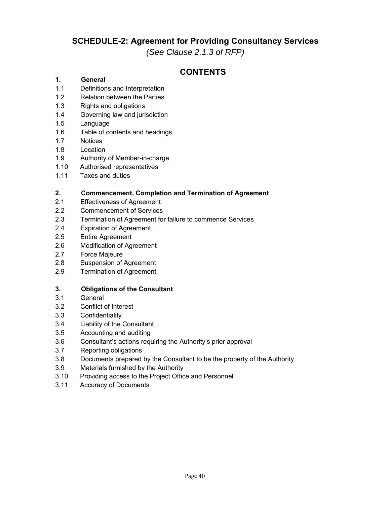## **SCHEDULE-2: Agreement for Providing Consultancy Services**

*(See Clause 2.1.3 of RFP)*

## **CONTENTS**

## **1. General**

- 1.1 Definitions and Interpretation
- 1.2 Relation between the Parties
- 1.3 Rights and obligations
- 1.4 Governing law and jurisdiction
- 1.5 Language
- 1.6 Table of contents and headings
- 1.7 Notices
- 1.8 Location
- 1.9 Authority of Member-in-charge
- 1.10 Authorised representatives
- 1.11 Taxes and duties

## **2. Commencement, Completion and Termination of Agreement**

- 2.1 Effectiveness of Agreement
- 2.2 Commencement of Services
- 2.3 Termination of Agreement for failure to commence Services
- 2.4 Expiration of Agreement
- 2.5 Entire Agreement
- 2.6 Modification of Agreement
- 2.7 Force Majeure
- 2.8 Suspension of Agreement
- 2.9 Termination of Agreement

#### **3. Obligations of the Consultant**

- 3.1 General
- 3.2 Conflict of Interest
- 3.3 Confidentiality
- 3.4 Liability of the Consultant
- 3.5 Accounting and auditing
- 3.6 Consultant's actions requiring the Authority's prior approval
- 3.7 Reporting obligations
- 3.8 Documents prepared by the Consultant to be the property of the Authority
- 3.9 Materials furnished by the Authority
- 3.10 Providing access to the Project Office and Personnel
- 3.11 Accuracy of Documents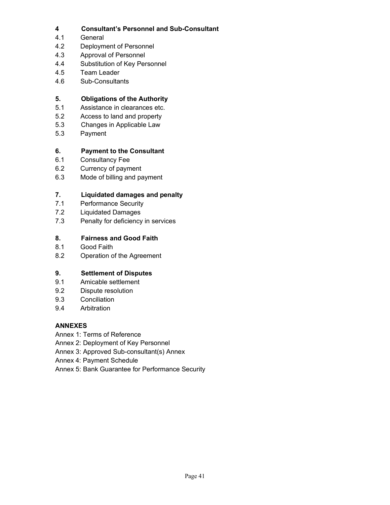## **4 Consultant's Personnel and Sub-Consultant**

- 4.1 General
- 4.2 Deployment of Personnel
- 4.3 Approval of Personnel
- 4.4 Substitution of Key Personnel
- 4.5 Team Leader
- 4.6 Sub-Consultants

## **5. Obligations of the Authority**

- 5.1 Assistance in clearances etc.
- 5.2 Access to land and property
- 5.3 Changes in Applicable Law
- 5.3 Payment

## **6. Payment to the Consultant**

- 6.1 Consultancy Fee
- 6.2 Currency of payment
- 6.3 Mode of billing and payment

## **7. Liquidated damages and penalty**

- 7.1 Performance Security
- 7.2 Liquidated Damages
- 7.3 Penalty for deficiency in services

## **8. Fairness and Good Faith**

- 8.1 Good Faith
- 8.2 Operation of the Agreement

## **9. Settlement of Disputes**

- 9.1 Amicable settlement
- 9.2 Dispute resolution
- 9.3 Conciliation
- 9.4 Arbitration

## **ANNEXES**

- Annex 1: Terms of Reference
- Annex 2: Deployment of Key Personnel
- Annex 3: Approved Sub-consultant(s) Annex
- Annex 4: Payment Schedule
- Annex 5: Bank Guarantee for Performance Security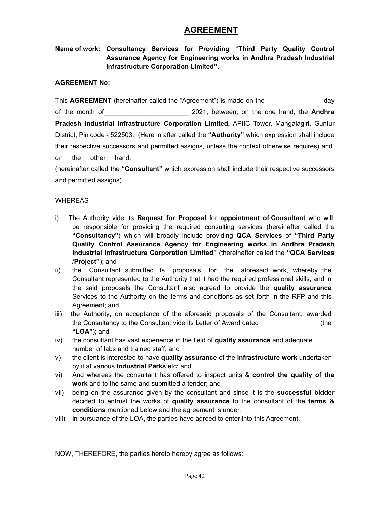## **AGREEMENT**

## **Name of work: Consultancy Services for Providing "Third Party Quality Control Assurance Agency for Engineering works in Andhra Pradesh Industrial Infrastructure Corporation Limited".**

#### **AGREEMENT No:**

This **AGREEMENT** (hereinafter called the "Agreement") is made on the **Example 2** day of the month of\_\_\_\_\_\_\_\_\_\_\_\_\_\_\_\_\_\_\_\_\_\_\_\_\_\_ 2021, between, on the one hand, the **Andhra Pradesh Industrial Infrastructure Corporation Limited**, APIIC Tower, Mangalagiri, Guntur District, Pin code - 522503. (Here in after called the **"Authority"** which expression shall include their respective successors and permitted assigns, unless the context otherwise requires) and, on the other hand, \_\_\_\_\_\_\_\_\_\_\_\_\_\_\_\_\_\_\_\_\_\_\_\_\_\_\_\_\_\_\_\_\_\_\_\_\_\_\_\_\_\_\_ (hereinafter called the **"Consultant"** which expression shall include their respective successors and permitted assigns).

#### WHEREAS

- i) The Authority vide its **Request for Proposal** for **appointment of Consultant** who will be responsible for providing the required consulting services (hereinafter called the **"Consultancy"**) which will broadly include providing **QCA Services** of **"Third Party Quality Control Assurance Agency for Engineering works in Andhra Pradesh Industrial Infrastructure Corporation Limited"** (thereinafter called the **"QCA Services** /**Project"**); and
- ii) the Consultant submitted its proposals for the aforesaid work, whereby the Consultant represented to the Authority that it had the required professional skills, and in the said proposals the Consultant also agreed to provide the **quality assurance** Services to the Authority on the terms and conditions as set forth in the RFP and this Agreement; and
- iii) the Authority, on acceptance of the aforesaid proposals of the Consultant, awarded the Consultancy to the Consultant vide its Letter of Award dated (the **"LOA"**); and
- iv) the consultant has vast experience in the field of **quality assurance** and adequate number of labs and trained staff; and
- v) the client is interested to have **quality assurance** of the **infrastructure work** undertaken by it at various **Industrial Parks** etc; and
- vi) And whereas the consultant has offered to inspect units & **control the quality of the work** and to the same and submitted a tender; and
- vii) being on the assurance given by the consultant and since it is the **successful bidder** decided to entrust the works of **quality assurance** to the consultant of the **terms & conditions** mentioned below and the agreement is under.
- viii) in pursuance of the LOA, the parties have agreed to enter into this Agreement.

NOW, THEREFORE, the parties hereto hereby agree as follows: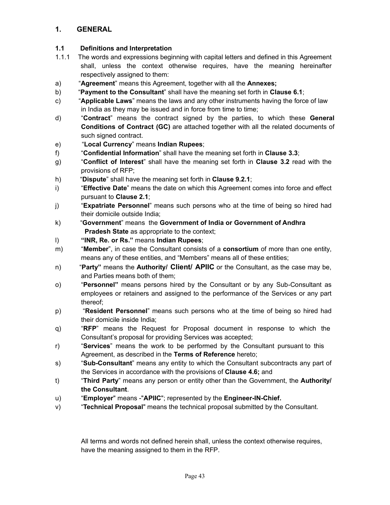## **1. GENERAL**

### **1.1 Definitions and Interpretation**

- 1.1.1 The words and expressions beginning with capital letters and defined in this Agreement shall, unless the context otherwise requires, have the meaning hereinafter respectively assigned to them:
- a) "**Agreement**" means this Agreement, together with all the **Annexes;**
- b) "**Payment to the Consultant**" shall have the meaning set forth in **Clause 6.1**;
- c) "**Applicable Laws**" means the laws and any other instruments having the force of law in India as they may be issued and in force from time to time;
- d) "**Contract**" means the contract signed by the parties, to which these **General Conditions of Contract (GC)** are attached together with all the related documents of such signed contract.
- e) "**Local Currency**" means **Indian Rupees**;
- f) "**Confidential Information**" shall have the meaning set forth in **Clause 3.3**;
- g) "**Conflict of Interest**" shall have the meaning set forth in **Clause 3.2** read with the provisions of RFP;
- h) "**Dispute**" shall have the meaning set forth in **Clause 9.2.1**;
- i) "**Effective Date**" means the date on which this Agreement comes into force and effect pursuant to **Clause 2.1**;
- j) "**Expatriate Personnel**" means such persons who at the time of being so hired had their domicile outside India;
- k) "**Government**" means the **Government of India or Government of Andhra Pradesh State** as appropriate to the context;
- l) **"INR, Re. or Rs."** means **Indian Rupees**;
- m) "**Member**", in case the Consultant consists of a **consortium** of more than one entity, means any of these entities, and "Members" means all of these entities;
- n) "**Party"** means the **Authority/ Client/ APIIC** or the Consultant, as the case may be, and Parties means both of them;
- o) "**Personnel"** means persons hired by the Consultant or by any Sub-Consultant as employees or retainers and assigned to the performance of the Services or any part thereof;
- p) "**Resident Personnel**" means such persons who at the time of being so hired had their domicile inside India;
- q) "**RFP**" means the Request for Proposal document in response to which the Consultant's proposal for providing Services was accepted;
- r) "**Services**" means the work to be performed by the Consultant pursuant to this Agreement, as described in the **Terms of Reference** hereto;
- s) "**Sub-Consultant**" means any entity to which the Consultant subcontracts any part of the Services in accordance with the provisions of **Clause 4.6;** and
- t) "**Third Party**" means any person or entity other than the Government, the **Authority/ the Consultant**.
- u) "**Employer**" means -"**APIIC**"; represented by the **Engineer-IN-Chief.**
- v) "**Technical Proposal**" means the technical proposal submitted by the Consultant.

All terms and words not defined herein shall, unless the context otherwise requires, have the meaning assigned to them in the RFP.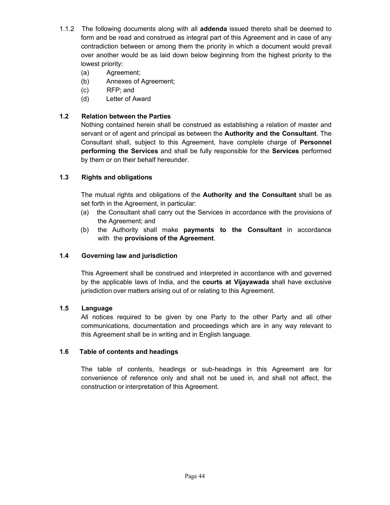- 1.1.2 The following documents along with all **addenda** issued thereto shall be deemed to form and be read and construed as integral part of this Agreement and in case of any contradiction between or among them the priority in which a document would prevail over another would be as laid down below beginning from the highest priority to the lowest priority:
	- (a) Agreement;
	- (b) Annexes of Agreement;
	- (c) RFP; and
	- (d) Letter of Award

## **1.2 Relation between the Parties**

Nothing contained herein shall be construed as establishing a relation of master and servant or of agent and principal as between the **Authority and the Consultant**. The Consultant shall, subject to this Agreement, have complete charge of **Personnel performing the Services** and shall be fully responsible for the **Services** performed by them or on their behalf hereunder.

## **1.3 Rights and obligations**

The mutual rights and obligations of the **Authority and the Consultant** shall be as set forth in the Agreement, in particular:

- (a) the Consultant shall carry out the Services in accordance with the provisions of the Agreement; and
- (b) the Authority shall make **payments to the Consultant** in accordance with the **provisions of the Agreement**.

## **1.4 Governing law and jurisdiction**

This Agreement shall be construed and interpreted in accordance with and governed by the applicable laws of India, and the **courts at Vijayawada** shall have exclusive jurisdiction over matters arising out of or relating to this Agreement.

## **1.5 Language**

All notices required to be given by one Party to the other Party and all other communications, documentation and proceedings which are in any way relevant to this Agreement shall be in writing and in English language.

## **1.6 Table of contents and headings**

The table of contents, headings or sub-headings in this Agreement are for convenience of reference only and shall not be used in, and shall not affect, the construction or interpretation of this Agreement.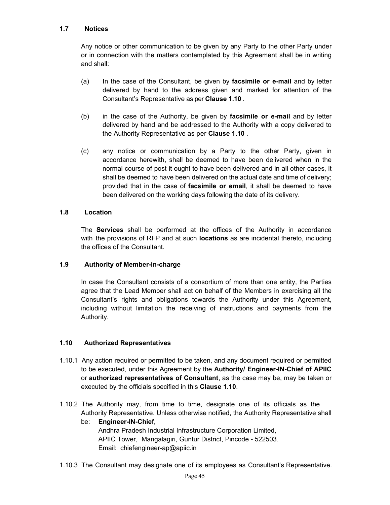#### **1.7 Notices**

Any notice or other communication to be given by any Party to the other Party under or in connection with the matters contemplated by this Agreement shall be in writing and shall:

- (a) In the case of the Consultant, be given by **facsimile or e-mail** and by letter delivered by hand to the address given and marked for attention of the Consultant's Representative as per **Clause 1.10** .
- (b) in the case of the Authority, be given by **facsimile or e-mail** and by letter delivered by hand and be addressed to the Authority with a copy delivered to the Authority Representative as per **Clause 1.10** .
- (c) any notice or communication by a Party to the other Party, given in accordance herewith, shall be deemed to have been delivered when in the normal course of post it ought to have been delivered and in all other cases, it shall be deemed to have been delivered on the actual date and time of delivery; provided that in the case of **facsimile or email**, it shall be deemed to have been delivered on the working days following the date of its delivery.

#### **1.8 Location**

The **Services** shall be performed at the offices of the Authority in accordance with the provisions of RFP and at such **locations** as are incidental thereto, including the offices of the Consultant.

#### **1.9 Authority of Member-in-charge**

In case the Consultant consists of a consortium of more than one entity, the Parties agree that the Lead Member shall act on behalf of the Members in exercising all the Consultant's rights and obligations towards the Authority under this Agreement, including without limitation the receiving of instructions and payments from the Authority.

#### **1.10 Authorized Representatives**

- 1.10.1 Any action required or permitted to be taken, and any document required or permitted to be executed, under this Agreement by the **Authority/ Engineer-IN-Chief of APIIC** or **authorized representatives of Consultant**, as the case may be, may be taken or executed by the officials specified in this **Clause 1.10**.
- 1.10.2 The Authority may, from time to time, designate one of its officials as the Authority Representative. Unless otherwise notified, the Authority Representative shall
	- be: **Engineer-IN-Chief,**  Andhra Pradesh Industrial Infrastructure Corporation Limited, APIIC Tower, Mangalagiri, Guntur District, Pincode - 522503. Email: chiefengineer-ap@apiic.in
- 1.10.3 The Consultant may designate one of its employees as Consultant's Representative.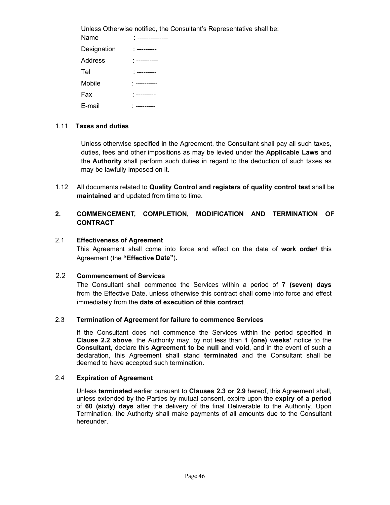Unless Otherwise notified, the Consultant's Representative shall be: Name : -------------Designation : ---------Address : ---------- Tel : ---------Mobile : ---------Fax : ---------E-mail : ---------

#### 1.11 **Taxes and duties**

Unless otherwise specified in the Agreement, the Consultant shall pay all such taxes, duties, fees and other impositions as may be levied under the **Applicable Laws** and the **Authority** shall perform such duties in regard to the deduction of such taxes as may be lawfully imposed on it.

1.12 All documents related to **Quality Control and registers of quality control test** shall be **maintained** and updated from time to time.

## **2. COMMENCEMENT, COMPLETION, MODIFICATION AND TERMINATION OF CONTRACT**

#### 2.1 **Effectiveness of Agreement**

This Agreement shall come into force and effect on the date of **work order/ t**his Agreement (the **"Effective Date"**).

#### 2.2 **Commencement of Services**

The Consultant shall commence the Services within a period of **7 (seven) days** from the Effective Date, unless otherwise this contract shall come into force and effect immediately from the **date of execution of this contract**.

#### 2.3 **Termination of Agreement for failure to commence Services**

If the Consultant does not commence the Services within the period specified in **Clause 2.2 above**, the Authority may, by not less than **1 (one) weeks'** notice to the **Consultant**, declare this **Agreement to be null and void**, and in the event of such a declaration, this Agreement shall stand **terminated** and the Consultant shall be deemed to have accepted such termination.

#### 2.4 **Expiration of Agreement**

Unless **terminated** earlier pursuant to **Clauses 2.3 or 2.9** hereof, this Agreement shall, unless extended by the Parties by mutual consent, expire upon the **expiry of a period** of **60 (sixty) days** after the delivery of the final Deliverable to the Authority. Upon Termination, the Authority shall make payments of all amounts due to the Consultant hereunder.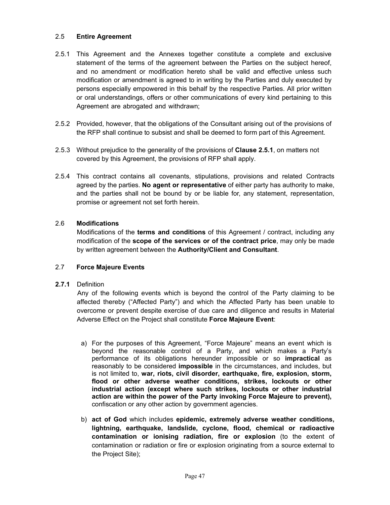### 2.5 **Entire Agreement**

- 2.5.1 This Agreement and the Annexes together constitute a complete and exclusive statement of the terms of the agreement between the Parties on the subject hereof, and no amendment or modification hereto shall be valid and effective unless such modification or amendment is agreed to in writing by the Parties and duly executed by persons especially empowered in this behalf by the respective Parties. All prior written or oral understandings, offers or other communications of every kind pertaining to this Agreement are abrogated and withdrawn;
- 2.5.2 Provided, however, that the obligations of the Consultant arising out of the provisions of the RFP shall continue to subsist and shall be deemed to form part of this Agreement.
- 2.5.3 Without prejudice to the generality of the provisions of **Clause 2.5.1**, on matters not covered by this Agreement, the provisions of RFP shall apply.
- 2.5.4 This contract contains all covenants, stipulations, provisions and related Contracts agreed by the parties. **No agent or representative** of either party has authority to make, and the parties shall not be bound by or be liable for, any statement, representation, promise or agreement not set forth herein.

#### 2.6 **Modifications**

Modifications of the **terms and conditions** of this Agreement / contract, including any modification of the **scope of the services or of the contract price**, may only be made by written agreement between the **Authority/Client and Consultant**.

#### 2.7 **Force Majeure Events**

#### **2.7.1** Definition

Any of the following events which is beyond the control of the Party claiming to be affected thereby ("Affected Party") and which the Affected Party has been unable to overcome or prevent despite exercise of due care and diligence and results in Material Adverse Effect on the Project shall constitute **Force Majeure Event**:

- a) For the purposes of this Agreement, "Force Majeure" means an event which is beyond the reasonable control of a Party, and which makes a Party's performance of its obligations hereunder impossible or so **impractical** as reasonably to be considered **impossible** in the circumstances, and includes, but is not limited to, **war, riots, civil disorder, earthquake, fire, explosion, storm, flood or other adverse weather conditions, strikes, lockouts or other industrial action (except where such strikes, lockouts or other industrial action are within the power of the Party invoking Force Majeure to prevent),**  confiscation or any other action by government agencies.
- b) **act of God** which includes **epidemic, extremely adverse weather conditions, lightning, earthquake, landslide, cyclone, flood, chemical or radioactive contamination or ionising radiation, fire or explosion** (to the extent of contamination or radiation or fire or explosion originating from a source external to the Project Site);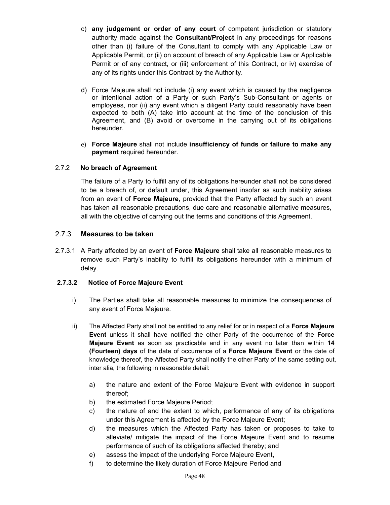- c) **any judgement or order of any court** of competent jurisdiction or statutory authority made against the **Consultant/Project** in any proceedings for reasons other than (i) failure of the Consultant to comply with any Applicable Law or Applicable Permit, or (ii) on account of breach of any Applicable Law or Applicable Permit or of any contract, or (iii) enforcement of this Contract, or iv) exercise of any of its rights under this Contract by the Authority.
- d) Force Majeure shall not include (i) any event which is caused by the negligence or intentional action of a Party or such Party's Sub-Consultant or agents or employees, nor (ii) any event which a diligent Party could reasonably have been expected to both (A) take into account at the time of the conclusion of this Agreement, and (B) avoid or overcome in the carrying out of its obligations hereunder.
- e) **Force Majeure** shall not include **insufficiency of funds or failure to make any payment** required hereunder.

## 2.7.2 **No breach of Agreement**

The failure of a Party to fulfill any of its obligations hereunder shall not be considered to be a breach of, or default under, this Agreement insofar as such inability arises from an event of **Force Majeure**, provided that the Party affected by such an event has taken all reasonable precautions, due care and reasonable alternative measures, all with the objective of carrying out the terms and conditions of this Agreement.

## 2.7.3 **Measures to be taken**

2.7.3.1 A Party affected by an event of **Force Majeure** shall take all reasonable measures to remove such Party's inability to fulfill its obligations hereunder with a minimum of delay.

## **2.7.3.2 Notice of Force Majeure Event**

- i) The Parties shall take all reasonable measures to minimize the consequences of any event of Force Majeure.
- ii) The Affected Party shall not be entitled to any relief for or in respect of a **Force Majeure Event** unless it shall have notified the other Party of the occurrence of the **Force Majeure Event** as soon as practicable and in any event no later than within **14 (Fourteen) days** of the date of occurrence of a **Force Majeure Event** or the date of knowledge thereof, the Affected Party shall notify the other Party of the same setting out, inter alia, the following in reasonable detail:
	- a) the nature and extent of the Force Majeure Event with evidence in support thereof;
	- b) the estimated Force Majeure Period;
	- c) the nature of and the extent to which, performance of any of its obligations under this Agreement is affected by the Force Majeure Event;
	- d) the measures which the Affected Party has taken or proposes to take to alleviate/ mitigate the impact of the Force Majeure Event and to resume performance of such of its obligations affected thereby; and
	- e) assess the impact of the underlying Force Majeure Event,
	- f) to determine the likely duration of Force Majeure Period and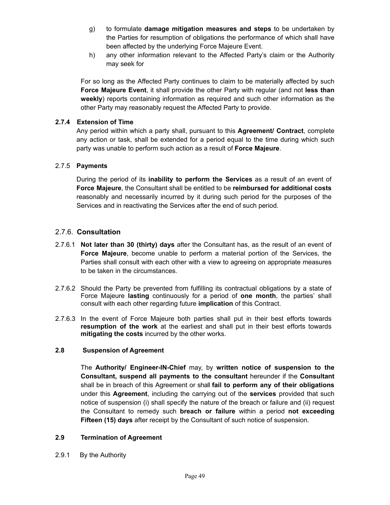- g) to formulate **damage mitigation measures and steps** to be undertaken by the Parties for resumption of obligations the performance of which shall have been affected by the underlying Force Majeure Event.
- h) any other information relevant to the Affected Party's claim or the Authority may seek for

For so long as the Affected Party continues to claim to be materially affected by such **Force Majeure Event**, it shall provide the other Party with regular (and not **less than weekly**) reports containing information as required and such other information as the other Party may reasonably request the Affected Party to provide.

#### **2.7.4 Extension of Time**

Any period within which a party shall, pursuant to this **Agreement/ Contract**, complete any action or task, shall be extended for a period equal to the time during which such party was unable to perform such action as a result of **Force Majeure**.

### 2.7.5 **Payments**

During the period of its **inability to perform the Services** as a result of an event of **Force Majeure**, the Consultant shall be entitled to be **reimbursed for additional costs**  reasonably and necessarily incurred by it during such period for the purposes of the Services and in reactivating the Services after the end of such period.

## 2.7.6. **Consultation**

- 2.7.6.1 **Not later than 30 (thirty) days** after the Consultant has, as the result of an event of **Force Majeure**, become unable to perform a material portion of the Services, the Parties shall consult with each other with a view to agreeing on appropriate measures to be taken in the circumstances.
- 2.7.6.2 Should the Party be prevented from fulfilling its contractual obligations by a state of Force Majeure **lasting** continuously for a period of **one month**, the parties' shall consult with each other regarding future **implication** of this Contract.
- 2.7.6.3 In the event of Force Majeure both parties shall put in their best efforts towards **resumption of the work** at the earliest and shall put in their best efforts towards **mitigating the costs** incurred by the other works.

#### **2.8 Suspension of Agreement**

The **Authority/ Engineer-IN-Chief** may, by **written notice of suspension to the Consultant, suspend all payments to the consultant** hereunder if the **Consultant**  shall be in breach of this Agreement or shall **fail to perform any of their obligations** under this **Agreement**, including the carrying out of the **services** provided that such notice of suspension (i) shall specify the nature of the breach or failure and (ii) request the Consultant to remedy such **breach or failure** within a period **not exceeding Fifteen (15) days** after receipt by the Consultant of such notice of suspension.

#### **2.9 Termination of Agreement**

2.9.1 By the Authority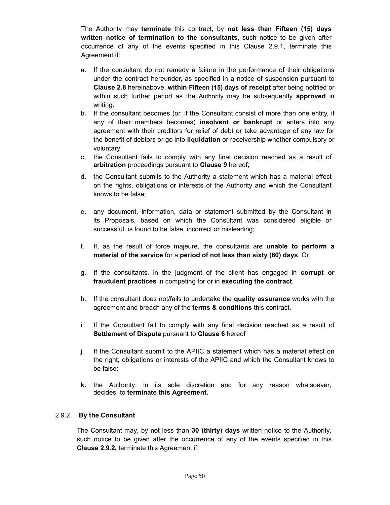The Authority may **terminate** this contract, by **not less than Fifteen (15) days written notice of termination to the consultants**, such notice to be given after occurrence of any of the events specified in this Clause 2.9.1, terminate this Agreement if:

- a. If the consultant do not remedy a failure in the performance of their obligations under the contract hereunder, as specified in a notice of suspension pursuant to **Clause 2.8** hereinabove, **within Fifteen (15) days of receipt** after being notified or within such further period as the Authority may be subsequently **approved** in writing.
- b. If the consultant becomes (or, if the Consultant consist of more than one entity, if any of their members becomes) **insolvent or bankrupt** or enters into any agreement with their creditors for relief of debt or take advantage of any law for the benefit of debtors or go into **liquidation** or receivership whether compulsory or voluntary;
- c. the Consultant fails to comply with any final decision reached as a result of **arbitration** proceedings pursuant to **Clause 9** hereof;
- d. the Consultant submits to the Authority a statement which has a material effect on the rights, obligations or interests of the Authority and which the Consultant knows to be false;
- e. any document, information, data or statement submitted by the Consultant in its Proposals, based on which the Consultant was considered eligible or successful, is found to be false, incorrect or misleading;
- f. If, as the result of force majeure, the consultants are **unable to perform a material of the service** for a **period of not less than sixty (60) days**. Or
- g. If the consultants, in the judgment of the client has engaged in **corrupt or fraudulent practices** in competing for or in **executing the contract**.
- h. If the consultant does not/fails to undertake the **quality assurance** works with the agreement and breach any of the **terms & conditions** this contract.
- i. If the Consultant fail to comply with any final decision reached as a result of **Settlement of Dispute** pursuant to **Clause 6** hereof
- j. If the Consultant submit to the APIIC a statement which has a material effect on the right, obligations or interests of the APIIC and which the Consultant knows to be false;
- **k.** the Authority, in its sole discretion and for any reason whatsoever, decides to **terminate this Agreement.**

#### 2.9.2 **By the Consultant**

The Consultant may, by not less than **30 (thirty) days** written notice to the Authority, such notice to be given after the occurrence of any of the events specified in this **Clause 2.9.2,** terminate this Agreement if: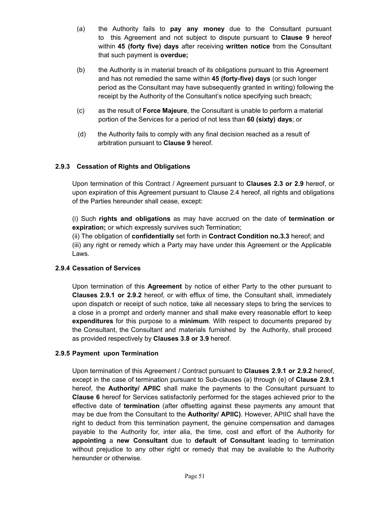- (a) the Authority fails to **pay any money** due to the Consultant pursuant to this Agreement and not subject to dispute pursuant to **Clause 9** hereof within **45 (forty five) days** after receiving **written notice** from the Consultant that such payment is **overdue;**
- (b) the Authority is in material breach of its obligations pursuant to this Agreement and has not remedied the same within **45 (forty-five) days** (or such longer period as the Consultant may have subsequently granted in writing) following the receipt by the Authority of the Consultant's notice specifying such breach;
- (c) as the result of **Force Majeure**, the Consultant is unable to perform a material portion of the Services for a period of not less than **60 (sixty) days**; or
- (d) the Authority fails to comply with any final decision reached as a result of arbitration pursuant to **Clause 9** hereof.

## **2.9.3 Cessation of Rights and Obligations**

Upon termination of this Contract / Agreement pursuant to **Clauses 2.3 or 2.9** hereof, or upon expiration of this Agreement pursuant to Clause 2.4 hereof, all rights and obligations of the Parties hereunder shall cease, except:

(i) Such **rights and obligations** as may have accrued on the date of **termination or expiration;** or which expressly survives such Termination;

(ii) The obligation of **confidentially** set forth in **Contract Condition no.3.3** hereof; and (iii) any right or remedy which a Party may have under this Agreement or the Applicable Laws.

#### **2.9.4 Cessation of Services**

Upon termination of this **Agreement** by notice of either Party to the other pursuant to **Clauses 2.9.1 or 2.9.2** hereof, or with efflux of time, the Consultant shall, immediately upon dispatch or receipt of such notice, take all necessary steps to bring the services to a close in a prompt and orderly manner and shall make every reasonable effort to keep **expenditures** for this purpose to a **minimum**. With respect to documents prepared by the Consultant, the Consultant and materials furnished by the Authority, shall proceed as provided respectively by **Clauses 3.8 or 3.9** hereof.

#### **2.9.5 Payment upon Termination**

Upon termination of this Agreement / Contract pursuant to **Clauses 2.9.1 or 2.9.2** hereof, except in the case of termination pursuant to Sub-clauses (a) through (e) of **Clause 2.9.1** hereof, the **Authority/ APIIC** shall make the payments to the Consultant pursuant to **Clause 6** hereof for Services satisfactorily performed for the stages achieved prior to the effective date of **termination** (after offsetting against these payments any amount that may be due from the Consultant to the **Authority/ APIIC)**. However, APIIC shall have the right to deduct from this termination payment, the genuine compensation and damages payable to the Authority for, inter alia, the time, cost and effort of the Authority for **appointing** a **new Consultant** due to **default of Consultant** leading to termination without prejudice to any other right or remedy that may be available to the Authority hereunder or otherwise.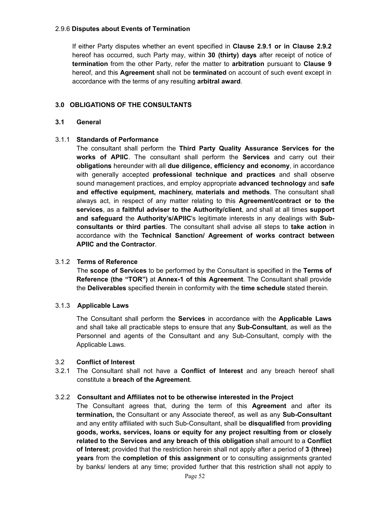#### 2.9.6 **Disputes about Events of Termination**

If either Party disputes whether an event specified in **Clause 2.9.1 or in Clause 2.9.2** hereof has occurred, such Party may, within **30 (thirty) days** after receipt of notice of **termination** from the other Party, refer the matter to **arbitration** pursuant to **Clause 9** hereof, and this **Agreement** shall not be **terminated** on account of such event except in accordance with the terms of any resulting **arbitral award**.

#### **3.0 OBLIGATIONS OF THE CONSULTANTS**

#### **3.1 General**

#### 3.1.1 **Standards of Performance**

The consultant shall perform the **Third Party Quality Assurance Services for the works of APIIC**. The consultant shall perform the **Services** and carry out their **obligations** hereunder with all **due diligence, efficiency and economy**, in accordance with generally accepted **professional technique and practices** and shall observe sound management practices, and employ appropriate **advanced technology** and **safe and effective equipment, machinery, materials and methods**. The consultant shall always act, in respect of any matter relating to this **Agreement/contract or to the services**, as a **faithful adviser to the Authority/client**, and shall at all times **support and safeguard** the **Authority's/APIIC**'s legitimate interests in any dealings with **Subconsultants or third parties**. The consultant shall advise all steps to **take action** in accordance with the **Technical Sanction/ Agreement of works contract between APIIC and the Contractor**.

#### 3.1.2 **Terms of Reference**

The **scope of Services** to be performed by the Consultant is specified in the **Terms of Reference (the "TOR")** at **Annex-1 of this Agreement**. The Consultant shall provide the **Deliverables** specified therein in conformity with the **time schedule** stated therein.

#### 3.1.3 **Applicable Laws**

The Consultant shall perform the **Services** in accordance with the **Applicable Laws** and shall take all practicable steps to ensure that any **Sub-Consultant**, as well as the Personnel and agents of the Consultant and any Sub-Consultant, comply with the Applicable Laws.

#### 3.2 **Conflict of Interest**

3.2.1 The Consultant shall not have a **Conflict of Interest** and any breach hereof shall constitute a **breach of the Agreement**.

#### 3.2.2 **Consultant and Affiliates not to be otherwise interested in the Project**

The Consultant agrees that, during the term of this **Agreement** and after its **termination,** the Consultant or any Associate thereof, as well as any **Sub-Consultant** and any entity affiliated with such Sub-Consultant, shall be **disqualified** from **providing goods, works, services, loans or equity for any project resulting from or closely related to the Services and any breach of this obligation** shall amount to a **Conflict of Interest**; provided that the restriction herein shall not apply after a period of **3 (three) years** from the **completion of this assignment** or to consulting assignments granted by banks/ lenders at any time; provided further that this restriction shall not apply to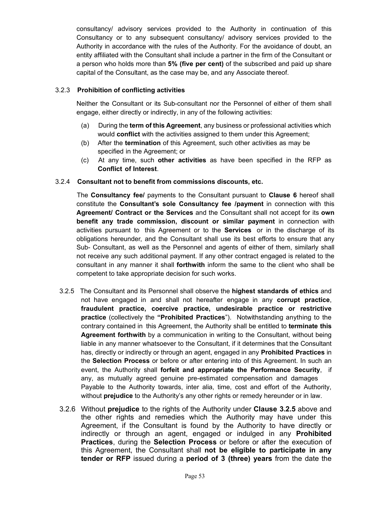consultancy/ advisory services provided to the Authority in continuation of this Consultancy or to any subsequent consultancy/ advisory services provided to the Authority in accordance with the rules of the Authority. For the avoidance of doubt, an entity affiliated with the Consultant shall include a partner in the firm of the Consultant or a person who holds more than **5% (five per cent)** of the subscribed and paid up share capital of the Consultant, as the case may be, and any Associate thereof.

#### 3.2.3 **Prohibition of conflicting activities**

Neither the Consultant or its Sub-consultant nor the Personnel of either of them shall engage, either directly or indirectly, in any of the following activities:

- (a) During the **term of this Agreement**, any business or professional activities which would **conflict** with the activities assigned to them under this Agreement;
- (b) After the **termination** of this Agreement, such other activities as may be specified in the Agreement; or
- (c) At any time, such **other activities** as have been specified in the RFP as **Conflict of Interest**.

#### 3.2.4 **Consultant not to benefit from commissions discounts, etc.**

The **Consultancy fee/** payments to the Consultant pursuant to **Clause 6** hereof shall constitute the **Consultant's sole Consultancy fee /payment** in connection with this **Agreement/ Contract or the Services** and the Consultant shall not accept for its **own benefit any trade commission, discount or similar payment** in connection with activities pursuant to this Agreement or to the **Services** or in the discharge of its obligations hereunder, and the Consultant shall use its best efforts to ensure that any Sub- Consultant, as well as the Personnel and agents of either of them, similarly shall not receive any such additional payment. If any other contract engaged is related to the consultant in any manner it shall **forthwith** inform the same to the client who shall be competent to take appropriate decision for such works.

- 3.2.5 The Consultant and its Personnel shall observe the **highest standards of ethics** and not have engaged in and shall not hereafter engage in any **corrupt practice**, **fraudulent practice, coercive practice, undesirable practice or restrictive practice** (collectively the **"Prohibited Practices**"). Notwithstanding anything to the contrary contained in this Agreement, the Authority shall be entitled to **terminate this Agreement forthwith** by a communication in writing to the Consultant, without being liable in any manner whatsoever to the Consultant, if it determines that the Consultant has, directly or indirectly or through an agent, engaged in any **Prohibited Practices** in the **Selection Process** or before or after entering into of this Agreement. In such an event, the Authority shall **forfeit and appropriate the Performance Security**, if any, as mutually agreed genuine pre-estimated compensation and damages Payable to the Authority towards, inter alia, time, cost and effort of the Authority, without **prejudice** to the Authority's any other rights or remedy hereunder or in law.
- 3.2.6 Without **prejudice** to the rights of the Authority under **Clause 3.2.5** above and the other rights and remedies which the Authority may have under this Agreement, if the Consultant is found by the Authority to have directly or indirectly or through an agent, engaged or indulged in any **Prohibited Practices**, during the **Selection Process** or before or after the execution of this Agreement, the Consultant shall **not be eligible to participate in any tender or RFP** issued during a **period of 3 (three) years** from the date the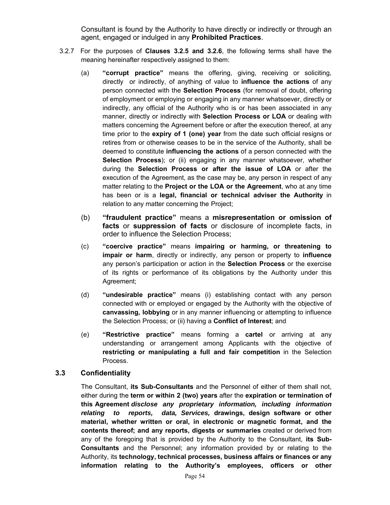Consultant is found by the Authority to have directly or indirectly or through an agent, engaged or indulged in any **Prohibited Practices**.

- 3.2.7 For the purposes of **Clauses 3.2.5 and 3.2.6**, the following terms shall have the meaning hereinafter respectively assigned to them:
	- (a) **"corrupt practice"** means the offering, giving, receiving or soliciting, directly or indirectly, of anything of value to **influence the actions** of any person connected with the **Selection Process** (for removal of doubt, offering of employment or employing or engaging in any manner whatsoever, directly or indirectly, any official of the Authority who is or has been associated in any manner, directly or indirectly with **Selection Process or LOA** or dealing with matters concerning the Agreement before or after the execution thereof, at any time prior to the **expiry of 1 (one) year** from the date such official resigns or retires from or otherwise ceases to be in the service of the Authority, shall be deemed to constitute **influencing the actions** of a person connected with the **Selection Process**); or (ii) engaging in any manner whatsoever, whether during the **Selection Process or after the issue of LOA** or after the execution of the Agreement, as the case may be, any person in respect of any matter relating to the **Project or the LOA or the Agreement**, who at any time has been or is a **legal, financial or technical adviser the Authority** in relation to any matter concerning the Project;
	- (b) **"fraudulent practice"** means a **misrepresentation or omission of facts** or **suppression of facts** or disclosure of incomplete facts, in order to influence the Selection Process;
	- (c) **"coercive practice"** means **impairing or harming, or threatening to impair or harm**, directly or indirectly, any person or property to **influence** any person's participation or action in the **Selection Process** or the exercise of its rights or performance of its obligations by the Authority under this Agreement;
	- (d) **"undesirable practice"** means (i) establishing contact with any person connected with or employed or engaged by the Authority with the objective of **canvassing, lobbying** or in any manner influencing or attempting to influence the Selection Process; or (ii) having a **Conflict of Interest**; and
	- (e) **"Restrictive practice"** means forming a **cartel** or arriving at any understanding or arrangement among Applicants with the objective of **restricting or manipulating a full and fair competition** in the Selection Process.

#### **3.3 Confidentiality**

The Consultant, **its Sub-Consultants** and the Personnel of either of them shall not, either during the **term or within 2 (two) years** after the **expiration or termination of this Agreement** *disclose any proprietary information, including information relating to reports, data, Services,* **drawings, design software or other material, whether written or oral, in electronic or magnetic format, and the contents thereof; and any reports, digests or summaries** created or derived from any of the foregoing that is provided by the Authority to the Consultant, **its Sub-Consultants** and the Personnel; any information provided by or relating to the Authority, its **technology, technical processes, business affairs or finances or any information relating to the Authority's employees, officers or other**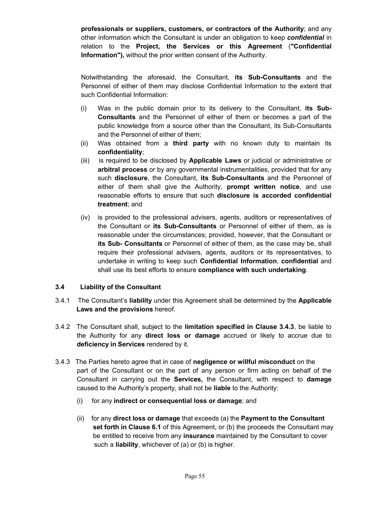**professionals or suppliers, customers, or contractors of the Authority**; and any other information which the Consultant is under an obligation to keep *confidential* in relation to the **Project, the Services or this Agreement** (**"Confidential Information"),** without the prior written consent of the Authority.

Notwithstanding the aforesaid, the Consultant, **its Sub-Consultants** and the Personnel of either of them may disclose Confidential Information to the extent that such Confidential Information:

- (i) Was in the public domain prior to its delivery to the Consultant, **its Sub-Consultants** and the Personnel of either of them or becomes a part of the public knowledge from a source other than the Consultant, its Sub-Consultants and the Personnel of either of them;
- (ii) Was obtained from a **third party** with no known duty to maintain its **confidentiality**;
- (iii) is required to be disclosed by **Applicable Laws** or judicial or administrative or **arbitral process** or by any governmental instrumentalities, provided that for any such **disclosure**, the Consultant, **its Sub-Consultants** and the Personnel of either of them shall give the Authority, **prompt written notice**, and use reasonable efforts to ensure that such **disclosure is accorded confidential treatment**; and
- (iv) is provided to the professional advisers, agents, auditors or representatives of the Consultant or **its Sub-Consultants** or Personnel of either of them, as is reasonable under the circumstances; provided, however, that the Consultant or **its Sub- Consultants** or Personnel of either of them, as the case may be, shall require their professional advisers, agents, auditors or its representatives, to undertake in writing to keep such **Confidential Information**, **confidential** and shall use its best efforts to ensure **compliance with such undertaking**.

#### **3.4 Liability of the Consultant**

- 3.4.1 The Consultant's **liability** under this Agreement shall be determined by the **Applicable Laws and the provisions** hereof.
- 3.4.2 The Consultant shall, subject to the **limitation specified in Clause 3.4.3**, be liable to the Authority for any **direct loss or damage** accrued or likely to accrue due to **deficiency in Services** rendered by it.
- 3.4.3 The Parties hereto agree that in case of **negligence or willful misconduct** on the part of the Consultant or on the part of any person or firm acting on behalf of the Consultant in carrying out the **Services,** the Consultant, with respect to **damage**  caused to the Authority's property, shall not be **liable** to the Authority:
	- (i) for any **indirect or consequential loss or damage**; and
	- (ii) for any **direct loss or damage** that exceeds (a) the **Payment to the Consultant set forth in Clause 6.1** of this Agreement, or (b) the proceeds the Consultant may be entitled to receive from any **insurance** maintained by the Consultant to cover such a **liability**, whichever of (a) or (b) is higher.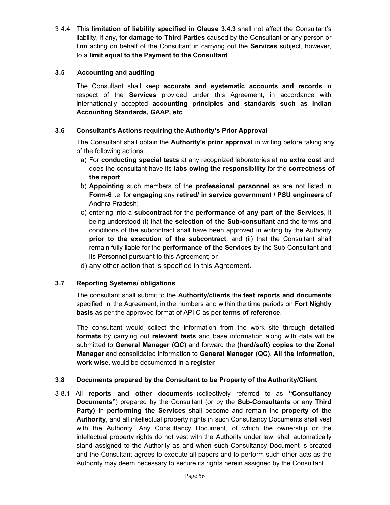3.4.4 This **limitation of liability specified in Clause 3.4.3** shall not affect the Consultant's liability, if any, for **damage to Third Parties** caused by the Consultant or any person or firm acting on behalf of the Consultant in carrying out the **Services** subject, however, to a **limit equal to the Payment to the Consultant**.

## **3.5 Accounting and auditing**

The Consultant shall keep **accurate and systematic accounts and records** in respect of the **Services** provided under this Agreement, in accordance with internationally accepted **accounting principles and standards such as Indian Accounting Standards, GAAP, etc**.

## **3.6 Consultant's Actions requiring the Authority's Prior Approval**

The Consultant shall obtain the **Authority's prior approval** in writing before taking any of the following actions:

- a) For **conducting special tests** at any recognized laboratories at **no extra cost** and does the consultant have its **labs owing the responsibility** for the **correctness of the report**.
- b) **Appointing** such members of the **professional personnel** as are not listed in **Form-6** i.e. for **engaging** any **retired/ in service government / PSU engineers** of Andhra Pradesh;
- c) entering into a **subcontract** for the **performance of any part of the Services**, it being understood (i) that the **selection of the Sub-consultant** and the terms and conditions of the subcontract shall have been approved in writing by the Authority **prior to the execution of the subcontract**, and (ii) that the Consultant shall remain fully liable for the **performance of the Services** by the Sub-Consultant and its Personnel pursuant to this Agreement; or
- d) any other action that is specified in this Agreement.

## **3.7 Reporting Systems/ obligations**

The consultant shall submit to the **Authority/clients** the **test reports and documents** specified in the Agreement, in the numbers and within the time periods on **Fort Nightly basis** as per the approved format of APIIC as per **terms of reference**.

The consultant would collect the information from the work site through **detailed formats** by carrying out **relevant tests** and base information along with data will be submitted to **General Manager (QC)** and forward the **(hard/soft) copies to the Zonal Manager** and consolidated information to **General Manager (QC)**. **All the information**, **work wise**, would be documented in a **register**.

#### **3.8 Documents prepared by the Consultant to be Property of the Authority/Client**

3.8.1 All **reports and other documents** (collectively referred to as **"Consultancy Documents"**) prepared by the Consultant (or by the **Sub-Consultants** or any **Third Party)** in **performing the Services** shall become and remain the **property of the Authority**, and all intellectual property rights in such Consultancy Documents shall vest with the Authority. Any Consultancy Document, of which the ownership or the intellectual property rights do not vest with the Authority under law, shall automatically stand assigned to the Authority as and when such Consultancy Document is created and the Consultant agrees to execute all papers and to perform such other acts as the Authority may deem necessary to secure its rights herein assigned by the Consultant.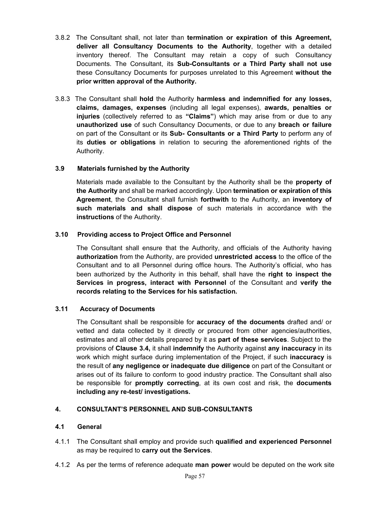- 3.8.2 The Consultant shall, not later than **termination or expiration of this Agreement, deliver all Consultancy Documents to the Authority**, together with a detailed inventory thereof. The Consultant may retain a copy of such Consultancy Documents. The Consultant, its **Sub-Consultants or a Third Party shall not use** these Consultancy Documents for purposes unrelated to this Agreement **without the prior written approval of the Authority.**
- 3.8.3 The Consultant shall **hold** the Authority **harmless and indemnified for any losses, claims, damages, expenses** (including all legal expenses), **awards, penalties or injuries** (collectively referred to as **"Claims"**) which may arise from or due to any **unauthorized use** of such Consultancy Documents, or due to any **breach or failure** on part of the Consultant or its **Sub- Consultants or a Third Party** to perform any of its **duties or obligations** in relation to securing the aforementioned rights of the Authority.

### **3.9 Materials furnished by the Authority**

Materials made available to the Consultant by the Authority shall be the **property of the Authority** and shall be marked accordingly. Upon **termination or expiration of this Agreement**, the Consultant shall furnish **forthwith** to the Authority, an **inventory of such materials and shall dispose** of such materials in accordance with the **instructions** of the Authority.

#### **3.10 Providing access to Project Office and Personnel**

The Consultant shall ensure that the Authority, and officials of the Authority having **authorization** from the Authority, are provided **unrestricted access** to the office of the Consultant and to all Personnel during office hours. The Authority's official, who has been authorized by the Authority in this behalf, shall have the **right to inspect the Services in progress, interact with Personnel** of the Consultant and **verify the records relating to the Services for his satisfaction.**

#### **3.11 Accuracy of Documents**

The Consultant shall be responsible for **accuracy of the documents** drafted and/ or vetted and data collected by it directly or procured from other agencies/authorities, estimates and all other details prepared by it as **part of these services**. Subject to the provisions of **Clause 3.4,** it shall **indemnify** the Authority against **any inaccuracy** in its work which might surface during implementation of the Project, if such **inaccuracy** is the result of **any negligence or inadequate due diligence** on part of the Consultant or arises out of its failure to conform to good industry practice. The Consultant shall also be responsible for **promptly correcting**, at its own cost and risk, the **documents including any re-test/ investigations.** 

#### **4. CONSULTANT'S PERSONNEL AND SUB-CONSULTANTS**

#### **4.1 General**

- 4.1.1 The Consultant shall employ and provide such **qualified and experienced Personnel** as may be required to **carry out the Services**.
- 4.1.2 As per the terms of reference adequate **man power** would be deputed on the work site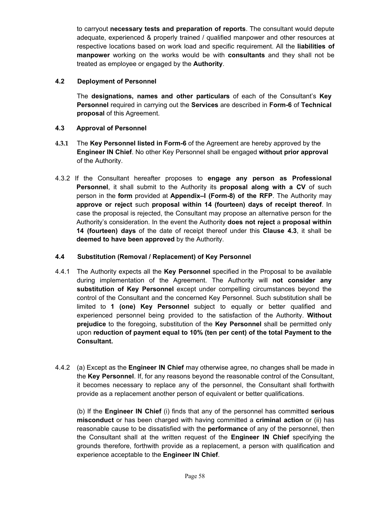to carryout **necessary tests and preparation of reports**. The consultant would depute adequate, experienced & properly trained / qualified manpower and other resources at respective locations based on work load and specific requirement. All the **liabilities of manpower** working on the works would be with **consultants** and they shall not be treated as employee or engaged by the **Authority**.

#### **4.2 Deployment of Personnel**

The **designations, names and other particulars** of each of the Consultant's **Key Personnel** required in carrying out the **Services** are described in **Form-6** of **Technical proposal** of this Agreement.

## **4.3 Approval of Personnel**

- **4.3.1** The **Key Personnel listed in Form-6** of the Agreement are hereby approved by the **Engineer IN Chief**. No other Key Personnel shall be engaged **without prior approval**  of the Authority.
- 4.3.2 If the Consultant hereafter proposes to **engage any person as Professional Personnel**, it shall submit to the Authority its **proposal along with a CV** of such person in the **form** provided at **Appendix–I (Form-8) of the RFP**. The Authority may **approve or reject** such **proposal within 14 (fourteen) days of receipt thereof**. In case the proposal is rejected, the Consultant may propose an alternative person for the Authority's consideration. In the event the Authority **does not reject** a **proposal within 14 (fourteen) days** of the date of receipt thereof under this **Clause 4.3**, it shall be **deemed to have been approved** by the Authority.

#### **4.4 Substitution (Removal / Replacement) of Key Personnel**

- 4.4.1 The Authority expects all the **Key Personnel** specified in the Proposal to be available during implementation of the Agreement. The Authority will **not consider any substitution of Key Personnel** except under compelling circumstances beyond the control of the Consultant and the concerned Key Personnel. Such substitution shall be limited to **1 (one) Key Personnel** subject to equally or better qualified and experienced personnel being provided to the satisfaction of the Authority. **Without prejudice** to the foregoing, substitution of the **Key Personnel** shall be permitted only upon **reduction of payment equal to 10% (ten per cent) of the total Payment to the Consultant.**
- 4.4.2 (a) Except as the **Engineer IN Chief** may otherwise agree, no changes shall be made in the **Key Personnel**. If, for any reasons beyond the reasonable control of the Consultant, it becomes necessary to replace any of the personnel, the Consultant shall forthwith provide as a replacement another person of equivalent or better qualifications.

(b) If the **Engineer IN Chief** (i) finds that any of the personnel has committed **serious misconduct** or has been charged with having committed a **criminal action** or (ii) has reasonable cause to be dissatisfied with the **performance** of any of the personnel, then the Consultant shall at the written request of the **Engineer IN Chief** specifying the grounds therefore, forthwith provide as a replacement, a person with qualification and experience acceptable to the **Engineer IN Chief**.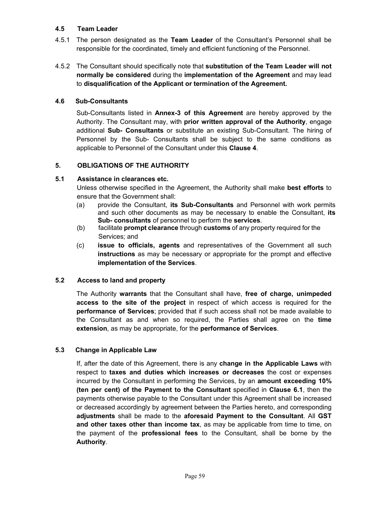#### **4.5 Team Leader**

- 4.5.1 The person designated as the **Team Leader** of the Consultant's Personnel shall be responsible for the coordinated, timely and efficient functioning of the Personnel.
- 4.5.2 The Consultant should specifically note that **substitution of the Team Leader will not normally be considered** during the **implementation of the Agreement** and may lead to **disqualification of the Applicant or termination of the Agreement.**

### **4.6 Sub-Consultants**

Sub-Consultants listed in **Annex-3 of this Agreement** are hereby approved by the Authority. The Consultant may, with **prior written approval of the Authority**, engage additional **Sub- Consultants** or substitute an existing Sub-Consultant. The hiring of Personnel by the Sub- Consultants shall be subject to the same conditions as applicable to Personnel of the Consultant under this **Clause 4**.

### **5. OBLIGATIONS OF THE AUTHORITY**

#### **5.1 Assistance in clearances etc.**

Unless otherwise specified in the Agreement, the Authority shall make **best efforts** to ensure that the Government shall:

- (a) provide the Consultant, **its Sub-Consultants** and Personnel with work permits and such other documents as may be necessary to enable the Consultant, **its Sub- consultants** of personnel to perform the **services**.
- (b) facilitate **prompt clearance** through **customs** of any property required for the Services; and
- (c) **issue to officials, agents** and representatives of the Government all such **instructions** as may be necessary or appropriate for the prompt and effective **implementation of the Services**.

#### **5.2 Access to land and property**

The Authority **warrants** that the Consultant shall have, **free of charge, unimpeded access to the site of the project** in respect of which access is required for the **performance of Services**; provided that if such access shall not be made available to the Consultant as and when so required, the Parties shall agree on the **time extension**, as may be appropriate, for the **performance of Services**.

## **5.3 Change in Applicable Law**

If, after the date of this Agreement, there is any **change in the Applicable Laws** with respect to **taxes and duties which increases or decreases** the cost or expenses incurred by the Consultant in performing the Services, by an **amount exceeding 10% (ten per cent) of the Payment to the Consultant** specified in **Clause 6.1**, then the payments otherwise payable to the Consultant under this Agreement shall be increased or decreased accordingly by agreement between the Parties hereto, and corresponding **adjustments** shall be made to the **aforesaid Payment to the Consultant**. All **GST and other taxes other than income tax**, as may be applicable from time to time, on the payment of the **professional fees** to the Consultant, shall be borne by the **Authority**.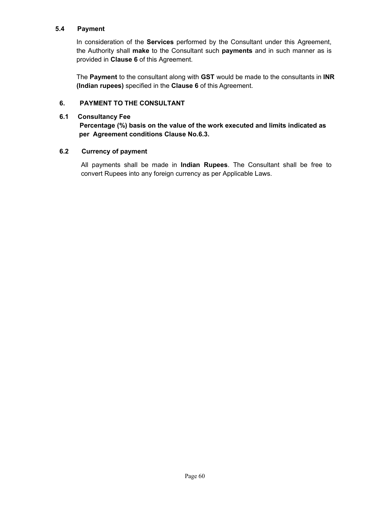#### **5.4 Payment**

In consideration of the **Services** performed by the Consultant under this Agreement, the Authority shall **make** to the Consultant such **payments** and in such manner as is provided in **Clause 6** of this Agreement.

The **Payment** to the consultant along with **GST** would be made to the consultants in **INR (Indian rupees)** specified in the **Clause 6** of this Agreement.

#### **6. PAYMENT TO THE CONSULTANT**

#### **6.1 Consultancy Fee**

## **Percentage (%) basis on the value of the work executed and limits indicated as per Agreement conditions Clause No.6.3.**

#### **6.2 Currency of payment**

All payments shall be made in **Indian Rupees**. The Consultant shall be free to convert Rupees into any foreign currency as per Applicable Laws.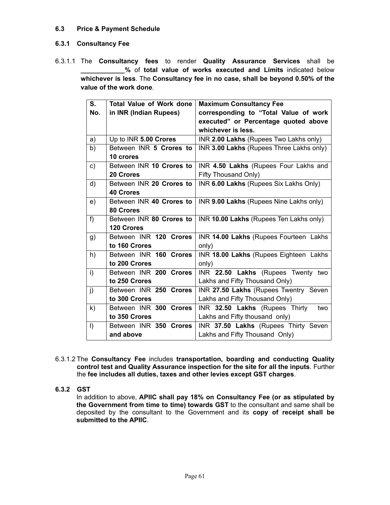### **6.3 Price & Payment Schedule**

## **6.3.1 Consultancy Fee**

6.3.1.1 The **Consultancy fees** to render **Quality Assurance Services** shall be **\_\_\_\_\_\_\_\_\_\_\_\_%** of **total value of works executed and Limits** indicated below **whichever is less**. The **Consultancy fee in no case, shall be beyond 0.50% of the value of the work done**.

| S.           | <b>Total Value of Work done</b><br><b>Maximum Consultancy Fee</b> |                                          |
|--------------|-------------------------------------------------------------------|------------------------------------------|
| No.          | in INR (Indian Rupees)                                            | corresponding to "Total Value of work    |
|              |                                                                   | executed" or Percentage quoted above     |
|              |                                                                   | whichever is less.                       |
| a)           | Up to INR 5.00 Crores                                             | INR 2.00 Lakhs (Rupees Two Lakhs only)   |
| b)           | Between INR 5 Crores to                                           | INR 3.00 Lakhs (Rupees Three Lakhs only) |
|              | 10 crores                                                         |                                          |
| c)           | Between INR 10 Crores to                                          | INR 4.50 Lakhs (Rupees Four Lakhs and    |
|              | <b>20 Crores</b>                                                  | Fifty Thousand Only)                     |
| d)           | Between INR 20 Crores to                                          | INR 6.00 Lakhs (Rupees Six Lakhs Only)   |
|              | <b>40 Crores</b>                                                  |                                          |
| e)           | Between INR 40 Crores to                                          | INR 9.00 Lakhs (Rupees Nine Lakhs only)  |
|              | 80 Crores                                                         |                                          |
| $f$ )        | Between INR 80 Crores to                                          | INR 10.00 Lakhs (Rupees Ten Lakhs only)  |
|              | <b>120 Crores</b>                                                 |                                          |
| g)           | Between INR 120 Crores                                            | INR 14.00 Lakhs (Rupees Fourteen Lakhs   |
|              | to 160 Crores                                                     | only)                                    |
| h)           | Between INR 160 Crores                                            | INR 18.00 Lakhs (Rupees Eighteen Lakhs   |
|              | to 200 Crores                                                     | only)                                    |
| i)           | Between INR 200 Crores                                            | INR 22.50 Lakhs (Rupees Twenty two       |
|              | to 250 Crores                                                     | Lakhs and Fifty Thousand Only)           |
| j)           | Between INR 250 Crores                                            | INR 27.50 Lakhs (Rupees Twentry Seven    |
|              | to 300 Crores                                                     | Lakhs and Fifty Thousand Only)           |
| $\mathsf{k}$ | Between INR 300 Crores                                            | INR 32.50 Lakhs (Rupees Thirty<br>two    |
|              | to 350 Crores                                                     | Lakhs and Fifty thousand only)           |
| $\vert$      | Between INR 350 Crores                                            | INR 37.50 Lakhs (Rupees Thirty Seven     |
|              | and above                                                         | Lakhs and Fifty Thousand Only)           |

6.3.1.2 The **Consultancy Fee** includes **transportation, boarding and conducting Quality control test and Quality Assurance inspection for the site for all the inputs**. Further the **fee includes all duties, taxes and other levies except GST charges**.

## **6.3.2 GST**

In addition to above, **APIIC shall pay 18% on Consultancy Fee (or as stipulated by the Government from time to time) towards GST** to the consultant and same shall be deposited by the consultant to the Government and its **copy of receipt shall be submitted to the APIIC**.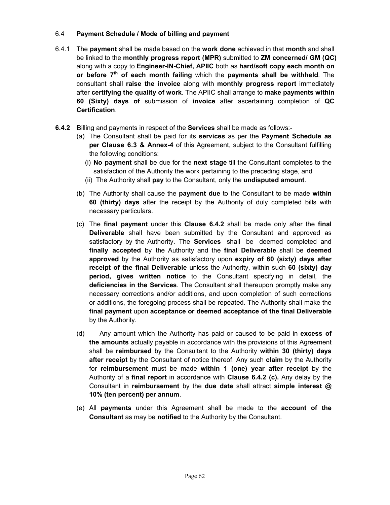## 6.4 **Payment Schedule / Mode of billing and payment**

- 6.4.1 The **payment** shall be made based on the **work done** achieved in that **month** and shall be linked to the **monthly progress report (MPR)** submitted to **ZM concerned/ GM (QC)** along with a copy to **Engineer-IN-Chief, APIIC** both as **hard/soft copy each month on or before 7th of each month failing** which the **payments shall be withheld**. The consultant shall **raise the invoice** along with **monthly progress report** immediately after **certifying the quality of work**. The APIIC shall arrange to **make payments within 60 (Sixty) days of** submission of **invoice** after ascertaining completion of **QC Certification**.
- **6.4.2** Billing and payments in respect of the **Services** shall be made as follows:-
	- (a) The Consultant shall be paid for its **services** as per the **Payment Schedule as per Clause 6.3 & Annex-4** of this Agreement, subject to the Consultant fulfilling the following conditions:
		- (i) **No payment** shall be due for the **next stage** till the Consultant completes to the satisfaction of the Authority the work pertaining to the preceding stage, and
		- (ii) The Authority shall **pay** to the Consultant, only the **undisputed amount**.
	- (b) The Authority shall cause the **payment due** to the Consultant to be made **within 60 (thirty) days** after the receipt by the Authority of duly completed bills with necessary particulars.
	- (c) The **final payment** under this **Clause 6.4.2** shall be made only after the **final Deliverable** shall have been submitted by the Consultant and approved as satisfactory by the Authority. The **Services** shall be deemed completed and **finally accepted** by the Authority and the **final Deliverable** shall be **deemed approved** by the Authority as satisfactory upon **expiry of 60 (sixty) days after receipt of the final Deliverable** unless the Authority, within such **60 (sixty) day period, gives written notice** to the Consultant specifying in detail, the **deficiencies in the Services**. The Consultant shall thereupon promptly make any necessary corrections and/or additions, and upon completion of such corrections or additions, the foregoing process shall be repeated. The Authority shall make the **final payment** upon **acceptance or deemed acceptance of the final Deliverable** by the Authority.
	- (d) Any amount which the Authority has paid or caused to be paid in **excess of the amounts** actually payable in accordance with the provisions of this Agreement shall be **reimbursed** by the Consultant to the Authority **within 30 (thirty) days after receipt** by the Consultant of notice thereof. Any such **claim** by the Authority for **reimbursement** must be made **within 1 (one) year after receipt** by the Authority of a **final report** in accordance with **Clause 6.4.2 (c).** Any delay by the Consultant in **reimbursement** by the **due date** shall attract **simple interest @ 10% (ten percent) per annum**.
	- (e) All **payments** under this Agreement shall be made to the **account of the Consultant** as may be **notified** to the Authority by the Consultant.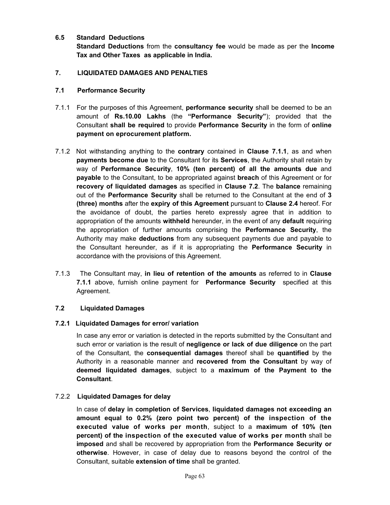## **6.5 Standard Deductions**

**Standard Deductions** from the **consultancy fee** would be made as per the **Income Tax and Other Taxes as applicable in India.**

### **7. LIQUIDATED DAMAGES AND PENALTIES**

#### **7.1 Performance Security**

- 7.1.1 For the purposes of this Agreement, **performance security** shall be deemed to be an amount of **Rs.10.00 Lakhs** (the **"Performance Security"**); provided that the Consultant **shall be required** to provide **Performance Security** in the form of **online payment on eprocurement platform.**
- 7.1.2 Not withstanding anything to the **contrary** contained in **Clause 7.1.1**, as and when **payments become due** to the Consultant for its **Services**, the Authority shall retain by way of **Performance Security**, **10% (ten percent) of all the amounts due** and **payable** to the Consultant, to be appropriated against **breach** of this Agreement or for **recovery of liquidated damages** as specified in **Clause 7.2**. The **balance** remaining out of the **Performance Security** shall be returned to the Consultant at the end of **3 (three) months** after the **expiry of this Agreement** pursuant to **Clause 2.4** hereof. For the avoidance of doubt, the parties hereto expressly agree that in addition to appropriation of the amounts **withheld** hereunder, in the event of any **default** requiring the appropriation of further amounts comprising the **Performance Security**, the Authority may make **deductions** from any subsequent payments due and payable to the Consultant hereunder, as if it is appropriating the **Performance Security** in accordance with the provisions of this Agreement.
- 7.1.3 The Consultant may, **in lieu of retention of the amounts** as referred to in **Clause 7.1.1** above, furnish online payment for **Performance Security** specified at this Agreement.

## **7.2 Liquidated Damages**

#### **7.2.1 Liquidated Damages for error/ variation**

In case any error or variation is detected in the reports submitted by the Consultant and such error or variation is the result of **negligence or lack of due diligence** on the part of the Consultant, the **consequential damages** thereof shall be **quantified** by the Authority in a reasonable manner and **recovered from the Consultant** by way of **deemed liquidated damages**, subject to a **maximum of the Payment to the Consultant**.

## 7.2.2 **Liquidated Damages for delay**

In case of **delay in completion of Services**, **liquidated damages not exceeding an amount equal to 0.2% (zero point two percent) of the inspection of the executed value of works per month**, subject to a **maximum of 10% (ten percent) of the inspection of the executed value of works per month** shall be **imposed** and shall be recovered by appropriation from the **Performance Security or otherwise**. However, in case of delay due to reasons beyond the control of the Consultant, suitable **extension of time** shall be granted.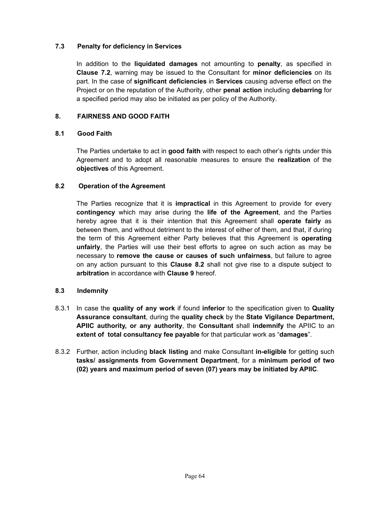### **7.3 Penalty for deficiency in Services**

In addition to the **liquidated damages** not amounting to **penalty**, as specified in **Clause 7.2**, warning may be issued to the Consultant for **minor deficiencies** on its part. In the case of **significant deficiencies** in **Services** causing adverse effect on the Project or on the reputation of the Authority, other **penal action** including **debarring** for a specified period may also be initiated as per policy of the Authority.

## **8. FAIRNESS AND GOOD FAITH**

### **8.1 Good Faith**

The Parties undertake to act in **good faith** with respect to each other's rights under this Agreement and to adopt all reasonable measures to ensure the **realization** of the **objectives** of this Agreement.

### **8.2 Operation of the Agreement**

The Parties recognize that it is **impractical** in this Agreement to provide for every **contingency** which may arise during the **life of the Agreement**, and the Parties hereby agree that it is their intention that this Agreement shall **operate fairly** as between them, and without detriment to the interest of either of them, and that, if during the term of this Agreement either Party believes that this Agreement is **operating unfairly**, the Parties will use their best efforts to agree on such action as may be necessary to **remove the cause or causes of such unfairness**, but failure to agree on any action pursuant to this **Clause 8.2** shall not give rise to a dispute subject to **arbitration** in accordance with **Clause 9** hereof.

#### **8.3 Indemnity**

- 8.3.1 In case the **quality of any work** if found **inferior** to the specification given to **Quality Assurance consultant**, during the **quality check** by the **State Vigilance Department, APIIC authority, or any authority**, the **Consultant** shall **indemnify** the APIIC to an **extent of total consultancy fee payable** for that particular work as "**damages**".
- 8.3.2 Further, action including **black listing** and make Consultant **in-eligible** for getting such **tasks/ assignments from Government Department**, for a **minimum period of two (02) years and maximum period of seven (07) years may be initiated by APIIC**.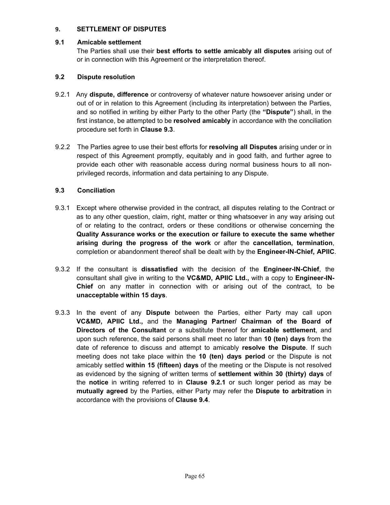## **9. SETTLEMENT OF DISPUTES**

#### **9.1 Amicable settlement**

The Parties shall use their **best efforts to settle amicably all disputes** arising out of or in connection with this Agreement or the interpretation thereof.

## **9.2 Dispute resolution**

- 9.2.1 Any **dispute, difference** or controversy of whatever nature howsoever arising under or out of or in relation to this Agreement (including its interpretation) between the Parties, and so notified in writing by either Party to the other Party (the **"Dispute"**) shall, in the first instance, be attempted to be **resolved amicably** in accordance with the conciliation procedure set forth in **Clause 9.3**.
- 9.2.2 The Parties agree to use their best efforts for **resolving all Disputes** arising under or in respect of this Agreement promptly, equitably and in good faith, and further agree to provide each other with reasonable access during normal business hours to all nonprivileged records, information and data pertaining to any Dispute.

### **9.3 Conciliation**

- 9.3.1 Except where otherwise provided in the contract, all disputes relating to the Contract or as to any other question, claim, right, matter or thing whatsoever in any way arising out of or relating to the contract, orders or these conditions or otherwise concerning the **Quality Assurance works or the execution or failure to execute the same whether arising during the progress of the work** or after the **cancellation, termination**, completion or abandonment thereof shall be dealt with by the **Engineer-IN-Chief, APIIC**.
- 9.3.2 If the consultant is **dissatisfied** with the decision of the **Engineer-IN-Chief**, the consultant shall give in writing to the **VC&MD, APIIC Ltd.,** with a copy to **Engineer-IN-Chief** on any matter in connection with or arising out of the contract, to be **unacceptable within 15 days**.
- 9.3.3 In the event of any **Dispute** between the Parties, either Party may call upon **VC&MD, APIIC Ltd.,** and the **Managing Partner/ Chairman of the Board of Directors of the Consultant** or a substitute thereof for **amicable settlement**, and upon such reference, the said persons shall meet no later than **10 (ten) days** from the date of reference to discuss and attempt to amicably **resolve the Dispute**. If such meeting does not take place within the **10 (ten) days period** or the Dispute is not amicably settled **within 15 (fifteen) days** of the meeting or the Dispute is not resolved as evidenced by the signing of written terms of **settlement within 30 (thirty) days** of the **notice** in writing referred to in **Clause 9.2.1** or such longer period as may be **mutually agreed** by the Parties, either Party may refer the **Dispute to arbitration** in accordance with the provisions of **Clause 9.4**.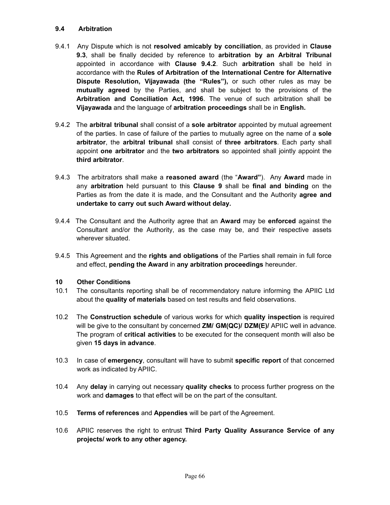#### **9.4 Arbitration**

- 9.4.1 Any Dispute which is not **resolved amicably by conciliation**, as provided in **Clause 9.3**, shall be finally decided by reference to **arbitration by an Arbitral Tribunal** appointed in accordance with **Clause 9.4.2**. Such **arbitration** shall be held in accordance with the **Rules of Arbitration of the International Centre for Alternative Dispute Resolution, Vijayawada (the "Rules"),** or such other rules as may be **mutually agreed** by the Parties, and shall be subject to the provisions of the **Arbitration and Conciliation Act, 1996**. The venue of such arbitration shall be **Vijayawada** and the language of **arbitration proceedings** shall be in **English.**
- 9.4.2 The **arbitral tribunal** shall consist of a **sole arbitrator** appointed by mutual agreement of the parties. In case of failure of the parties to mutually agree on the name of a **sole arbitrator**, the **arbitral tribunal** shall consist of **three arbitrators**. Each party shall appoint **one arbitrator** and the **two arbitrators** so appointed shall jointly appoint the **third arbitrator**.
- 9.4.3 The arbitrators shall make a **reasoned award** (the "**Award"**). Any **Award** made in any **arbitration** held pursuant to this **Clause 9** shall be **final and binding** on the Parties as from the date it is made, and the Consultant and the Authority **agree and undertake to carry out such Award without delay.**
- 9.4.4 The Consultant and the Authority agree that an **Award** may be **enforced** against the Consultant and/or the Authority, as the case may be, and their respective assets wherever situated.
- 9.4.5 This Agreement and the **rights and obligations** of the Parties shall remain in full force and effect, **pending the Award** in **any arbitration proceedings** hereunder.

#### **10 Other Conditions**

- 10.1 The consultants reporting shall be of recommendatory nature informing the APIIC Ltd about the **quality of materials** based on test results and field observations.
- 10.2 The **Construction schedule** of various works for which **quality inspection** is required will be give to the consultant by concerned **ZM/ GM(QC)/ DZM(E)/** APIIC well in advance. The program of **critical activities** to be executed for the consequent month will also be given **15 days in advance**.
- 10.3 In case of **emergency**, consultant will have to submit **specific report** of that concerned work as indicated by APIIC.
- 10.4 Any **delay** in carrying out necessary **quality checks** to process further progress on the work and **damages** to that effect will be on the part of the consultant.
- 10.5 **Terms of references** and **Appendies** will be part of the Agreement.
- 10.6 APIIC reserves the right to entrust **Third Party Quality Assurance Service of any projects/ work to any other agency.**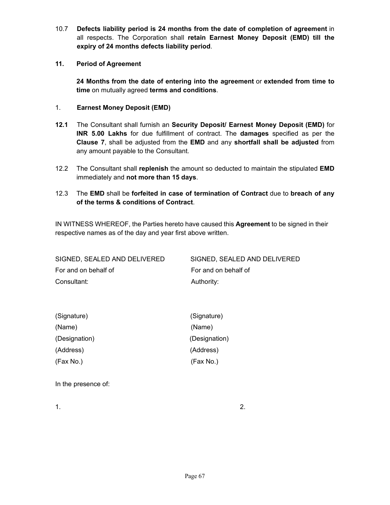10.7 **Defects liability period is 24 months from the date of completion of agreement** in all respects. The Corporation shall **retain Earnest Money Deposit (EMD) till the expiry of 24 months defects liability period**.

### **11. Period of Agreement**

**24 Months from the date of entering into the agreement** or **extended from time to time** on mutually agreed **terms and conditions**.

#### 1. **Earnest Money Deposit (EMD)**

- **12.1** The Consultant shall furnish an **Security Deposit/ Earnest Money Deposit (EMD)** for **INR 5.00 Lakhs** for due fulfillment of contract. The **damages** specified as per the **Clause 7**, shall be adjusted from the **EMD** and any **shortfall shall be adjusted** from any amount payable to the Consultant.
- 12.2 The Consultant shall **replenish** the amount so deducted to maintain the stipulated **EMD** immediately and **not more than 15 days**.

## 12.3 The **EMD** shall be **forfeited in case of termination of Contract** due to **breach of any of the terms & conditions of Contract**.

IN WITNESS WHEREOF, the Parties hereto have caused this **Agreement** to be signed in their respective names as of the day and year first above written.

| SIGNED, SEALED AND DELIVERED | SIGNED, SEALED AND DELIVERED |
|------------------------------|------------------------------|
| For and on behalf of         | For and on behalf of         |
| Consultant:                  | Authority:                   |

| (Signature)   | (Signature)   |
|---------------|---------------|
| (Name)        | (Name)        |
| (Designation) | (Designation) |
| (Address)     | (Address)     |
| (Fax No.)     | (Fax No.)     |

In the presence of:

1.  $\hspace{1.5cm}$  2.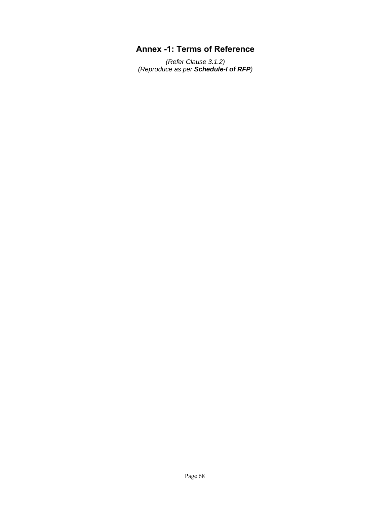## **Annex -1: Terms of Reference**

*(Refer Clause 3.1.2) (Reproduce as per Schedule-I of RFP)*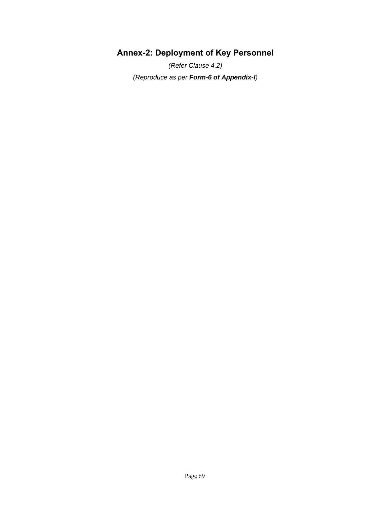# **Annex-2: Deployment of Key Personnel**

*(Refer Clause 4.2) (Reproduce as per Form-6 of Appendix-I)*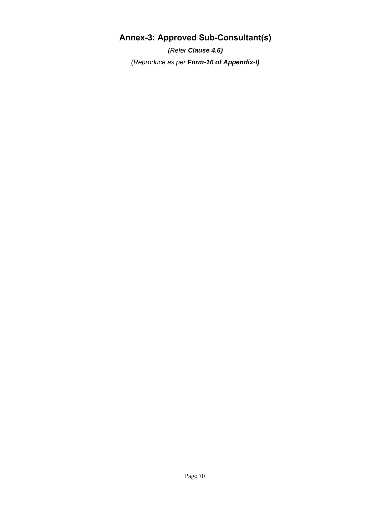# **Annex-3: Approved Sub-Consultant(s)**

*(Refer Clause 4.6) (Reproduce as per Form-16 of Appendix-I)*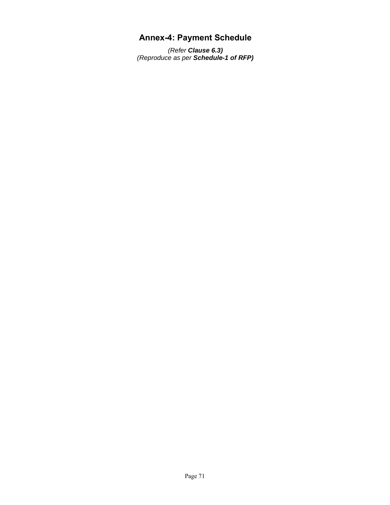## **Annex-4: Payment Schedule**

*(Refer Clause 6.3) (Reproduce as per Schedule-1 of RFP)*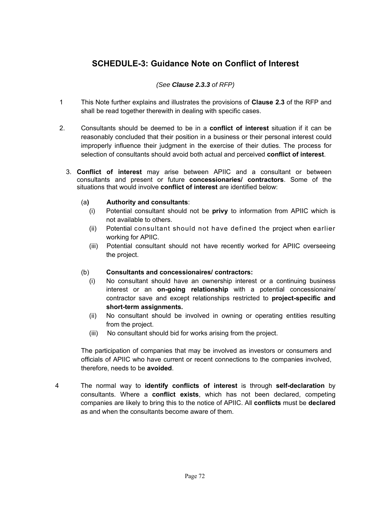## **SCHEDULE-3: Guidance Note on Conflict of Interest**

#### *(See Clause 2.3.3 of RFP)*

- 1 This Note further explains and illustrates the provisions of **Clause 2.3** of the RFP and shall be read together therewith in dealing with specific cases.
- 2. Consultants should be deemed to be in a **conflict of interest** situation if it can be reasonably concluded that their position in a business or their personal interest could improperly influence their judgment in the exercise of their duties. The process for selection of consultants should avoid both actual and perceived **conflict of interest**.
	- 3. **Conflict of interest** may arise between APIIC and a consultant or between consultants and present or future **concessionaries/ contractors**. Some of the situations that would involve **conflict of interest** are identified below:

#### (a**) Authority and consultants**:

- (i) Potential consultant should not be **privy** to information from APIIC which is not available to others.
- (ii) Potential consultant should not have defined the project when earlier working for APIIC.
- (iii) Potential consultant should not have recently worked for APIIC overseeing the project.

#### (b) **Consultants and concessionaires/ contractors:**

- (i) No consultant should have an ownership interest or a continuing business interest or an **on-going relationship** with a potential concessionaire/ contractor save and except relationships restricted to **project-specific and short-term assignments.**
- (ii) No consultant should be involved in owning or operating entities resulting from the project.
- (iii) No consultant should bid for works arising from the project.

The participation of companies that may be involved as investors or consumers and officials of APIIC who have current or recent connections to the companies involved, therefore, needs to be **avoided**.

4 The normal way to **identify conflicts of interest** is through **self-declaration** by consultants. Where a **conflict exists**, which has not been declared, competing companies are likely to bring this to the notice of APIIC. All **conflicts** must be **declared**  as and when the consultants become aware of them.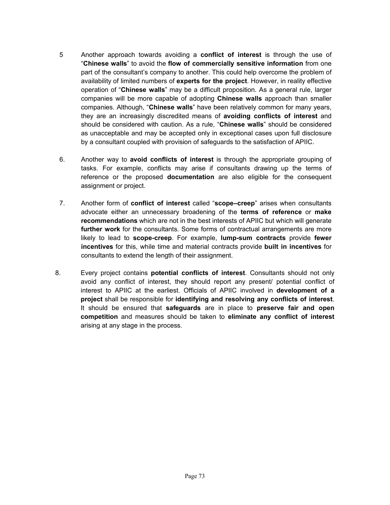- 5 Another approach towards avoiding a **conflict of interest** is through the use of "**Chinese walls**" to avoid the **flow of commercially sensitive information** from one part of the consultant's company to another. This could help overcome the problem of availability of limited numbers of **experts for the project**. However, in reality effective operation of "**Chinese walls**" may be a difficult proposition. As a general rule, larger companies will be more capable of adopting **Chinese walls** approach than smaller companies. Although, "**Chinese walls**" have been relatively common for many years, they are an increasingly discredited means of **avoiding conflicts of interest** and should be considered with caution. As a rule, "**Chinese walls**" should be considered as unacceptable and may be accepted only in exceptional cases upon full disclosure by a consultant coupled with provision of safeguards to the satisfaction of APIIC.
- 6. Another way to **avoid conflicts of interest** is through the appropriate grouping of tasks. For example, conflicts may arise if consultants drawing up the terms of reference or the proposed **documentation** are also eligible for the consequent assignment or project.
- 7. Another form of **conflict of interest** called "**scope–creep**" arises when consultants advocate either an unnecessary broadening of the **terms of reference** or **make recommendations** which are not in the best interests of APIIC but which will generate **further work** for the consultants. Some forms of contractual arrangements are more likely to lead to **scope-creep**. For example, **lump-sum contracts** provide **fewer incentives** for this, while time and material contracts provide **built in incentives** for consultants to extend the length of their assignment.
- 8. Every project contains **potential conflicts of interest**. Consultants should not only avoid any conflict of interest, they should report any present/ potential conflict of interest to APIIC at the earliest. Officials of APIIC involved in **development of a project** shall be responsible for **identifying and resolving any conflicts of interest**. It should be ensured that **safeguards** are in place to **preserve fair and open competition** and measures should be taken to **eliminate any conflict of interest** arising at any stage in the process.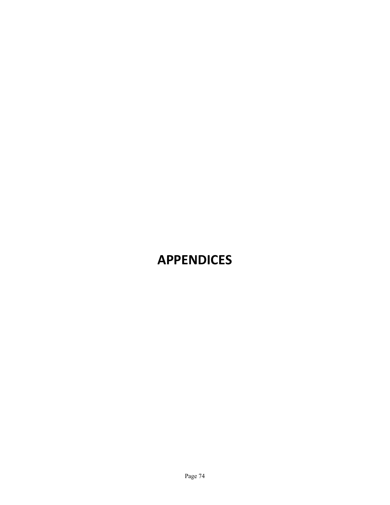# **APPENDICES**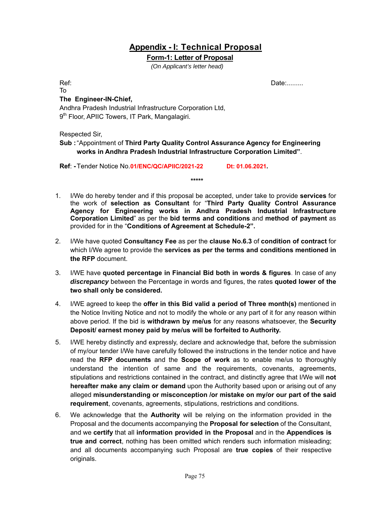### **Appendix - I: Technical Proposal**

#### **Form-1: Letter of Proposal**

*(On Applicant's letter head)*

To

Ref: No. 1996. In the contract of the contract of the contract of the contract of the Date:.........

#### **The Engineer-IN-Chief,**

Andhra Pradesh Industrial Infrastructure Corporation Ltd, 9<sup>th</sup> Floor, APIIC Towers, IT Park, Mangalagiri.

Respected Sir,

#### **Sub :** "Appointment of **Third Party Quality Control Assurance Agency for Engineering works in Andhra Pradesh Industrial Infrastructure Corporation Limited"**.

**Ref**: **-** Tender Notice No.**01/ENC/QC/APIIC/2021-22 Dt: 01.06.2021.** 

1. I/We do hereby tender and if this proposal be accepted, under take to provide **services** for the work of **selection as Consultant** for "**Third Party Quality Control Assurance Agency for Engineering works in Andhra Pradesh Industrial Infrastructure Corporation Limited**" as per the **bid terms and conditions** and **method of payment** as provided for in the "**Conditions of Agreement at Schedule-2".**

**\*\*\*\*\***

- 2. I/We have quoted **Consultancy Fee** as per the **clause No.6.3** of **condition of contract** for which I/We agree to provide the **services as per the terms and conditions mentioned in the RFP** document.
- 3. I/WE have **quoted percentage in Financial Bid both in words & figures**. In case of any *discrepancy* between the Percentage in words and figures, the rates **quoted lower of the two shall only be considered.**
- 4. I/WE agreed to keep the **offer in this Bid valid a period of Three month(s)** mentioned in the Notice Inviting Notice and not to modify the whole or any part of it for any reason within above period. If the bid is **withdrawn by me/us** for any reasons whatsoever, the **Security Deposit/ earnest money paid by me/us will be forfeited to Authority.**
- 5. I/WE hereby distinctly and expressly, declare and acknowledge that, before the submission of my/our tender I/We have carefully followed the instructions in the tender notice and have read the **RFP documents** and the **Scope of work** as to enable me/us to thoroughly understand the intention of same and the requirements, covenants, agreements, stipulations and restrictions contained in the contract, and distinctly agree that I/We will **not hereafter make any claim or demand** upon the Authority based upon or arising out of any alleged **misunderstanding or misconception /or mistake on my/or our part of the said requirement**, covenants, agreements, stipulations, restrictions and conditions.
- 6. We acknowledge that the **Authority** will be relying on the information provided in the Proposal and the documents accompanying the **Proposal for selection** of the Consultant, and we **certify** that all **information provided in the Proposal** and in the **Appendices is true and correct**, nothing has been omitted which renders such information misleading; and all documents accompanying such Proposal are **true copies** of their respective originals.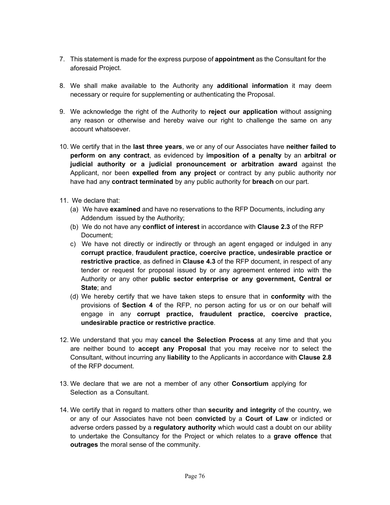- 7. This statement is made for the express purpose of **appointment** as the Consultant for the aforesaid Project.
- 8. We shall make available to the Authority any **additional information** it may deem necessary or require for supplementing or authenticating the Proposal.
- 9. We acknowledge the right of the Authority to **reject our application** without assigning any reason or otherwise and hereby waive our right to challenge the same on any account whatsoever.
- 10. We certify that in the **last three years**, we or any of our Associates have **neither failed to perform on any contract**, as evidenced by **imposition of a penalty** by an **arbitral or judicial authority or a judicial pronouncement or arbitration award** against the Applicant, nor been **expelled from any project** or contract by any public authority nor have had any **contract terminated** by any public authority for **breach** on our part.
- 11. We declare that:
	- (a) We have **examined** and have no reservations to the RFP Documents, including any Addendum issued by the Authority;
	- (b) We do not have any **conflict of interest** in accordance with **Clause 2.3** of the RFP Document;
	- c) We have not directly or indirectly or through an agent engaged or indulged in any **corrupt practice**, **fraudulent practice, coercive practice, undesirable practice or restrictive practice**, as defined in **Clause 4.3** of the RFP document, in respect of any tender or request for proposal issued by or any agreement entered into with the Authority or any other **public sector enterprise or any government, Central or State**; and
	- (d) We hereby certify that we have taken steps to ensure that in **conformity** with the provisions of **Section 4** of the RFP, no person acting for us or on our behalf will engage in any **corrupt practice, fraudulent practice, coercive practice, undesirable practice or restrictive practice**.
- 12. We understand that you may **cancel the Selection Process** at any time and that you are neither bound to **accept any Proposal** that you may receive nor to select the Consultant, without incurring any **liability** to the Applicants in accordance with **Clause 2.8** of the RFP document.
- 13. We declare that we are not a member of any other **Consortium** applying for Selection as a Consultant.
- 14. We certify that in regard to matters other than **security and integrity** of the country, we or any of our Associates have not been **convicted** by a **Court of Law** or indicted or adverse orders passed by a **regulatory authority** which would cast a doubt on our ability to undertake the Consultancy for the Project or which relates to a **grave offence** that **outrages** the moral sense of the community.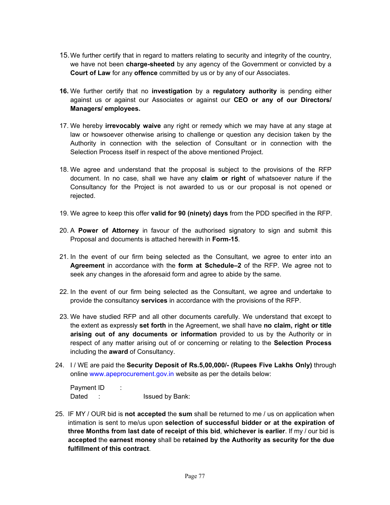- 15. We further certify that in regard to matters relating to security and integrity of the country, we have not been **charge-sheeted** by any agency of the Government or convicted by a **Court of Law** for any **offence** committed by us or by any of our Associates.
- **16.** We further certify that no **investigation** by a **regulatory authority** is pending either against us or against our Associates or against our **CEO or any of our Directors/ Managers/ employees.**
- 17. We hereby **irrevocably waive** any right or remedy which we may have at any stage at law or howsoever otherwise arising to challenge or question any decision taken by the Authority in connection with the selection of Consultant or in connection with the Selection Process itself in respect of the above mentioned Project.
- 18. We agree and understand that the proposal is subject to the provisions of the RFP document. In no case, shall we have any **claim or right** of whatsoever nature if the Consultancy for the Project is not awarded to us or our proposal is not opened or rejected.
- 19. We agree to keep this offer **valid for 90 (ninety) days** from the PDD specified in the RFP.
- 20. A **Power of Attorney** in favour of the authorised signatory to sign and submit this Proposal and documents is attached herewith in **Form-15**.
- 21. In the event of our firm being selected as the Consultant, we agree to enter into an **Agreement** in accordance with the **form at Schedule–2** of the RFP. We agree not to seek any changes in the aforesaid form and agree to abide by the same.
- 22. In the event of our firm being selected as the Consultant, we agree and undertake to provide the consultancy **services** in accordance with the provisions of the RFP.
- 23. We have studied RFP and all other documents carefully. We understand that except to the extent as expressly **set forth** in the Agreement, we shall have **no claim, right or title arising out of any documents or information** provided to us by the Authority or in respect of any matter arising out of or concerning or relating to the **Selection Process** including the **award** of Consultancy.
- 24. I / WE are paid the **Security Deposit of Rs.5,00,000/- (Rupees Five Lakhs Only)** through online www.apeprocurement.gov.in website as per the details below:

Payment ID : Dated : Issued by Bank:

25. IF MY / OUR bid is **not accepted** the **sum** shall be returned to me / us on application when intimation is sent to me/us upon **selection of successful bidder or at the expiration of three Months from last date of receipt of this bid**, **whichever is earlier**. If my / our bid is **accepted** the **earnest money** shall be **retained by the Authority as security for the due fulfillment of this contract**.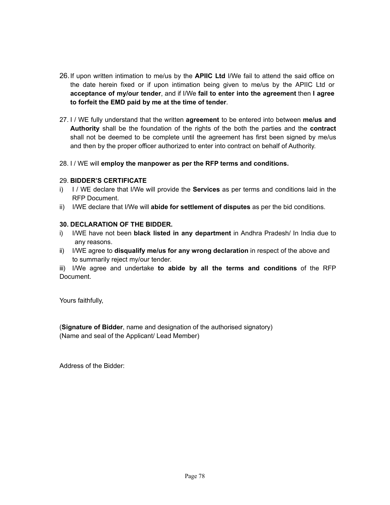- 26. If upon written intimation to me/us by the **APIIC Ltd** I/We fail to attend the said office on the date herein fixed or if upon intimation being given to me/us by the APIIC Ltd or **acceptance of my/our tender**, and if I/We **fail to enter into the agreement** then **I agree to forfeit the EMD paid by me at the time of tender**.
- 27. I / WE fully understand that the written **agreement** to be entered into between **me/us and Authority** shall be the foundation of the rights of the both the parties and the **contract** shall not be deemed to be complete until the agreement has first been signed by me/us and then by the proper officer authorized to enter into contract on behalf of Authority.
- 28. I / WE will **employ the manpower as per the RFP terms and conditions.**

#### 29. **BIDDER'S CERTIFICATE**

- i) I / WE declare that I/We will provide the **Services** as per terms and conditions laid in the RFP Document.
- ii) I/WE declare that I/We will **abide for settlement of disputes** as per the bid conditions.

#### **30. DECLARATION OF THE BIDDER.**

- i) I/WE have not been **black listed in any department** in Andhra Pradesh/ In India due to any reasons.
- ii) I/WE agree to **disqualify me/us for any wrong declaration** in respect of the above and to summarily reject my/our tender.

iii) I/We agree and undertake **to abide by all the terms and conditions** of the RFP Document.

Yours faithfully,

(**Signature of Bidder**, name and designation of the authorised signatory) (Name and seal of the Applicant/ Lead Member)

Address of the Bidder: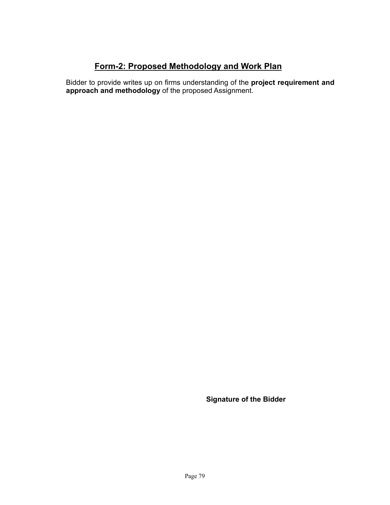### **Form-2: Proposed Methodology and Work Plan**

Bidder to provide writes up on firms understanding of the **project requirement and approach and methodology** of the proposed Assignment.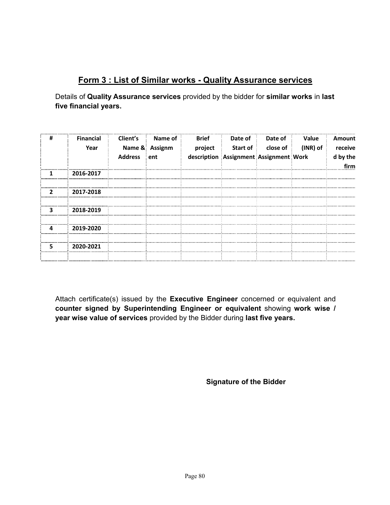## **Form 3 : List of Similar works - Quality Assurance services**

Details of **Quality Assurance services** provided by the bidder for **similar works** in **last five financial years.**

| # | <b>Financial</b><br>Year | Client's<br><b>Address</b> | Name of<br>Name & Assignm<br>en <sub>t</sub> | <b>Brief</b><br>project | Date of<br><b>Start of</b><br>description Assignment Assignment Work | Date of<br>close of : | <b>Value</b><br>(INR) of | Amount<br>receive<br>d by the<br>firm |
|---|--------------------------|----------------------------|----------------------------------------------|-------------------------|----------------------------------------------------------------------|-----------------------|--------------------------|---------------------------------------|
|   | 2016-2017                |                            |                                              |                         |                                                                      |                       |                          |                                       |
|   | 2017-2018                |                            |                                              |                         |                                                                      |                       |                          |                                       |
| ર | 2018-2019                |                            |                                              |                         |                                                                      |                       |                          |                                       |
| Δ | 2019-2020                |                            |                                              |                         |                                                                      |                       |                          |                                       |
| 5 | 2020-2021                |                            |                                              |                         |                                                                      |                       |                          |                                       |

Attach certificate(s) issued by the **Executive Engineer** concerned or equivalent and **counter signed by Superintending Engineer or equivalent** showing **work wise / year wise value of services** provided by the Bidder during **last five years.**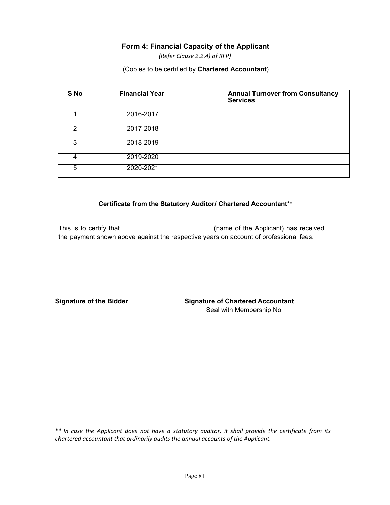#### **Form 4: Financial Capacity of the Applicant**

*(Refer Clause 2.2.4) of RFP)*

#### (Copies to be certified by **Chartered Accountant**)

| S No | <b>Financial Year</b> | <b>Annual Turnover from Consultancy</b><br><b>Services</b> |
|------|-----------------------|------------------------------------------------------------|
|      | 2016-2017             |                                                            |
| 2    | 2017-2018             |                                                            |
|      | 2018-2019             |                                                            |
| 4    | 2019-2020             |                                                            |
| 5    | 2020-2021             |                                                            |

#### **Certificate from the Statutory Auditor/ Chartered Accountant\*\***

This is to certify that ………………………………….. (name of the Applicant) has received the payment shown above against the respective years on account of professional fees.

**Signature of the Bidder Signature of Chartered Accountant** Seal with Membership No

\*\* *In case the Applicant does not have a statutory auditor, it shall provide the certificate from its chartered accountant that ordinarily audits the annual accounts of the Applicant.*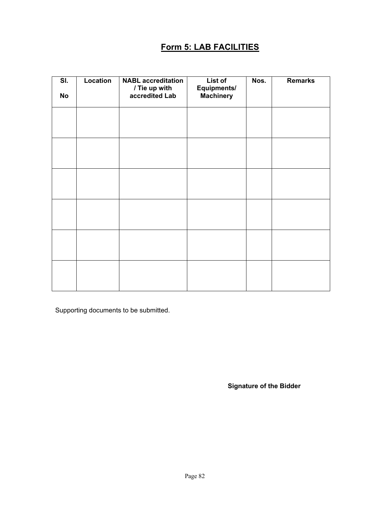## **Form 5: LAB FACILITIES**

| SI.<br><b>No</b> | Location | <b>NABL</b> accreditation<br>/ Tie up with<br>accredited Lab | List of<br>Equipments/<br><b>Machinery</b> | Nos. | <b>Remarks</b> |
|------------------|----------|--------------------------------------------------------------|--------------------------------------------|------|----------------|
|                  |          |                                                              |                                            |      |                |
|                  |          |                                                              |                                            |      |                |
|                  |          |                                                              |                                            |      |                |
|                  |          |                                                              |                                            |      |                |
|                  |          |                                                              |                                            |      |                |
|                  |          |                                                              |                                            |      |                |

Supporting documents to be submitted.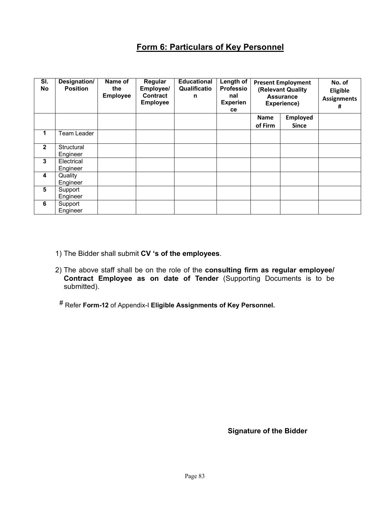## **Form 6: Particulars of Key Personnel**

| SI.<br>No      | Designation/<br><b>Position</b> | Name of<br>the<br><b>Employee</b> | Regular<br>Employee/<br><b>Contract</b><br><b>Employee</b> | <b>Educational</b><br>Qualificatio<br>n | Length of<br><b>Professio</b><br>nal<br><b>Experien</b><br>ce | <b>Present Employment</b><br>(Relevant Quality<br><b>Assurance</b><br>Experience) |                 | No. of<br>Eligible<br><b>Assignments</b><br># |
|----------------|---------------------------------|-----------------------------------|------------------------------------------------------------|-----------------------------------------|---------------------------------------------------------------|-----------------------------------------------------------------------------------|-----------------|-----------------------------------------------|
|                |                                 |                                   |                                                            |                                         |                                                               | Name                                                                              | <b>Employed</b> |                                               |
|                |                                 |                                   |                                                            |                                         |                                                               | of Firm                                                                           | <b>Since</b>    |                                               |
| 1              | Team Leader                     |                                   |                                                            |                                         |                                                               |                                                                                   |                 |                                               |
| $\overline{2}$ | Structural                      |                                   |                                                            |                                         |                                                               |                                                                                   |                 |                                               |
|                | Engineer                        |                                   |                                                            |                                         |                                                               |                                                                                   |                 |                                               |
| 3              | Electrical                      |                                   |                                                            |                                         |                                                               |                                                                                   |                 |                                               |
|                | Engineer                        |                                   |                                                            |                                         |                                                               |                                                                                   |                 |                                               |
| 4              | Quality                         |                                   |                                                            |                                         |                                                               |                                                                                   |                 |                                               |
|                | Engineer                        |                                   |                                                            |                                         |                                                               |                                                                                   |                 |                                               |
| 5              | Support                         |                                   |                                                            |                                         |                                                               |                                                                                   |                 |                                               |
|                | Engineer                        |                                   |                                                            |                                         |                                                               |                                                                                   |                 |                                               |
| 6              | Support                         |                                   |                                                            |                                         |                                                               |                                                                                   |                 |                                               |
|                | Engineer                        |                                   |                                                            |                                         |                                                               |                                                                                   |                 |                                               |

- 1) The Bidder shall submit **CV 's of the employees**.
- 2) The above staff shall be on the role of the **consulting firm as regular employee/ Contract Employee as on date of Tender** (Supporting Documents is to be submitted).
- # Refer **Form-12** of Appendix-I **Eligible Assignments of Key Personnel.**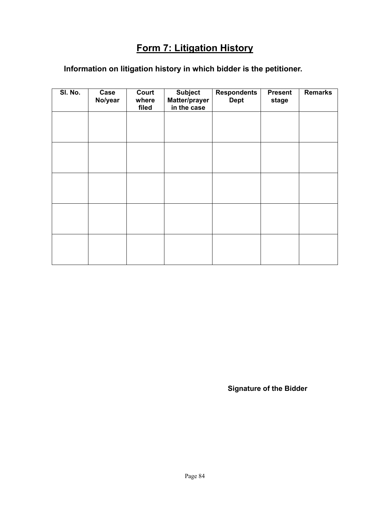## **Form 7: Litigation History**

## **Information on litigation history in which bidder is the petitioner.**

| SI. No. | Case<br>No/year | Court<br>where<br>filed | <b>Subject</b><br>Matter/prayer<br>in the case | <b>Respondents</b><br><b>Dept</b> | <b>Present</b><br>stage | <b>Remarks</b> |
|---------|-----------------|-------------------------|------------------------------------------------|-----------------------------------|-------------------------|----------------|
|         |                 |                         |                                                |                                   |                         |                |
|         |                 |                         |                                                |                                   |                         |                |
|         |                 |                         |                                                |                                   |                         |                |
|         |                 |                         |                                                |                                   |                         |                |
|         |                 |                         |                                                |                                   |                         |                |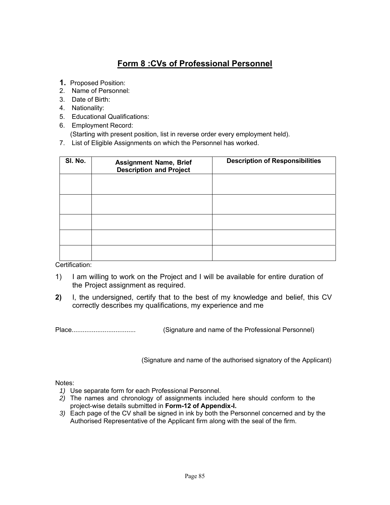## **Form 8 :CVs of Professional Personnel**

- **1.** Proposed Position:
- 2. Name of Personnel:
- 3. Date of Birth:
- 4. Nationality:
- 5. Educational Qualifications:
- 6. Employment Record:

(Starting with present position, list in reverse order every employment held).

7. List of Eligible Assignments on which the Personnel has worked.

| SI. No. | <b>Assignment Name, Brief</b><br><b>Description and Project</b> | <b>Description of Responsibilities</b> |
|---------|-----------------------------------------------------------------|----------------------------------------|
|         |                                                                 |                                        |
|         |                                                                 |                                        |
|         |                                                                 |                                        |
|         |                                                                 |                                        |
|         |                                                                 |                                        |

Certification:

- 1) I am willing to work on the Project and I will be available for entire duration of the Project assignment as required.
- **2)** I, the undersigned, certify that to the best of my knowledge and belief, this CV correctly describes my qualifications, my experience and me

Place................................... (Signature and name of the Professional Personnel)

(Signature and name of the authorised signatory of the Applicant)

Notes:

- *1)* Use separate form for each Professional Personnel.
- *2)* The names and chronology of assignments included here should conform to the project-wise details submitted in **Form-12 of Appendix-I.**
- *3)* Each page of the CV shall be signed in ink by both the Personnel concerned and by the Authorised Representative of the Applicant firm along with the seal of the firm.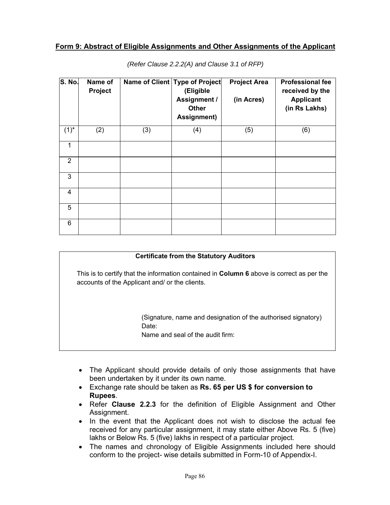#### **Form 9: Abstract of Eligible Assignments and Other Assignments of the Applicant**

| S. No.         | Name of<br>Project |     | Name of Client Type of Project<br>(Eligible<br>Assignment /<br><b>Other</b><br>Assignment) | <b>Project Area</b><br>(in Acres) | <b>Professional fee</b><br>received by the<br><b>Applicant</b><br>(in Rs Lakhs) |
|----------------|--------------------|-----|--------------------------------------------------------------------------------------------|-----------------------------------|---------------------------------------------------------------------------------|
| $(1)^{*}$      | (2)                | (3) | (4)                                                                                        | (5)                               | (6)                                                                             |
| 1              |                    |     |                                                                                            |                                   |                                                                                 |
| $\overline{2}$ |                    |     |                                                                                            |                                   |                                                                                 |
| 3              |                    |     |                                                                                            |                                   |                                                                                 |
| 4              |                    |     |                                                                                            |                                   |                                                                                 |
| 5              |                    |     |                                                                                            |                                   |                                                                                 |
| 6              |                    |     |                                                                                            |                                   |                                                                                 |

*(Refer Clause 2.2.2(A) and Clause 3.1 of RFP)*

#### **Certificate from the Statutory Auditors**

This is to certify that the information contained in **Column 6** above is correct as per the accounts of the Applicant and/ or the clients.

> (Signature, name and designation of the authorised signatory) Date:

Name and seal of the audit firm:

- The Applicant should provide details of only those assignments that have been undertaken by it under its own name.
- Exchange rate should be taken as **Rs. 65 per US \$ for conversion to Rupees**.
- Refer **Clause 2.2.3** for the definition of Eligible Assignment and Other Assignment.
- In the event that the Applicant does not wish to disclose the actual fee received for any particular assignment, it may state either Above Rs. 5 (five) lakhs or Below Rs. 5 (five) lakhs in respect of a particular project.
- The names and chronology of Eligible Assignments included here should conform to the project- wise details submitted in Form-10 of Appendix-I.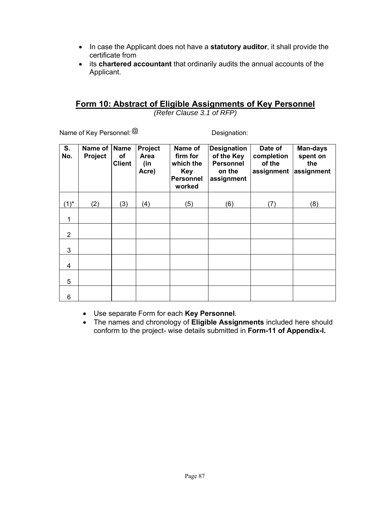- In case the Applicant does not have a **statutory auditor**, it shall provide the certificate from
- its **chartered accountant** that ordinarily audits the annual accounts of the Applicant.

### **Form 10: Abstract of Eligible Assignments of Key Personnel**

*(Refer Clause 3.1 of RFP)*

Name of Key Personnel:  $@$  Designation:

| S.<br>No.      | Name of<br>Project | <b>Name</b><br>οf<br><b>Client</b> | Project<br>Area<br>(in<br>Acre) | Name of<br>firm for<br>which the<br>Key<br><b>Personnel</b><br>worked | <b>Designation</b><br>of the Key<br><b>Personnel</b><br>on the<br>assignment | Date of<br>completion<br>of the<br>assignment | <b>Man-days</b><br>spent on<br>the<br>assignment |
|----------------|--------------------|------------------------------------|---------------------------------|-----------------------------------------------------------------------|------------------------------------------------------------------------------|-----------------------------------------------|--------------------------------------------------|
| $(1)^*$        | (2)                | (3)                                | (4)                             | (5)                                                                   | (6)                                                                          | (7)                                           | (8)                                              |
| 1              |                    |                                    |                                 |                                                                       |                                                                              |                                               |                                                  |
| $\overline{2}$ |                    |                                    |                                 |                                                                       |                                                                              |                                               |                                                  |
| 3              |                    |                                    |                                 |                                                                       |                                                                              |                                               |                                                  |
| 4              |                    |                                    |                                 |                                                                       |                                                                              |                                               |                                                  |
| 5              |                    |                                    |                                 |                                                                       |                                                                              |                                               |                                                  |
| 6              |                    |                                    |                                 |                                                                       |                                                                              |                                               |                                                  |

- Use separate Form for each **Key Personnel**.
- The names and chronology of **Eligible Assignments** included here should conform to the project- wise details submitted in **Form-11 of Appendix-I.**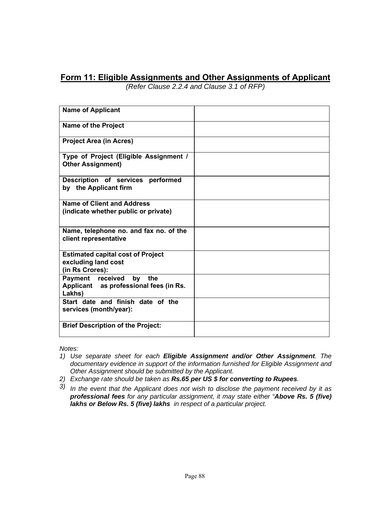### **Form 11: Eligible Assignments and Other Assignments of Applicant**

*(Refer Clause 2.2.4 and Clause 3.1 of RFP)*

| <b>Name of Applicant</b>                                                           |  |
|------------------------------------------------------------------------------------|--|
| <b>Name of the Project</b>                                                         |  |
| <b>Project Area (in Acres)</b>                                                     |  |
| Type of Project (Eligible Assignment /<br><b>Other Assignment)</b>                 |  |
| Description of services performed<br>by the Applicant firm                         |  |
| <b>Name of Client and Address</b><br>(indicate whether public or private)          |  |
| Name, telephone no. and fax no. of the<br>client representative                    |  |
| <b>Estimated capital cost of Project</b><br>excluding land cost<br>(in Rs Crores): |  |
| Payment received by<br>the<br>Applicant as professional fees (in Rs.<br>Lakhs)     |  |
| Start date and finish date of the<br>services (month/year):                        |  |
| <b>Brief Description of the Project:</b>                                           |  |

*Notes:*

- *1) Use separate sheet for each Eligible Assignment and/or Other Assignment. The documentary evidence in support of the information furnished for Eligible Assignment and Other Assignment should be submitted by the Applicant.*
- *2) Exchange rate should be taken as Rs.65 per US \$ for converting to Rupees.*
- *3) In the event that the Applicant does not wish to disclose the payment received by it as professional fees for any particular assignment, it may state either "Above Rs. 5 (five) lakhs or Below Rs. 5 (five) lakhs in respect of a particular project.*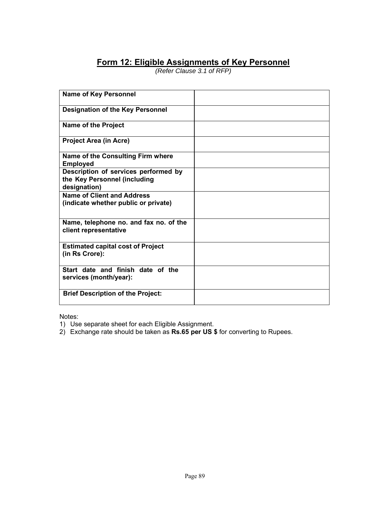## **Form 12: Eligible Assignments of Key Personnel**

*(Refer Clause 3.1 of RFP)*

| <b>Name of Key Personnel</b>                                                         |  |
|--------------------------------------------------------------------------------------|--|
| <b>Designation of the Key Personnel</b>                                              |  |
| Name of the Project                                                                  |  |
| <b>Project Area (in Acre)</b>                                                        |  |
| Name of the Consulting Firm where<br><b>Employed</b>                                 |  |
| Description of services performed by<br>the Key Personnel (including<br>designation) |  |
| <b>Name of Client and Address</b><br>(indicate whether public or private)            |  |
| Name, telephone no. and fax no. of the<br>client representative                      |  |
| <b>Estimated capital cost of Project</b><br>(in Rs Crore):                           |  |
| Start date and finish date of the<br>services (month/year):                          |  |
| <b>Brief Description of the Project:</b>                                             |  |

Notes:

- 1) Use separate sheet for each Eligible Assignment.
- 2) Exchange rate should be taken as **Rs.65 per US \$** for converting to Rupees.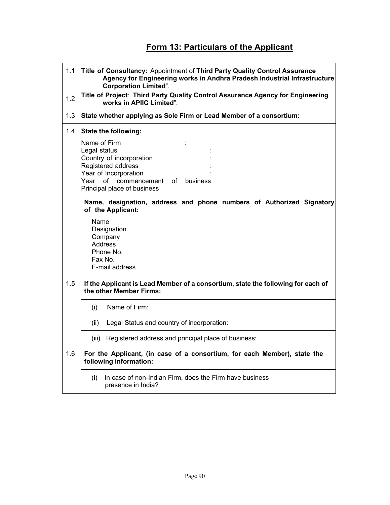## **Form 13: Particulars of the Applicant**

| 1.1 | Title of Consultancy: Appointment of Third Party Quality Control Assurance<br>Agency for Engineering works in Andhra Pradesh Industrial Infrastructure<br><b>Corporation Limited".</b> |  |  |  |  |  |
|-----|----------------------------------------------------------------------------------------------------------------------------------------------------------------------------------------|--|--|--|--|--|
| 1.2 | Title of Project: Third Party Quality Control Assurance Agency for Engineering<br>works in APIIC Limited".                                                                             |  |  |  |  |  |
| 1.3 | State whether applying as Sole Firm or Lead Member of a consortium:                                                                                                                    |  |  |  |  |  |
| 1.4 | State the following:                                                                                                                                                                   |  |  |  |  |  |
|     | Name of Firm<br>Legal status<br>Country of incorporation<br>Registered address<br>Year of Incorporation<br>Year of commencement of<br>business<br>Principal place of business          |  |  |  |  |  |
|     | Name, designation, address and phone numbers of Authorized Signatory<br>of the Applicant:                                                                                              |  |  |  |  |  |
|     | Name<br>Designation<br>Company<br><b>Address</b><br>Phone No.<br>Fax No.<br>E-mail address                                                                                             |  |  |  |  |  |
| 1.5 | If the Applicant is Lead Member of a consortium, state the following for each of<br>the other Member Firms:                                                                            |  |  |  |  |  |
|     | Name of Firm:<br>(i)                                                                                                                                                                   |  |  |  |  |  |
|     | Legal Status and country of incorporation:<br>(ii)                                                                                                                                     |  |  |  |  |  |
|     | (iii) Registered address and principal place of business:                                                                                                                              |  |  |  |  |  |
| 1.6 | For the Applicant, (in case of a consortium, for each Member), state the<br>following information:                                                                                     |  |  |  |  |  |
|     | In case of non-Indian Firm, does the Firm have business<br>(i)<br>presence in India?                                                                                                   |  |  |  |  |  |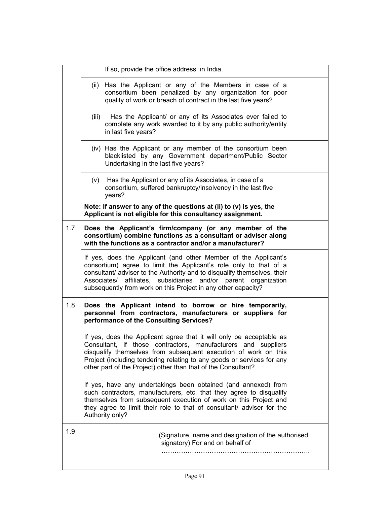|     | If so, provide the office address in India.                                                                                                                                                                                                                                                                                                          |  |
|-----|------------------------------------------------------------------------------------------------------------------------------------------------------------------------------------------------------------------------------------------------------------------------------------------------------------------------------------------------------|--|
|     | (ii) Has the Applicant or any of the Members in case of a<br>consortium been penalized by any organization for poor<br>quality of work or breach of contract in the last five years?                                                                                                                                                                 |  |
|     | Has the Applicant/ or any of its Associates ever failed to<br>(iii)<br>complete any work awarded to it by any public authority/entity<br>in last five years?                                                                                                                                                                                         |  |
|     | (iv) Has the Applicant or any member of the consortium been<br>blacklisted by any Government department/Public Sector<br>Undertaking in the last five years?                                                                                                                                                                                         |  |
|     | (v) Has the Applicant or any of its Associates, in case of a<br>consortium, suffered bankruptcy/insolvency in the last five<br>years?                                                                                                                                                                                                                |  |
|     | Note: If answer to any of the questions at (ii) to (v) is yes, the<br>Applicant is not eligible for this consultancy assignment.                                                                                                                                                                                                                     |  |
| 1.7 | Does the Applicant's firm/company (or any member of the<br>consortium) combine functions as a consultant or adviser along<br>with the functions as a contractor and/or a manufacturer?                                                                                                                                                               |  |
|     | If yes, does the Applicant (and other Member of the Applicant's<br>consortium) agree to limit the Applicant's role only to that of a<br>consultant/ adviser to the Authority and to disqualify themselves, their<br>Associates/ affiliates, subsidiaries and/or parent organization<br>subsequently from work on this Project in any other capacity? |  |
| 1.8 | Does the Applicant intend to borrow or hire temporarily,<br>personnel from contractors, manufacturers or suppliers for<br>performance of the Consulting Services?                                                                                                                                                                                    |  |
|     | If yes, does the Applicant agree that it will only be acceptable as<br>Consultant, if those contractors, manufacturers and suppliers<br>disqualify themselves from subsequent execution of work on this<br>Project (including tendering relating to any goods or services for any<br>other part of the Project) other than that of the Consultant?   |  |
|     | If yes, have any undertakings been obtained (and annexed) from<br>such contractors, manufacturers, etc. that they agree to disqualify<br>themselves from subsequent execution of work on this Project and<br>they agree to limit their role to that of consultant/ adviser for the<br>Authority only?                                                |  |
| 1.9 | (Signature, name and designation of the authorised<br>signatory) For and on behalf of                                                                                                                                                                                                                                                                |  |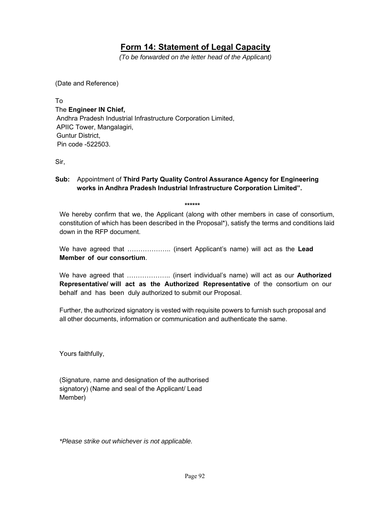### **Form 14: Statement of Legal Capacity**

*(To be forwarded on the letter head of the Applicant)*

(Date and Reference)

To The **Engineer IN Chief,** Andhra Pradesh Industrial Infrastructure Corporation Limited, APIIC Tower, Mangalagiri, Guntur District, Pin code -522503.

Sir,

#### **Sub:** Appointment of **Third Party Quality Control Assurance Agency for Engineering works in Andhra Pradesh Industrial Infrastructure Corporation Limited".**

 **\*\*\*\*\*\*** 

We hereby confirm that we, the Applicant (along with other members in case of consortium, constitution of which has been described in the Proposal\*), satisfy the terms and conditions laid down in the RFP document.

We have agreed that ……………….. (insert Applicant's name) will act as the **Lead Member of our consortium**.

We have agreed that ……………….. (insert individual's name) will act as our **Authorized Representative/ will act as the Authorized Representative** of the consortium on our behalf and has been duly authorized to submit our Proposal.

Further, the authorized signatory is vested with requisite powers to furnish such proposal and all other documents, information or communication and authenticate the same.

Yours faithfully,

(Signature, name and designation of the authorised signatory) (Name and seal of the Applicant/ Lead Member)

*\*Please strike out whichever is not applicable.*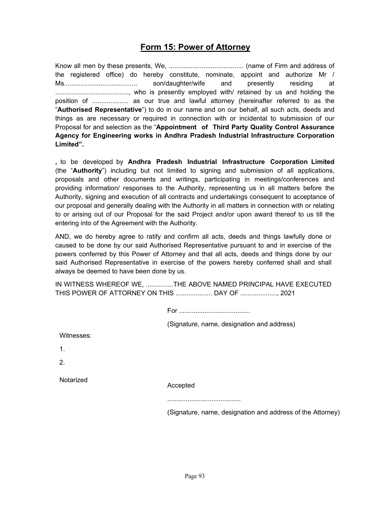### **Form 15: Power of Attorney**

Know all men by these presents, We, ......................................... (name of Firm and address of the registered office) do hereby constitute, nominate, appoint and authorize Mr / Ms........................................ son/daughter/wife and presently residing at ........................................, who is presently employed with/ retained by us and holding the position of .................... as our true and lawful attorney (hereinafter referred to as the "**Authorised Representative**") to do in our name and on our behalf, all such acts, deeds and things as are necessary or required in connection with or incidental to submission of our Proposal for and selection as the "**Appointment of Third Party Quality Control Assurance Agency for Engineering works in Andhra Pradesh Industrial Infrastructure Corporation Limited".** 

**,** to be developed by **Andhra Pradesh Industrial Infrastructure Corporation Limited** (the "**Authority**") including but not limited to signing and submission of all applications, proposals and other documents and writings, participating in meetings/conferences and providing information/ responses to the Authority, representing us in all matters before the Authority, signing and execution of all contracts and undertakings consequent to acceptance of our proposal and generally dealing with the Authority in all matters in connection with or relating to or arising out of our Proposal for the said Project and/or upon award thereof to us till the entering into of the Agreement with the Authority.

AND, we do hereby agree to ratify and confirm all acts, deeds and things lawfully done or caused to be done by our said Authorised Representative pursuant to and in exercise of the powers conferred by this Power of Attorney and that all acts, deeds and things done by our said Authorised Representative in exercise of the powers hereby conferred shall and shall always be deemed to have been done by us.

IN WITNESS WHEREOF WE, ...............THE ABOVE NAMED PRINCIPAL HAVE EXECUTED THIS POWER OF ATTORNEY ON THIS .................... DAY OF ...................., 2021

(Signature, name, designation and address)

Witnesses:

1.

2.

Notarized

Accepted

........................................

(Signature, name, designation and address of the Attorney)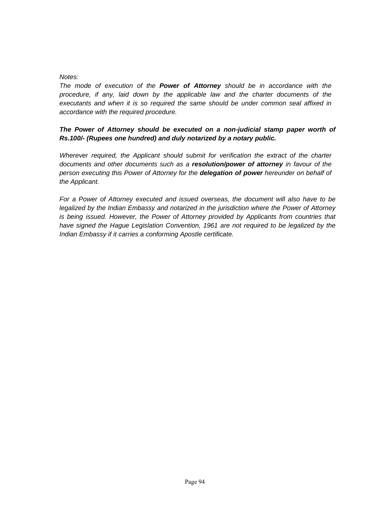#### *Notes:*

*The mode of execution of the Power of Attorney should be in accordance with the procedure, if any, laid down by the applicable law and the charter documents of the executants and when it is so required the same should be under common seal affixed in accordance with the required procedure.*

#### The Power of Attorney should be executed on a non-judicial stamp paper worth of *Rs.100/- (Rupees one hundred) and duly notarized by a notary public.*

*Wherever required, the Applicant should submit for verification the extract of the charter documents and other documents such as a resolution/power of attorney in favour of the person executing this Power of Attorney for the delegation of power hereunder on behalf of the Applicant.*

*For a Power of Attorney executed and issued overseas, the document will also have to be legalized by the Indian Embassy and notarized in the jurisdiction where the Power of Attorney is being issued. However, the Power of Attorney provided by Applicants from countries that have signed the Hague Legislation Convention, 1961 are not required to be legalized by the Indian Embassy if it carries a conforming Apostle certificate.*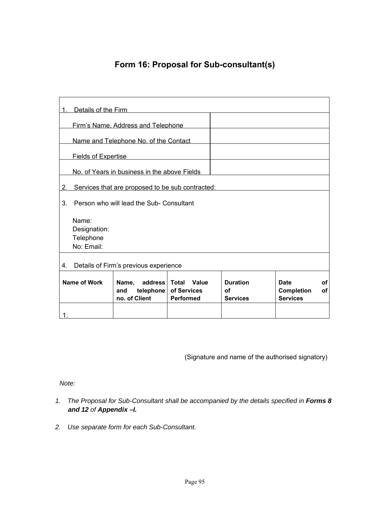## **Form 16: Proposal for Sub-consultant(s)**

|                                              | Details of the Firm                              |                                                       |                                                   |                                                 |                                              |                 |
|----------------------------------------------|--------------------------------------------------|-------------------------------------------------------|---------------------------------------------------|-------------------------------------------------|----------------------------------------------|-----------------|
|                                              |                                                  | Firm's Name, Address and Telephone                    |                                                   |                                                 |                                              |                 |
|                                              |                                                  | Name and Telephone No. of the Contact                 |                                                   |                                                 |                                              |                 |
|                                              | <b>Fields of Expertise</b>                       |                                                       |                                                   |                                                 |                                              |                 |
| No. of Years in business in the above Fields |                                                  |                                                       |                                                   |                                                 |                                              |                 |
| 2.                                           | Services that are proposed to be sub contracted: |                                                       |                                                   |                                                 |                                              |                 |
| 3.                                           | Person who will lead the Sub- Consultant         |                                                       |                                                   |                                                 |                                              |                 |
|                                              | Name:<br>Designation:<br>Telephone<br>No: Email: |                                                       |                                                   |                                                 |                                              |                 |
| 4.                                           | Details of Firm's previous experience            |                                                       |                                                   |                                                 |                                              |                 |
| Name of Work                                 |                                                  | Name,<br>address<br>telephone<br>and<br>no. of Client | Value<br><b>Total</b><br>of Services<br>Performed | <b>Duration</b><br><b>of</b><br><b>Services</b> | Date<br><b>Completion</b><br><b>Services</b> | <b>of</b><br>of |

(Signature and name of the authorised signatory)

*Note:*

- 1. The Proposal for Sub-Consultant shall be accompanied by the details specified in Forms 8 *and 12 of Appendix –I.*
- *2. Use separate form for each Sub-Consultant.*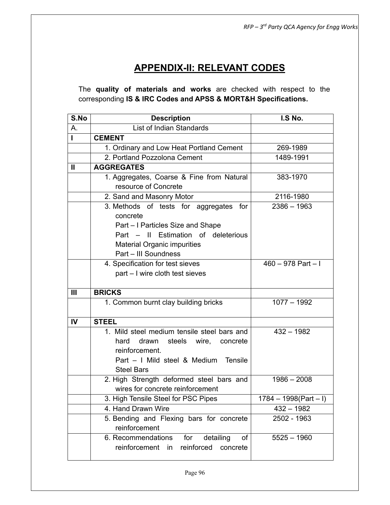## **APPENDIX-II: RELEVANT CODES**

The **quality of materials and works** are checked with respect to the corresponding **IS & IRC Codes and APSS & MORT&H Specifications.**

| S.No           | <b>Description</b>                          | I.S No.                 |
|----------------|---------------------------------------------|-------------------------|
| А.             | List of Indian Standards                    |                         |
| L              | <b>CEMENT</b>                               |                         |
|                | 1. Ordinary and Low Heat Portland Cement    | 269-1989                |
|                | 2. Portland Pozzolona Cement                | 1489-1991               |
| Ш              | <b>AGGREGATES</b>                           |                         |
|                | 1. Aggregates, Coarse & Fine from Natural   | 383-1970                |
|                | resource of Concrete                        |                         |
|                | 2. Sand and Masonry Motor                   | 2116-1980               |
|                | 3. Methods of tests for aggregates for      | $2386 - 1963$           |
|                | concrete                                    |                         |
|                | Part – I Particles Size and Shape           |                         |
|                | Part - Il Estimation of deleterious         |                         |
|                | <b>Material Organic impurities</b>          |                         |
|                | Part - III Soundness                        |                         |
|                | 4. Specification for test sieves            | $460 - 978$ Part $-1$   |
|                | part - I wire cloth test sieves             |                         |
|                |                                             |                         |
| $\mathbf{III}$ | <b>BRICKS</b>                               |                         |
|                | 1. Common burnt clay building bricks        | $1077 - 1992$           |
| $\mathbf{I}$   | <b>STEEL</b>                                |                         |
|                | 1. Mild steel medium tensile steel bars and | $432 - 1982$            |
|                | hard<br>drawn<br>steels wire, concrete      |                         |
|                | reinforcement.                              |                         |
|                | Part - I Mild steel & Medium Tensile        |                         |
|                | <b>Steel Bars</b>                           |                         |
|                | 2. High Strength deformed steel bars and    | $1986 - 2008$           |
|                | wires for concrete reinforcement            |                         |
|                | 3. High Tensile Steel for PSC Pipes         | $1784 - 1998(Part - I)$ |
|                | 4. Hand Drawn Wire                          | $432 - 1982$            |
|                | 5. Bending and Flexing bars for concrete    | 2502 - 1963             |
|                | reinforcement                               |                         |
|                | 6. Recommendations for detailing<br>of      | $5525 - 1960$           |
|                | reinforcement in reinforced concrete        |                         |
|                |                                             |                         |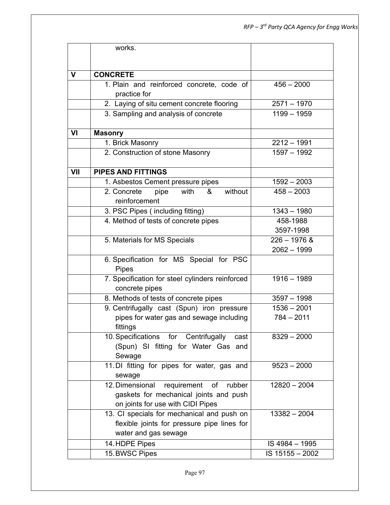|              | works.                                                                                                                  |                 |
|--------------|-------------------------------------------------------------------------------------------------------------------------|-----------------|
|              |                                                                                                                         |                 |
| $\mathsf{V}$ | <b>CONCRETE</b>                                                                                                         |                 |
|              | 1. Plain and reinforced concrete, code of                                                                               | $456 - 2000$    |
|              | practice for                                                                                                            |                 |
|              | 2. Laying of situ cement concrete flooring                                                                              | $2571 - 1970$   |
|              | 3. Sampling and analysis of concrete                                                                                    | $1199 - 1959$   |
| VI           | <b>Masonry</b>                                                                                                          |                 |
|              | 1. Brick Masonry                                                                                                        | $2212 - 1991$   |
|              | 2. Construction of stone Masonry                                                                                        | 1597 - 1992     |
| VII          | <b>PIPES AND FITTINGS</b>                                                                                               |                 |
|              | 1. Asbestos Cement pressure pipes                                                                                       | $1592 - 2003$   |
|              | without<br>2. Concrete<br>pipe<br>with<br>&<br>reinforcement                                                            | $458 - 2003$    |
|              | 3. PSC Pipes (including fitting)                                                                                        | $1343 - 1980$   |
|              | 4. Method of tests of concrete pipes                                                                                    | 458-1988        |
|              |                                                                                                                         | 3597-1998       |
|              | 5. Materials for MS Specials                                                                                            | $226 - 1976$ &  |
|              |                                                                                                                         | $2062 - 1999$   |
|              | 6. Specification for MS Special for PSC<br><b>Pipes</b>                                                                 |                 |
|              | 7. Specification for steel cylinders reinforced<br>concrete pipes                                                       | $1916 - 1989$   |
|              | 8. Methods of tests of concrete pipes                                                                                   | $3597 - 1998$   |
|              | 9. Centrifugally cast (Spun) iron pressure                                                                              | $1536 - 2001$   |
|              | pipes for water gas and sewage including<br>fittings                                                                    | $784 - 2011$    |
|              | 10. Specifications for Centrifugally<br>cast<br>(Spun) SI fitting for Water Gas and<br>Sewage                           | $8329 - 2000$   |
|              | 11. DI fitting for pipes for water, gas and<br>sewage                                                                   | $9523 - 2000$   |
|              | 12. Dimensional requirement of<br>rubber<br>gaskets for mechanical joints and push<br>on joints for use with CIDI Pipes | $12820 - 2004$  |
|              | 13. CI specials for mechanical and push on<br>flexible joints for pressure pipe lines for<br>water and gas sewage       | $13382 - 2004$  |
|              | 14. HDPE Pipes                                                                                                          | IS 4984 - 1995  |
|              | 15. BWSC Pipes                                                                                                          | IS 15155 - 2002 |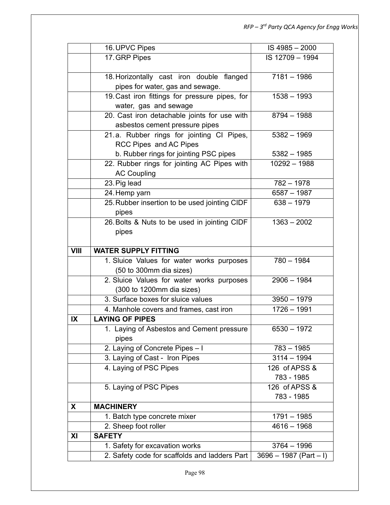|             | 16. UPVC Pipes                                                    | IS 4985 - 2000           |
|-------------|-------------------------------------------------------------------|--------------------------|
|             | 17. GRP Pipes                                                     | IS 12709 - 1994          |
|             |                                                                   |                          |
|             | 18. Horizontally cast iron double flanged                         | $7181 - 1986$            |
|             | pipes for water, gas and sewage.                                  |                          |
|             | 19. Cast iron fittings for pressure pipes, for                    | $1538 - 1993$            |
|             | water, gas and sewage                                             |                          |
|             | 20. Cast iron detachable joints for use with                      | $8794 - 1988$            |
|             | asbestos cement pressure pipes                                    |                          |
|             | 21.a. Rubber rings for jointing CI Pipes,                         | $5382 - 1969$            |
|             | RCC Pipes and AC Pipes                                            |                          |
|             | b. Rubber rings for jointing PSC pipes                            | $5382 - 1985$            |
|             | 22. Rubber rings for jointing AC Pipes with                       | $10292 - 1988$           |
|             | <b>AC Coupling</b>                                                |                          |
|             | 23. Pig lead                                                      | $782 - 1978$             |
|             | 24. Hemp yarn                                                     | $6587 - 1987$            |
|             | 25. Rubber insertion to be used jointing CIDF                     | $638 - 1979$             |
|             | pipes                                                             |                          |
|             | 26. Bolts & Nuts to be used in jointing CIDF                      | $1363 - 2002$            |
|             | pipes                                                             |                          |
|             |                                                                   |                          |
| <b>VIII</b> | <b>WATER SUPPLY FITTING</b>                                       |                          |
|             | 1. Sluice Values for water works purposes                         | $780 - 1984$             |
|             | (50 to 300mm dia sizes)                                           |                          |
|             | 2. Sluice Values for water works purposes                         | $2906 - 1984$            |
|             | (300 to 1200mm dia sizes)<br>3. Surface boxes for sluice values   | $3950 - 1979$            |
|             |                                                                   |                          |
| IX          | 4. Manhole covers and frames, cast iron<br><b>LAYING OF PIPES</b> | $1726 - 1991$            |
|             |                                                                   |                          |
|             | 1. Laying of Asbestos and Cement pressure<br>pipes                | 6530 - 1972              |
|             | 2. Laying of Concrete Pipes - I                                   | $783 - 1985$             |
|             | 3. Laying of Cast - Iron Pipes                                    | $3114 - 1994$            |
|             | 4. Laying of PSC Pipes                                            | 126 of APSS &            |
|             |                                                                   | 783 - 1985               |
|             | 5. Laying of PSC Pipes                                            | 126 of APSS &            |
|             |                                                                   | 783 - 1985               |
| X           | <b>MACHINERY</b>                                                  |                          |
|             | 1. Batch type concrete mixer                                      | $1791 - 1985$            |
|             | 2. Sheep foot roller                                              | $4616 - 1968$            |
| XI          | <b>SAFETY</b>                                                     |                          |
|             | 1. Safety for excavation works                                    | $3764 - 1996$            |
|             | 2. Safety code for scaffolds and ladders Part                     | $3696 - 1987$ (Part - I) |
|             |                                                                   |                          |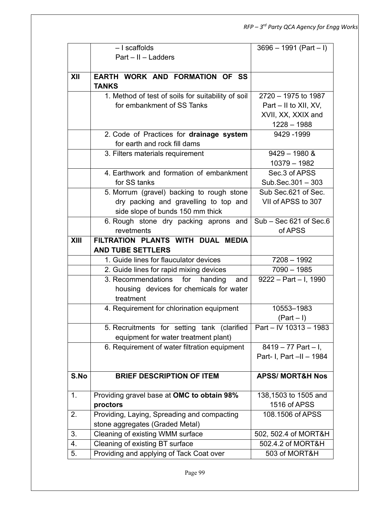|      | - I scaffolds                                                 | $3696 - 1991$ (Part - I)    |
|------|---------------------------------------------------------------|-----------------------------|
|      | $Part - II - Ladders$                                         |                             |
|      |                                                               |                             |
| XII  | EARTH WORK AND FORMATION OF SS                                |                             |
|      | <b>TANKS</b>                                                  |                             |
|      | 1. Method of test of soils for suitability of soil            | 2720 - 1975 to 1987         |
|      | for embankment of SS Tanks                                    | Part – II to XII, XV,       |
|      |                                                               | XVII, XX, XXIX and          |
|      |                                                               | $1228 - 1988$               |
|      | 2. Code of Practices for drainage system                      | 9429 - 1999                 |
|      | for earth and rock fill dams                                  |                             |
|      | 3. Filters materials requirement                              | $9429 - 1980$ &             |
|      |                                                               | 10379 - 1982                |
|      | 4. Earthwork and formation of embankment                      | Sec.3 of APSS               |
|      | for SS tanks                                                  | Sub.Sec.301 - 303           |
|      | 5. Morrum (gravel) backing to rough stone                     | Sub Sec.621 of Sec.         |
|      | dry packing and gravelling to top and                         | VII of APSS to 307          |
|      | side slope of bunds 150 mm thick                              |                             |
|      | 6. Rough stone dry packing aprons and                         | $Sub - Sec 621$ of Sec.6    |
|      | revetments                                                    | of APSS                     |
| XIII | FILTRATION PLANTS WITH DUAL MEDIA<br><b>AND TUBE SETTLERS</b> |                             |
|      | 1. Guide lines for flauculator devices                        | $7208 - 1992$               |
|      | 2. Guide lines for rapid mixing devices                       | $7090 - 1985$               |
|      | 3. Recommendations<br>for<br>handing<br>and                   | $9222 - Part - I$ , 1990    |
|      | housing devices for chemicals for water                       |                             |
|      | treatment                                                     |                             |
|      | 4. Requirement for chlorination equipment                     | 10553-1983                  |
|      |                                                               | $(Part - I)$                |
|      | 5. Recruitments for setting tank (clarified                   | Part - IV 10313 - 1983      |
|      | equipment for water treatment plant)                          |                             |
|      | 6. Requirement of water filtration equipment                  | $8419 - 77$ Part - I,       |
|      |                                                               | Part- I, Part -II - 1984    |
| S.No | <b>BRIEF DESCRIPTION OF ITEM</b>                              | <b>APSS/ MORT&amp;H Nos</b> |
|      |                                                               |                             |
| 1.   | Providing gravel base at OMC to obtain 98%                    | 138,1503 to 1505 and        |
|      | proctors                                                      | 1516 of APSS                |
| 2.   | Providing, Laying, Spreading and compacting                   | 108.1506 of APSS            |
|      | stone aggregates (Graded Metal)                               |                             |
| 3.   | Cleaning of existing WMM surface                              | 502, 502.4 of MORT&H        |
| 4.   | Cleaning of existing BT surface                               | 502.4.2 of MORT&H           |
| 5.   | Providing and applying of Tack Coat over                      | 503 of MORT&H               |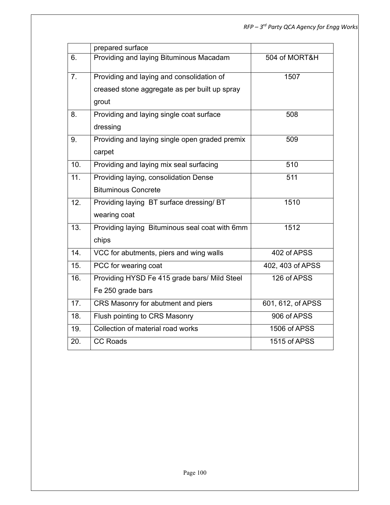|     | prepared surface                               |                   |
|-----|------------------------------------------------|-------------------|
| 6.  | Providing and laying Bituminous Macadam        | 504 of MORT&H     |
| 7.  | Providing and laying and consolidation of      | 1507              |
|     | creased stone aggregate as per built up spray  |                   |
|     | grout                                          |                   |
| 8.  | Providing and laying single coat surface       | 508               |
|     | dressing                                       |                   |
| 9.  | Providing and laying single open graded premix | 509               |
|     | carpet                                         |                   |
| 10. | Providing and laying mix seal surfacing        | 510               |
| 11. | Providing laying, consolidation Dense          | 511               |
|     | <b>Bituminous Concrete</b>                     |                   |
| 12. | Providing laying BT surface dressing/ BT       | 1510              |
|     | wearing coat                                   |                   |
| 13. | Providing laying Bituminous seal coat with 6mm | 1512              |
|     | chips                                          |                   |
| 14. | VCC for abutments, piers and wing walls        | 402 of APSS       |
| 15. | PCC for wearing coat                           | 402, 403 of APSS  |
| 16. | Providing HYSD Fe 415 grade bars/ Mild Steel   | 126 of APSS       |
|     | Fe 250 grade bars                              |                   |
| 17. | CRS Masonry for abutment and piers             | 601, 612, of APSS |
| 18. | Flush pointing to CRS Masonry                  | 906 of APSS       |
| 19. | Collection of material road works              | 1506 of APSS      |
| 20. | <b>CC Roads</b>                                | 1515 of APSS      |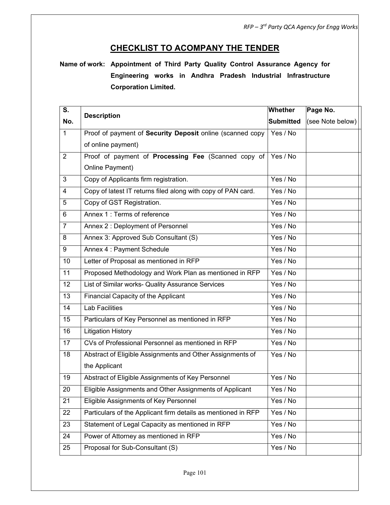## **CHECKLIST TO ACOMPANY THE TENDER**

**Name of work: Appointment of Third Party Quality Control Assurance Agency for Engineering works in Andhra Pradesh Industrial Infrastructure Corporation Limited.**

| S.             | <b>Description</b>                                            | Whether          | Page No.         |
|----------------|---------------------------------------------------------------|------------------|------------------|
| No.            |                                                               | <b>Submitted</b> | (see Note below) |
| $\mathbf{1}$   | Proof of payment of Security Deposit online (scanned copy     | Yes / No         |                  |
|                | of online payment)                                            |                  |                  |
| $\overline{2}$ | Proof of payment of Processing Fee (Scanned copy of           | Yes / No         |                  |
|                | Online Payment)                                               |                  |                  |
| 3              | Copy of Applicants firm registration.                         | Yes / No         |                  |
| $\overline{4}$ | Copy of latest IT returns filed along with copy of PAN card.  | Yes / No         |                  |
| 5              | Copy of GST Registration.                                     | Yes / No         |                  |
| 6              | Annex 1: Terms of reference                                   | Yes / No         |                  |
| $\overline{7}$ | Annex 2: Deployment of Personnel                              | Yes / No         |                  |
| 8              | Annex 3: Approved Sub Consultant (S)                          | Yes / No         |                  |
| 9              | Annex 4 : Payment Schedule                                    | Yes / No         |                  |
| 10             | Letter of Proposal as mentioned in RFP                        | Yes / No         |                  |
| 11             | Proposed Methodology and Work Plan as mentioned in RFP        | Yes / No         |                  |
| 12             | List of Similar works- Quality Assurance Services             | Yes / No         |                  |
| 13             | <b>Financial Capacity of the Applicant</b>                    | Yes / No         |                  |
| 14             | <b>Lab Facilities</b>                                         | Yes / No         |                  |
| 15             | Particulars of Key Personnel as mentioned in RFP              | Yes / No         |                  |
| 16             | <b>Litigation History</b>                                     | Yes / No         |                  |
| 17             | CVs of Professional Personnel as mentioned in RFP             | Yes / No         |                  |
| 18             | Abstract of Eligible Assignments and Other Assignments of     | Yes / No         |                  |
|                | the Applicant                                                 |                  |                  |
| 19             | Abstract of Eligible Assignments of Key Personnel             | Yes / No         |                  |
| 20             | Eligible Assignments and Other Assignments of Applicant       | Yes / No         |                  |
| 21             | Eligible Assignments of Key Personnel                         | Yes / No         |                  |
| 22             | Particulars of the Applicant firm details as mentioned in RFP | Yes / No         |                  |
| 23             | Statement of Legal Capacity as mentioned in RFP               | Yes / No         |                  |
| 24             | Power of Attorney as mentioned in RFP                         | Yes / No         |                  |
| 25             | Proposal for Sub-Consultant (S)                               | Yes / No         |                  |
|                |                                                               |                  |                  |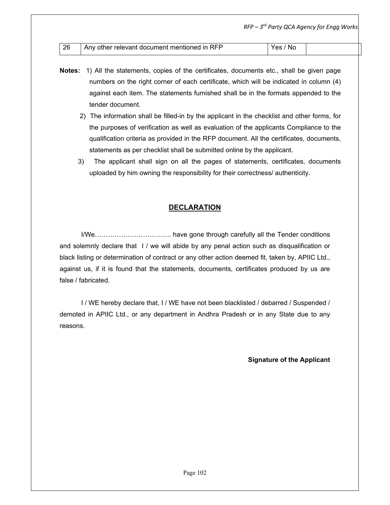|    |                                              | $RFP - 3rd$ Party QCA Agency for Engg Works |  |
|----|----------------------------------------------|---------------------------------------------|--|
|    |                                              |                                             |  |
| 26 | Any other relevant document mentioned in RFP | Yes / No                                    |  |

- **Notes:** 1) All the statements, copies of the certificates, documents etc., shall be given page numbers on the right corner of each certificate, which will be indicated in column (4) against each item. The statements furnished shall be in the formats appended to the tender document.
	- 2) The information shall be filled-in by the applicant in the checklist and other forms, for the purposes of verification as well as evaluation of the applicants Compliance to the qualification criteria as provided in the RFP document. All the certificates, documents, statements as per checklist shall be submitted online by the applicant.
	- 3) The applicant shall sign on all the pages of statements, certificates, documents uploaded by him owning the responsibility for their correctness/ authenticity.

#### **DECLARATION**

I/We…………………………….. have gone through carefully all the Tender conditions and solemnly declare that I / we will abide by any penal action such as disqualification or black listing or determination of contract or any other action deemed fit, taken by, APIIC Ltd., against us, if it is found that the statements, documents, certificates produced by us are false / fabricated.

I / WE hereby declare that, I / WE have not been blacklisted / debarred / Suspended / demoted in APIIC Ltd., or any department in Andhra Pradesh or in any State due to any reasons.

**Signature of the Applicant**